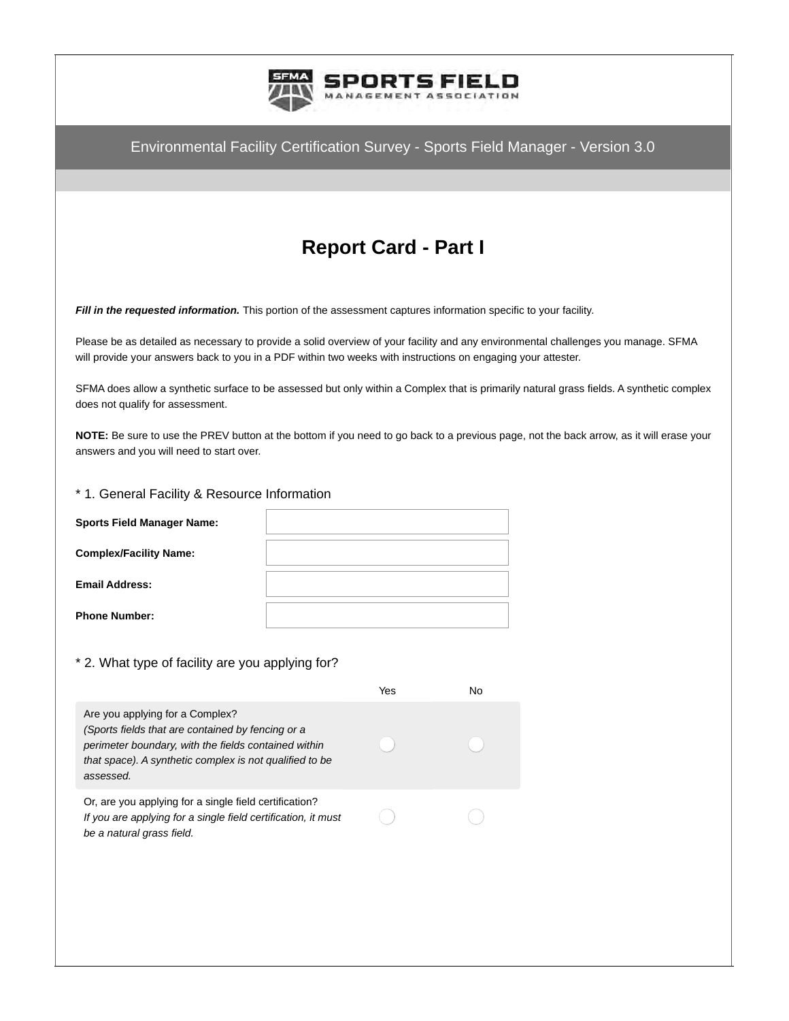

# **Report Card - Part I**

*Fill in the requested information.* This portion of the assessment captures information specific to your facility.

Please be as detailed as necessary to provide a solid overview of your facility and any environmental challenges you manage. SFMA will provide your answers back to you in a PDF within two weeks with instructions on engaging your attester.

SFMA does allow a synthetic surface to be assessed but only within a Complex that is primarily natural grass fields. A synthetic complex does not qualify for assessment.

**NOTE:** Be sure to use the PREV button at the bottom if you need to go back to a previous page, not the back arrow, as it will erase your answers and you will need to start over.

#### \* 1. General Facility & Resource Information

### \* 2. What type of facility are you applying for?

|                                                                                                                                                                                                                      | Yes | No |
|----------------------------------------------------------------------------------------------------------------------------------------------------------------------------------------------------------------------|-----|----|
| Are you applying for a Complex?<br>(Sports fields that are contained by fencing or a<br>perimeter boundary, with the fields contained within<br>that space). A synthetic complex is not qualified to be<br>assessed. |     |    |
| Or, are you applying for a single field certification?<br>If you are applying for a single field certification, it must<br>be a natural grass field.                                                                 |     |    |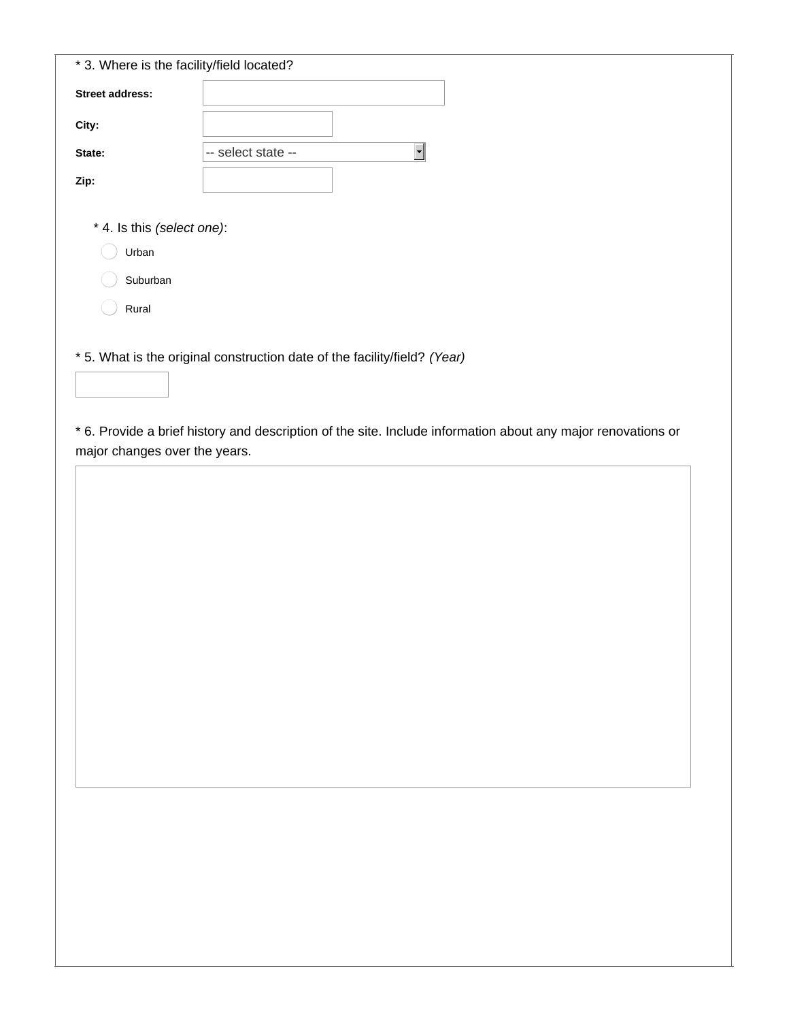| -- select state --<br>* 4. Is this (select one):                          | $\overline{\phantom{0}}$      |                                                                                                              |
|---------------------------------------------------------------------------|-------------------------------|--------------------------------------------------------------------------------------------------------------|
|                                                                           |                               |                                                                                                              |
|                                                                           |                               |                                                                                                              |
|                                                                           |                               |                                                                                                              |
|                                                                           |                               |                                                                                                              |
|                                                                           |                               |                                                                                                              |
|                                                                           |                               |                                                                                                              |
|                                                                           |                               |                                                                                                              |
|                                                                           |                               |                                                                                                              |
| * 5. What is the original construction date of the facility/field? (Year) |                               |                                                                                                              |
|                                                                           |                               |                                                                                                              |
|                                                                           |                               |                                                                                                              |
|                                                                           |                               |                                                                                                              |
|                                                                           |                               |                                                                                                              |
|                                                                           |                               |                                                                                                              |
|                                                                           |                               |                                                                                                              |
|                                                                           |                               |                                                                                                              |
|                                                                           |                               |                                                                                                              |
|                                                                           |                               |                                                                                                              |
|                                                                           |                               |                                                                                                              |
|                                                                           |                               |                                                                                                              |
|                                                                           |                               |                                                                                                              |
|                                                                           |                               |                                                                                                              |
|                                                                           |                               |                                                                                                              |
|                                                                           |                               |                                                                                                              |
|                                                                           |                               |                                                                                                              |
|                                                                           |                               |                                                                                                              |
|                                                                           | major changes over the years. | * 6. Provide a brief history and description of the site. Include information about any major renovations or |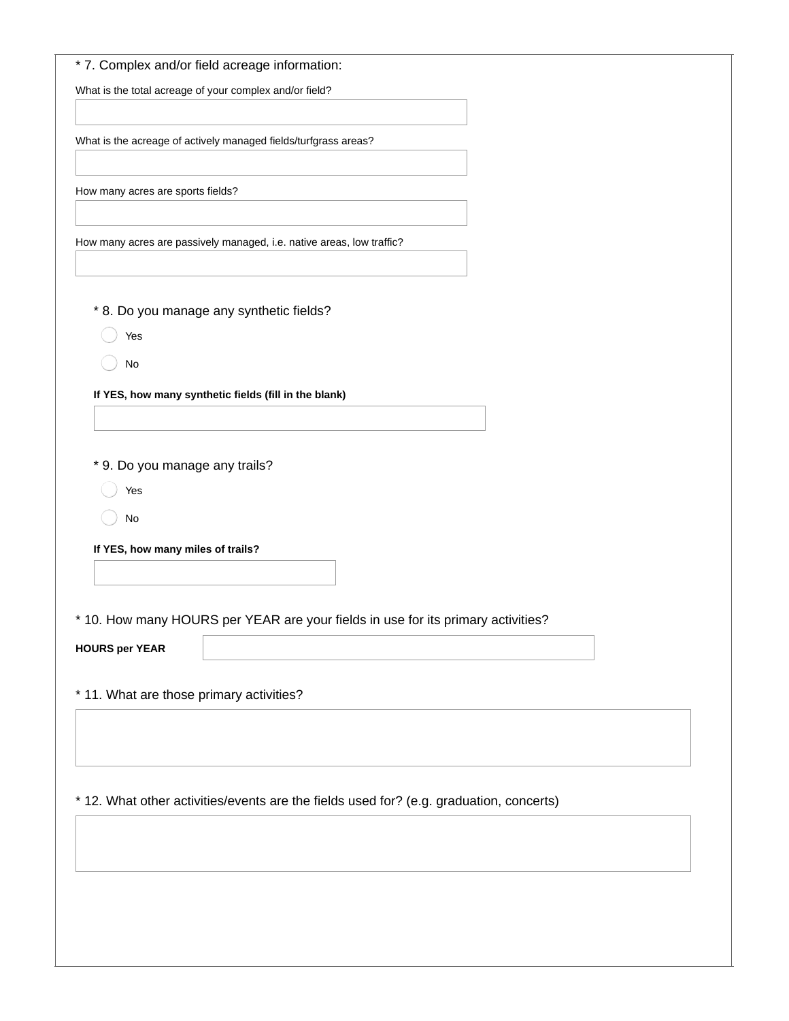|                                   | * 7. Complex and/or field acreage information:                                          |  |
|-----------------------------------|-----------------------------------------------------------------------------------------|--|
|                                   | What is the total acreage of your complex and/or field?                                 |  |
|                                   | What is the acreage of actively managed fields/turfgrass areas?                         |  |
| How many acres are sports fields? |                                                                                         |  |
|                                   | How many acres are passively managed, i.e. native areas, low traffic?                   |  |
|                                   |                                                                                         |  |
| Yes                               | * 8. Do you manage any synthetic fields?                                                |  |
| No                                |                                                                                         |  |
|                                   | If YES, how many synthetic fields (fill in the blank)                                   |  |
|                                   |                                                                                         |  |
| * 9. Do you manage any trails?    |                                                                                         |  |
| Yes                               |                                                                                         |  |
| No                                |                                                                                         |  |
| If YES, how many miles of trails? |                                                                                         |  |
| $\star$                           | 10. How many HOURS per YEAR are your fields in use for its primary activities?          |  |
| <b>HOURS per YEAR</b>             |                                                                                         |  |
|                                   | * 11. What are those primary activities?                                                |  |
|                                   |                                                                                         |  |
|                                   |                                                                                         |  |
|                                   |                                                                                         |  |
|                                   | * 12. What other activities/events are the fields used for? (e.g. graduation, concerts) |  |
|                                   |                                                                                         |  |
|                                   |                                                                                         |  |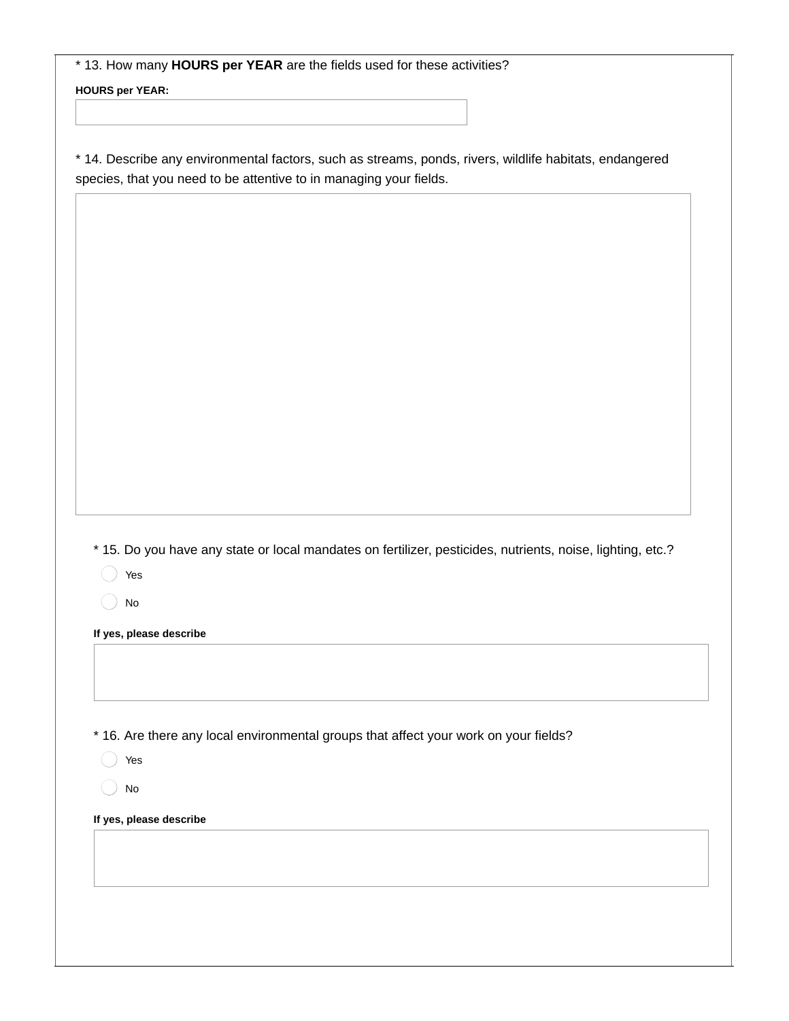\* 13. How many **HOURS per YEAR** are the fields used for these activities?

**HOURS per YEAR:**

\* 14. Describe any environmental factors, such as streams, ponds, rivers, wildlife habitats, endangered species, that you need to be attentive to in managing your fields.

\* 15. Do you have any state or local mandates on fertilizer, pesticides, nutrients, noise, lighting, etc.?

Yes

No

**If yes, please describe**

\* 16. Are there any local environmental groups that affect your work on your fields?

Yes

No

**If yes, please describe**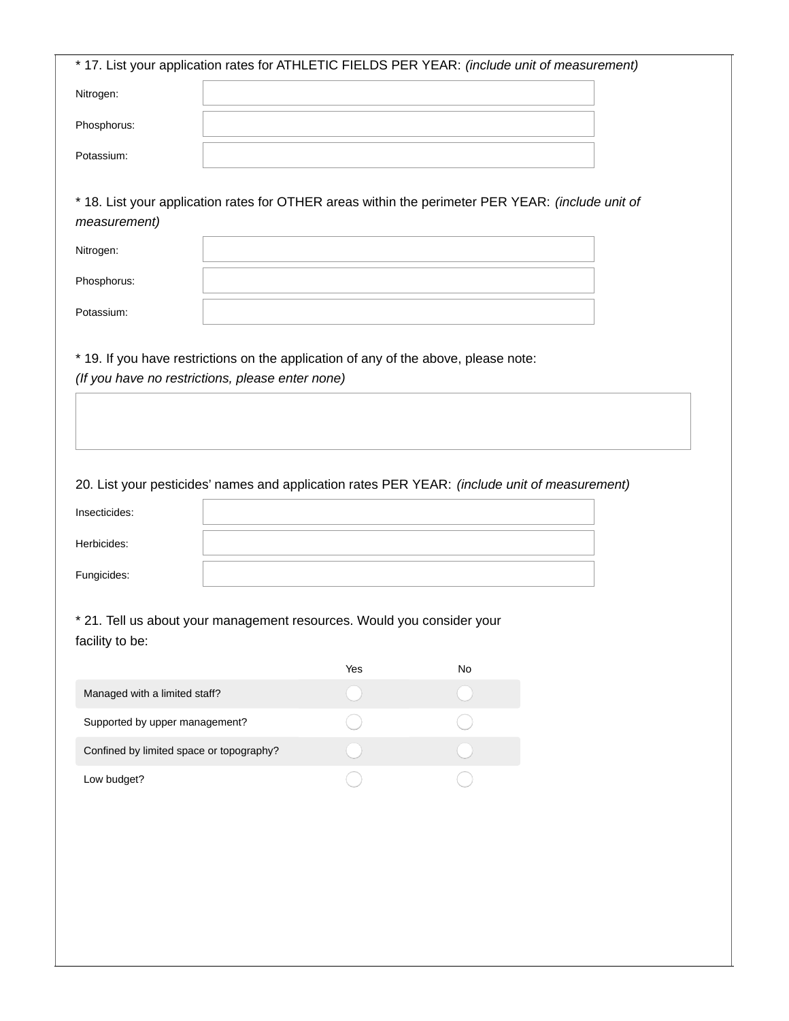| 20. List your pesticides' names and application rates PER YEAR: (include unit of measurement) |                                                  |                                                                                                                                                                                          |
|-----------------------------------------------------------------------------------------------|--------------------------------------------------|------------------------------------------------------------------------------------------------------------------------------------------------------------------------------------------|
|                                                                                               |                                                  |                                                                                                                                                                                          |
|                                                                                               |                                                  |                                                                                                                                                                                          |
|                                                                                               |                                                  |                                                                                                                                                                                          |
|                                                                                               |                                                  |                                                                                                                                                                                          |
| * 21. Tell us about your management resources. Would you consider your                        |                                                  |                                                                                                                                                                                          |
|                                                                                               |                                                  |                                                                                                                                                                                          |
| Yes                                                                                           | No                                               |                                                                                                                                                                                          |
|                                                                                               |                                                  |                                                                                                                                                                                          |
| Supported by upper management?                                                                |                                                  |                                                                                                                                                                                          |
| Confined by limited space or topography?                                                      |                                                  |                                                                                                                                                                                          |
|                                                                                               | (If you have no restrictions, please enter none) | * 18. List your application rates for OTHER areas within the perimeter PER YEAR: (include unit of<br>* 19. If you have restrictions on the application of any of the above, please note: |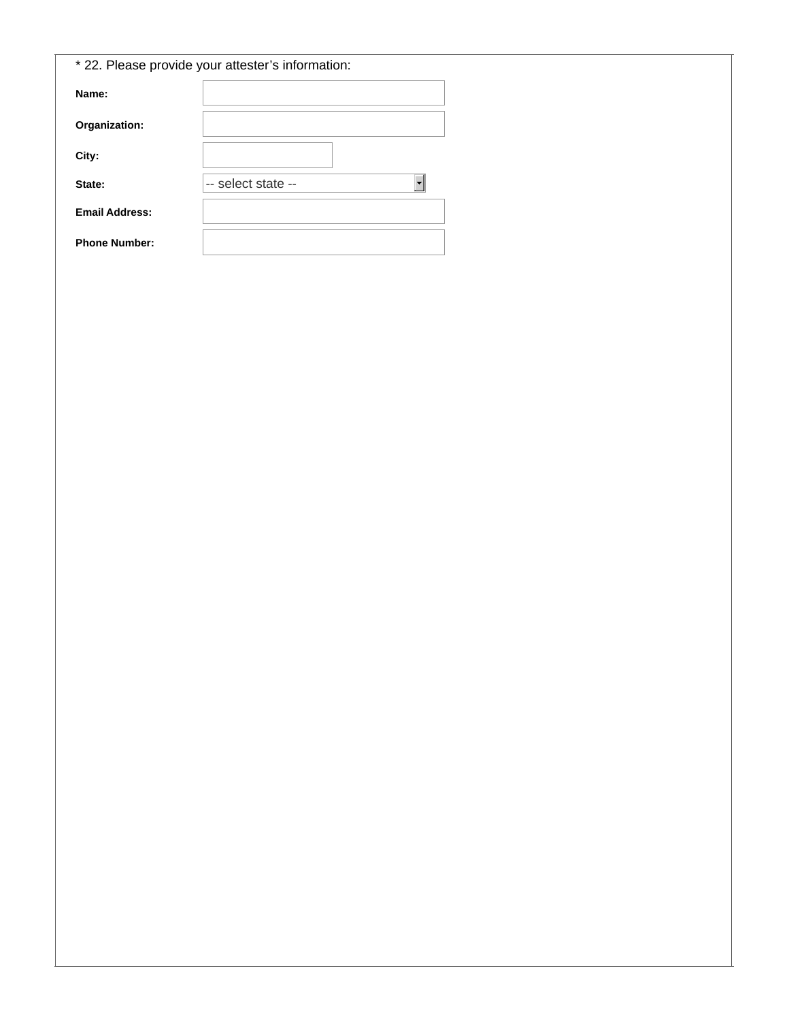|                       | * 22. Please provide your attester's information: |
|-----------------------|---------------------------------------------------|
| Name:                 |                                                   |
| Organization:         |                                                   |
| City:                 |                                                   |
| State:                | -- select state --                                |
| <b>Email Address:</b> |                                                   |
| <b>Phone Number:</b>  |                                                   |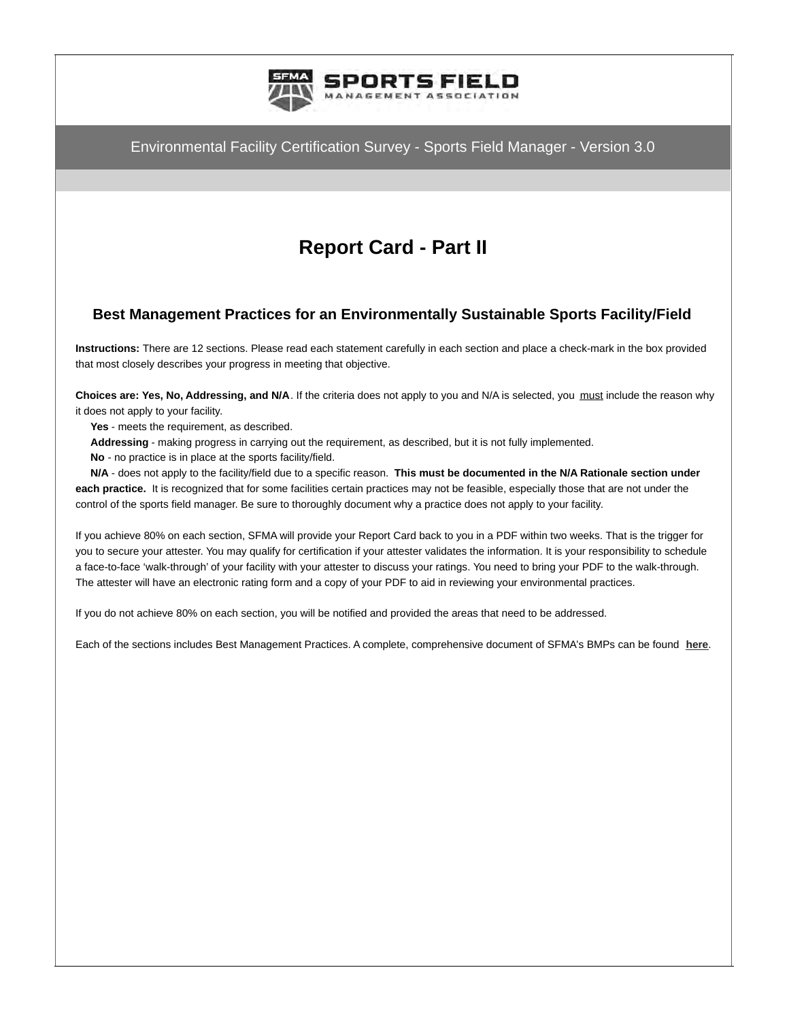

# **Report Card - Part II**

## **Best Management Practices for an Environmentally Sustainable Sports Facility/Field**

**Instructions:** There are 12 sections. Please read each statement carefully in each section and place a check-mark in the box provided that most closely describes your progress in meeting that objective.

**Choices are: Yes, No, Addressing, and N/A**. If the criteria does not apply to you and N/A is selected, you must include the reason why it does not apply to your facility.

**Yes** - meets the requirement, as described.

**Addressing** - making progress in carrying out the requirement, as described, but it is not fully implemented.

**No** - no practice is in place at the sports facility/field.

 **N/A** - does not apply to the facility/field due to a specific reason. **This must be documented in the N/A Rationale section under each practice.** It is recognized that for some facilities certain practices may not be feasible, especially those that are not under the control of the sports field manager. Be sure to thoroughly document why a practice does not apply to your facility.

If you achieve 80% on each section, SFMA will provide your Report Card back to you in a PDF within two weeks. That is the trigger for you to secure your attester. You may qualify for certification if your attester validates the information. It is your responsibility to schedule a face-to-face 'walk-through' of your facility with your attester to discuss your ratings. You need to bring your PDF to the walk-through. The attester will have an electronic rating form and a copy of your PDF to aid in reviewing your environmental practices.

If you do not achieve 80% on each section, you will be notified and provided the areas that need to be addressed.

Each of the sections includes Best Management Practices. A complete, comprehensive document of SFMA's BMPs can be found **[here](https://www.stma.org/knowledge_center/bmps/)**.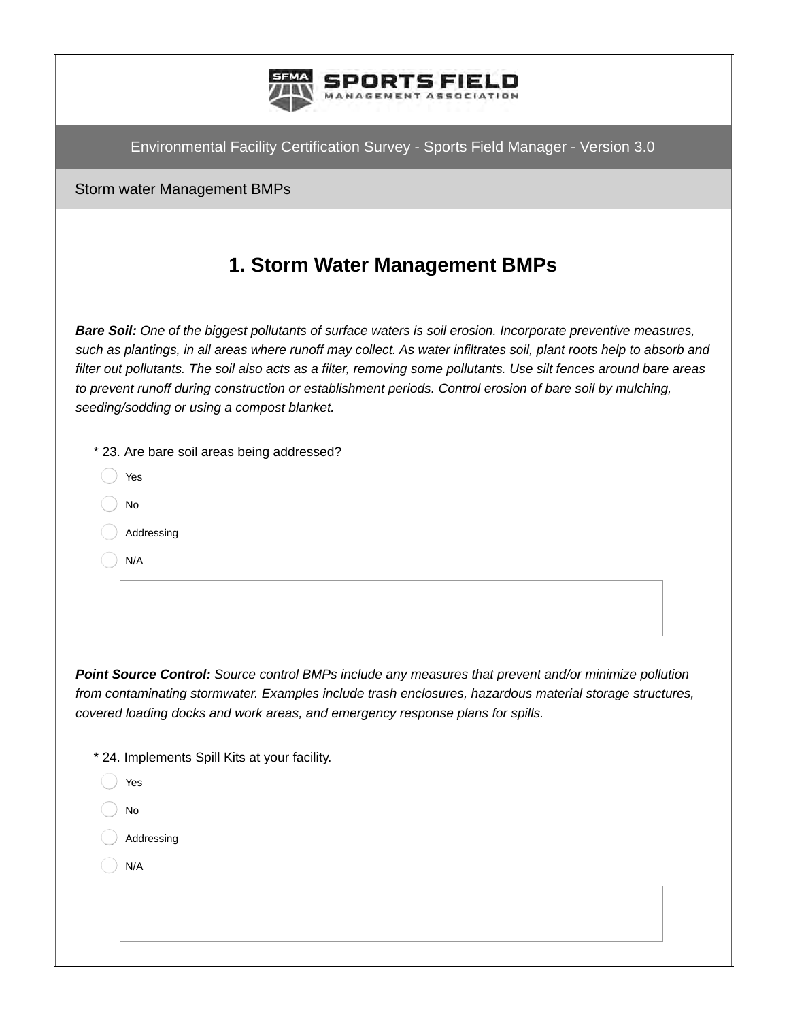

Storm water Management BMPs

## **1. Storm Water Management BMPs**

*Bare Soil: One of the biggest pollutants of surface waters is soil erosion. Incorporate preventive measures, such as plantings, in all areas where runoff may collect. As water infiltrates soil, plant roots help to absorb and filter out pollutants. The soil also acts as a filter, removing some pollutants. Use silt fences around bare areas to prevent runoff during construction or establishment periods. Control erosion of bare soil by mulching, seeding/sodding or using a compost blanket.*

| * 23. Are bare soil areas being addressed? |  |
|--------------------------------------------|--|
|--------------------------------------------|--|

- Yes
- No
- Addressing
- N/A

*Point Source Control: Source control BMPs include any measures that prevent and/or minimize pollution from contaminating stormwater. Examples include trash enclosures, hazardous material storage structures, covered loading docks and work areas, and emergency response plans for spills.*

\* 24. Implements Spill Kits at your facility.

| Yes        |
|------------|
| No         |
| Addressing |
| N/A        |
|            |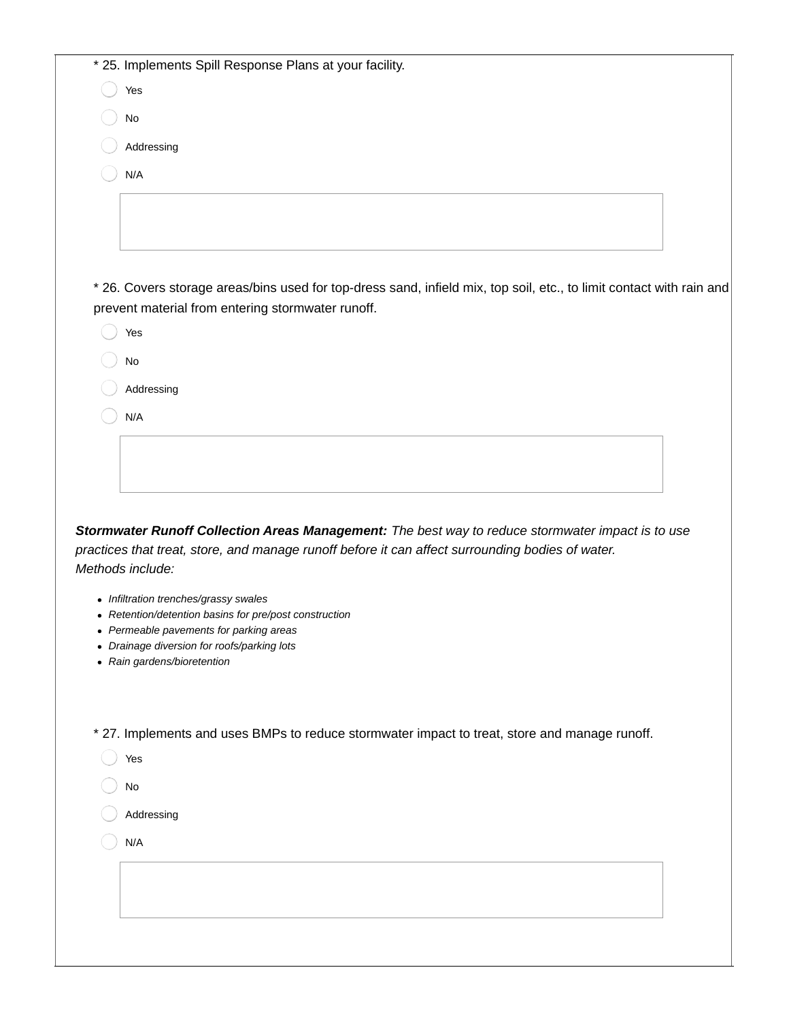| * 25. Implements Spill Response Plans at your facility.                                                                                                                          |  |
|----------------------------------------------------------------------------------------------------------------------------------------------------------------------------------|--|
| Yes                                                                                                                                                                              |  |
| No                                                                                                                                                                               |  |
| Addressing                                                                                                                                                                       |  |
| N/A                                                                                                                                                                              |  |
|                                                                                                                                                                                  |  |
|                                                                                                                                                                                  |  |
|                                                                                                                                                                                  |  |
|                                                                                                                                                                                  |  |
| * 26. Covers storage areas/bins used for top-dress sand, infield mix, top soil, etc., to limit contact with rain and<br>prevent material from entering stormwater runoff.<br>Yes |  |
| No                                                                                                                                                                               |  |
| Addressing                                                                                                                                                                       |  |
| N/A                                                                                                                                                                              |  |
|                                                                                                                                                                                  |  |
|                                                                                                                                                                                  |  |

*practices that treat, store, and manage runoff before it can affect surrounding bodies of water. Methods include:*

- *Infiltration trenches/grassy swales*
- *Retention/detention basins for pre/post construction*
- *Permeable pavements for parking areas*
- *Drainage diversion for roofs/parking lots*
- *Rain gardens/bioretention*

\* 27. Implements and uses BMPs to reduce stormwater impact to treat, store and manage runoff.

- Yes
- No
- Addressing
- N/A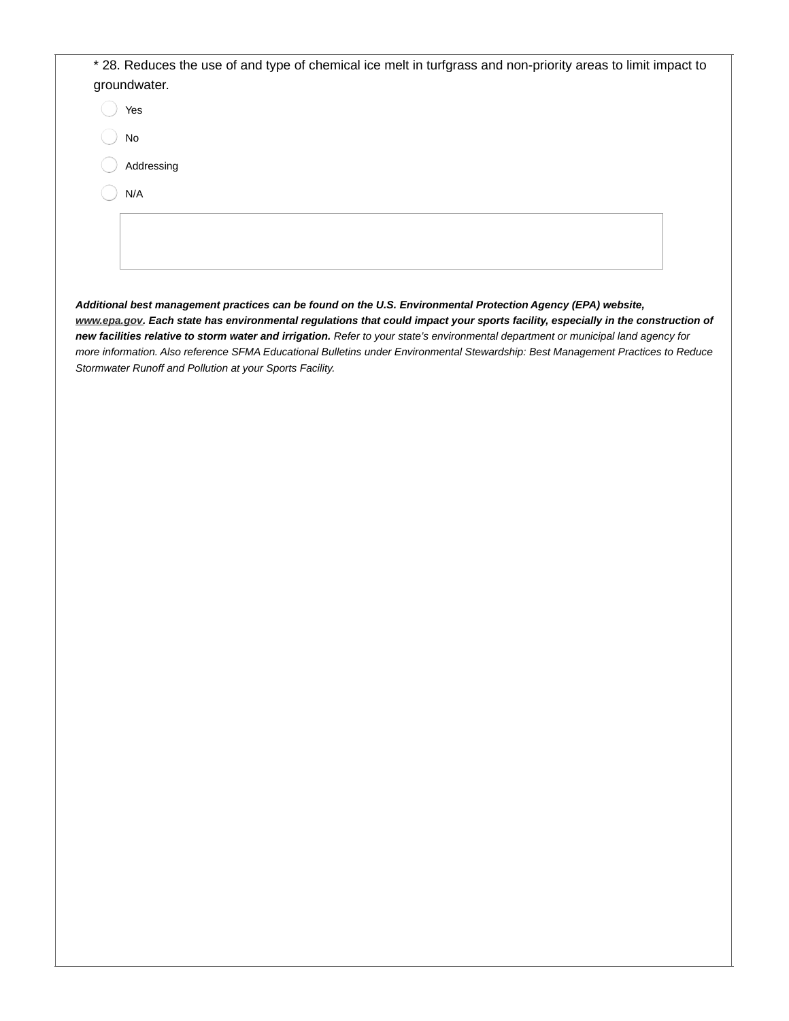| * 28. Reduces the use of and type of chemical ice melt in turfgrass and non-priority areas to limit impact to |  |
|---------------------------------------------------------------------------------------------------------------|--|
| groundwater.                                                                                                  |  |
| Yes                                                                                                           |  |
| No                                                                                                            |  |
| Addressing                                                                                                    |  |
| N/A                                                                                                           |  |
|                                                                                                               |  |
|                                                                                                               |  |
|                                                                                                               |  |

*Additional best management practices can be found on the U.S. Environmental Protection Agency (EPA) website, [www.epa.gov](http://www.epa.gov). Each state has environmental regulations that could impact your sports facility, especially in the construction of new facilities relative to storm water and irrigation. Refer to your state's environmental department or municipal land agency for more information. Also reference SFMA Educational Bulletins under Environmental Stewardship: Best Management Practices to Reduce Stormwater Runoff and Pollution at your Sports Facility.*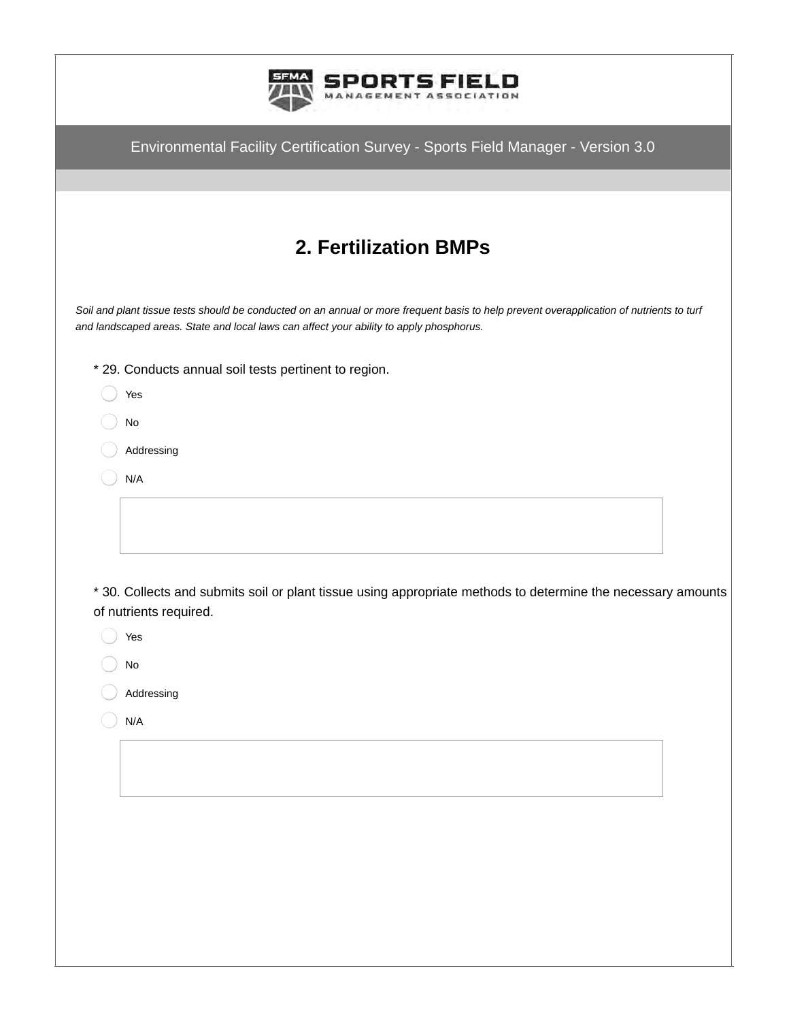| Environmental Facility Certification Survey - Sports Field Manager - Version 3.0                                                                                                                                                    |
|-------------------------------------------------------------------------------------------------------------------------------------------------------------------------------------------------------------------------------------|
|                                                                                                                                                                                                                                     |
| <b>2. Fertilization BMPs</b>                                                                                                                                                                                                        |
| Soil and plant tissue tests should be conducted on an annual or more frequent basis to help prevent overapplication of nutrients to turf<br>and landscaped areas. State and local laws can affect your ability to apply phosphorus. |
| * 29. Conducts annual soil tests pertinent to region.                                                                                                                                                                               |
| Yes                                                                                                                                                                                                                                 |
| No                                                                                                                                                                                                                                  |
| Addressing<br>N/A                                                                                                                                                                                                                   |
|                                                                                                                                                                                                                                     |
|                                                                                                                                                                                                                                     |
|                                                                                                                                                                                                                                     |
| * 30. Collects and submits soil or plant tissue using appropriate methods to determine the necessary amounts                                                                                                                        |
| of nutrients required.<br>Yes                                                                                                                                                                                                       |
| No                                                                                                                                                                                                                                  |

- Addressing  $(\ )$
- $\bigcirc$  N/A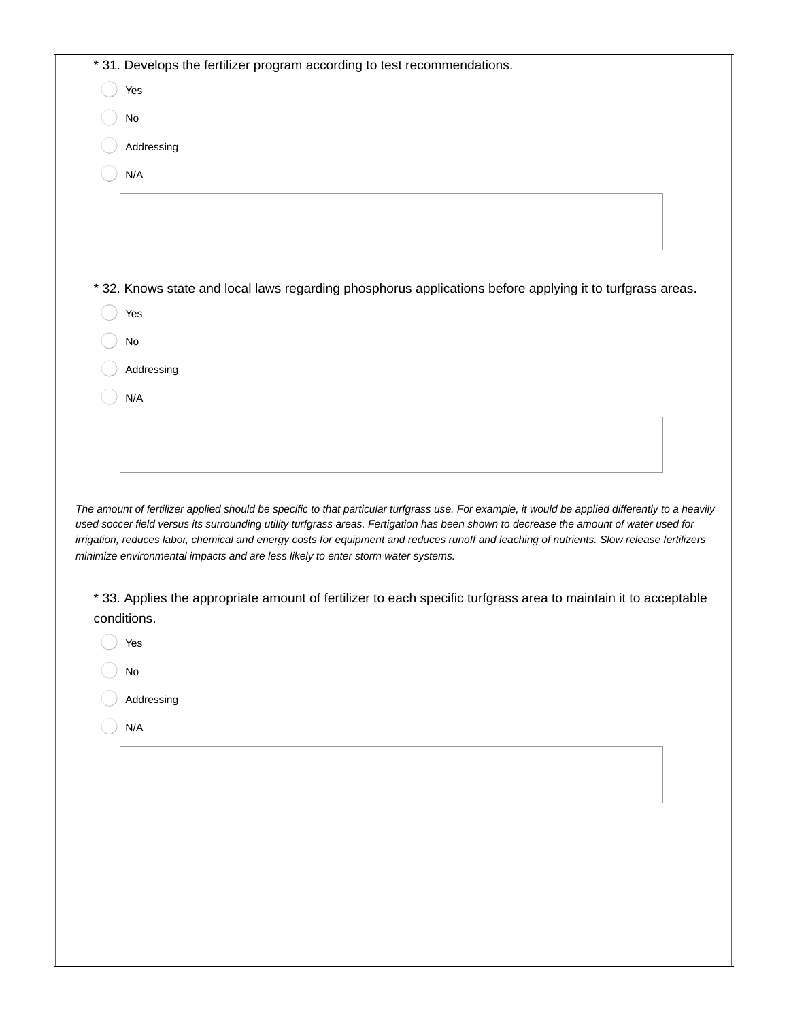| * 31. Develops the fertilizer program according to test recommendations.                                                                                                                                                      |
|-------------------------------------------------------------------------------------------------------------------------------------------------------------------------------------------------------------------------------|
| Yes                                                                                                                                                                                                                           |
| No                                                                                                                                                                                                                            |
| Addressing                                                                                                                                                                                                                    |
| N/A                                                                                                                                                                                                                           |
|                                                                                                                                                                                                                               |
|                                                                                                                                                                                                                               |
|                                                                                                                                                                                                                               |
| *32. Knows state and local laws regarding phosphorus applications before applying it to turfgrass areas.                                                                                                                      |
| Yes                                                                                                                                                                                                                           |
| No                                                                                                                                                                                                                            |
| Addressing                                                                                                                                                                                                                    |
| N/A                                                                                                                                                                                                                           |
|                                                                                                                                                                                                                               |
|                                                                                                                                                                                                                               |
|                                                                                                                                                                                                                               |
| The amount of fertilizer applied should be specific to that particular turfgrass use. For example, it would be applied differently to a heavily                                                                               |
| used soccer field versus its surrounding utility turfgrass areas. Fertigation has been shown to decrease the amount of water used for                                                                                         |
| irrigation, reduces labor, chemical and energy costs for equipment and reduces runoff and leaching of nutrients. Slow release fertilizers<br>minimize environmental impacts and are less likely to enter storm water systems. |
|                                                                                                                                                                                                                               |
| * 33. Applies the appropriate amount of fertilizer to each specific turfgrass area to maintain it to acceptable<br>conditions.                                                                                                |
|                                                                                                                                                                                                                               |

- Yes
- $\bigcirc$  No
- Addressing  $(\ )$
- $\bigcirc$  N/A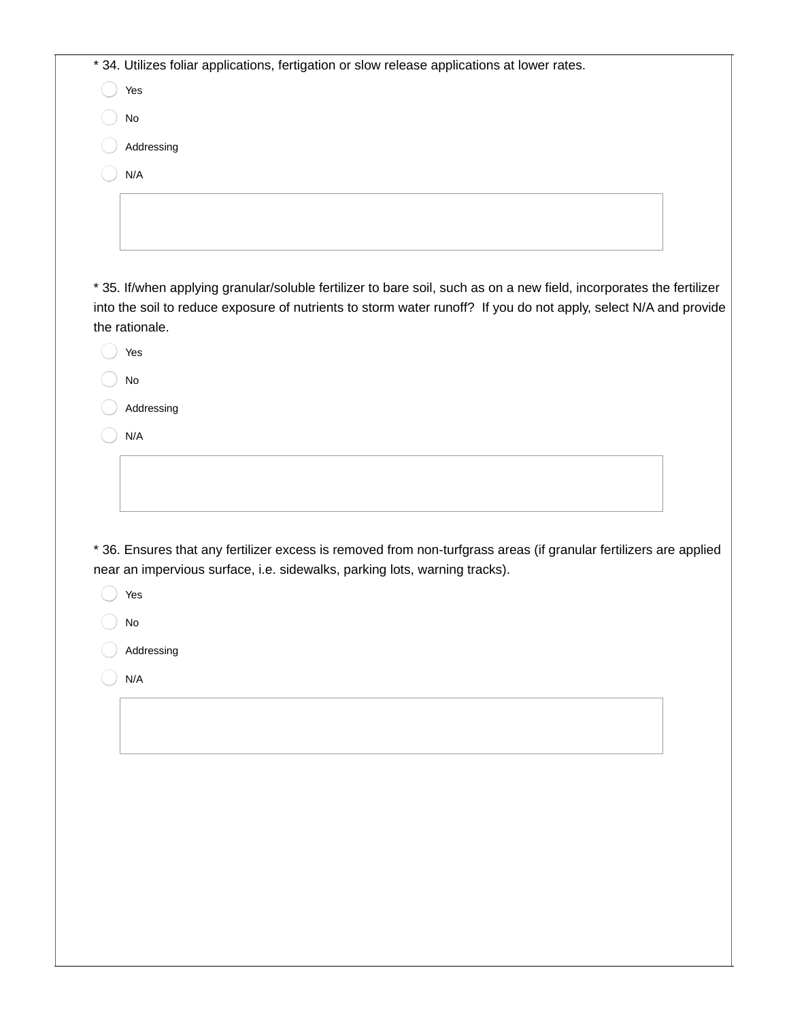| * 34. Utilizes foliar applications, fertigation or slow release applications at lower rates.<br>Yes<br>$\mathsf{No}$<br>Addressing<br>N/A<br>the rationale.<br>Yes<br>No<br>Addressing<br>N/A<br>near an impervious surface, i.e. sidewalks, parking lots, warning tracks).<br>Yes<br>No<br>Addressing<br>N/A                                                 |  |
|---------------------------------------------------------------------------------------------------------------------------------------------------------------------------------------------------------------------------------------------------------------------------------------------------------------------------------------------------------------|--|
|                                                                                                                                                                                                                                                                                                                                                               |  |
|                                                                                                                                                                                                                                                                                                                                                               |  |
|                                                                                                                                                                                                                                                                                                                                                               |  |
|                                                                                                                                                                                                                                                                                                                                                               |  |
|                                                                                                                                                                                                                                                                                                                                                               |  |
| * 35. If/when applying granular/soluble fertilizer to bare soil, such as on a new field, incorporates the fertilizer<br>into the soil to reduce exposure of nutrients to storm water runoff? If you do not apply, select N/A and provide<br>* 36. Ensures that any fertilizer excess is removed from non-turfgrass areas (if granular fertilizers are applied |  |
|                                                                                                                                                                                                                                                                                                                                                               |  |
|                                                                                                                                                                                                                                                                                                                                                               |  |
|                                                                                                                                                                                                                                                                                                                                                               |  |
|                                                                                                                                                                                                                                                                                                                                                               |  |
|                                                                                                                                                                                                                                                                                                                                                               |  |
|                                                                                                                                                                                                                                                                                                                                                               |  |
|                                                                                                                                                                                                                                                                                                                                                               |  |
|                                                                                                                                                                                                                                                                                                                                                               |  |
|                                                                                                                                                                                                                                                                                                                                                               |  |
|                                                                                                                                                                                                                                                                                                                                                               |  |
|                                                                                                                                                                                                                                                                                                                                                               |  |
|                                                                                                                                                                                                                                                                                                                                                               |  |
|                                                                                                                                                                                                                                                                                                                                                               |  |
|                                                                                                                                                                                                                                                                                                                                                               |  |
|                                                                                                                                                                                                                                                                                                                                                               |  |
|                                                                                                                                                                                                                                                                                                                                                               |  |
|                                                                                                                                                                                                                                                                                                                                                               |  |
|                                                                                                                                                                                                                                                                                                                                                               |  |
|                                                                                                                                                                                                                                                                                                                                                               |  |
|                                                                                                                                                                                                                                                                                                                                                               |  |
|                                                                                                                                                                                                                                                                                                                                                               |  |
|                                                                                                                                                                                                                                                                                                                                                               |  |
|                                                                                                                                                                                                                                                                                                                                                               |  |
|                                                                                                                                                                                                                                                                                                                                                               |  |
|                                                                                                                                                                                                                                                                                                                                                               |  |
|                                                                                                                                                                                                                                                                                                                                                               |  |
|                                                                                                                                                                                                                                                                                                                                                               |  |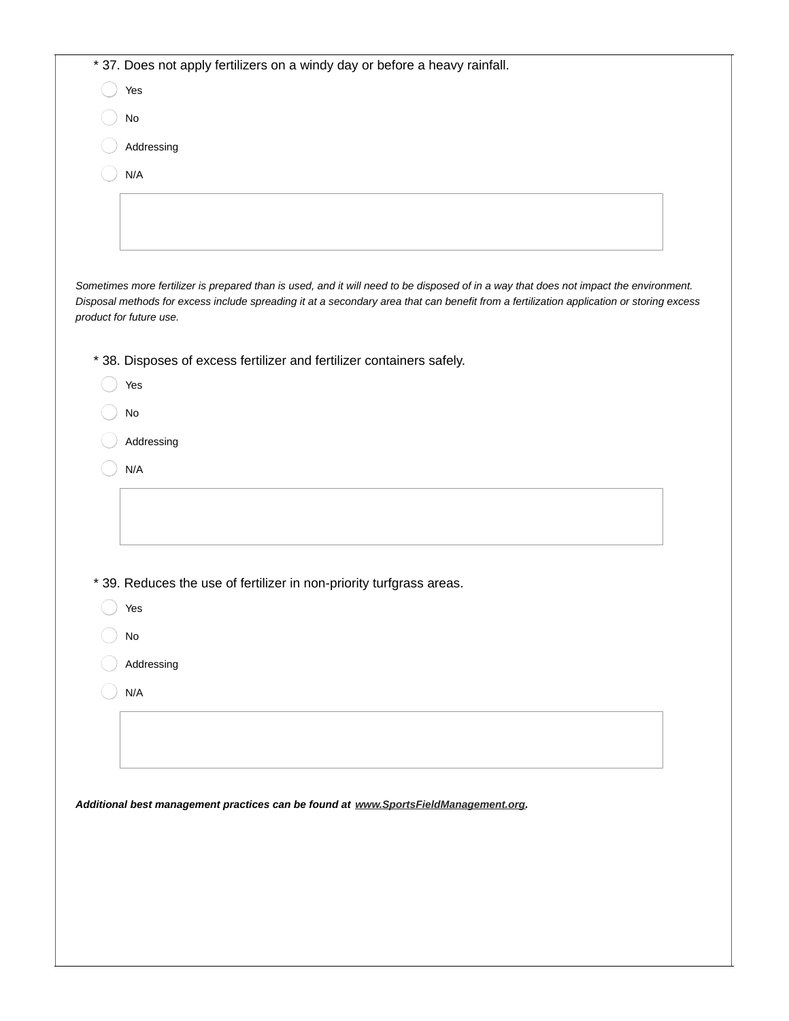| * 37. Does not apply fertilizers on a windy day or before a heavy rainfall.                                                                                                                                                                                                                                  |
|--------------------------------------------------------------------------------------------------------------------------------------------------------------------------------------------------------------------------------------------------------------------------------------------------------------|
| Yes                                                                                                                                                                                                                                                                                                          |
| $\mathsf{No}$                                                                                                                                                                                                                                                                                                |
| Addressing                                                                                                                                                                                                                                                                                                   |
| N/A                                                                                                                                                                                                                                                                                                          |
|                                                                                                                                                                                                                                                                                                              |
|                                                                                                                                                                                                                                                                                                              |
|                                                                                                                                                                                                                                                                                                              |
| Sometimes more fertilizer is prepared than is used, and it will need to be disposed of in a way that does not impact the environment.<br>Disposal methods for excess include spreading it at a secondary area that can benefit from a fertilization application or storing excess<br>product for future use. |
| * 38. Disposes of excess fertilizer and fertilizer containers safely.                                                                                                                                                                                                                                        |
| Yes                                                                                                                                                                                                                                                                                                          |
| No                                                                                                                                                                                                                                                                                                           |
| Addressing                                                                                                                                                                                                                                                                                                   |
| N/A                                                                                                                                                                                                                                                                                                          |
|                                                                                                                                                                                                                                                                                                              |
| * 39. Reduces the use of fertilizer in non-priority turfgrass areas.                                                                                                                                                                                                                                         |
| Yes                                                                                                                                                                                                                                                                                                          |
| $\operatorname{\mathsf{No}}$                                                                                                                                                                                                                                                                                 |
| Addressing                                                                                                                                                                                                                                                                                                   |
| N/A                                                                                                                                                                                                                                                                                                          |
|                                                                                                                                                                                                                                                                                                              |
|                                                                                                                                                                                                                                                                                                              |
|                                                                                                                                                                                                                                                                                                              |
| Additional best management practices can be found at www.SportsFieldManagement.org.                                                                                                                                                                                                                          |
|                                                                                                                                                                                                                                                                                                              |
|                                                                                                                                                                                                                                                                                                              |
|                                                                                                                                                                                                                                                                                                              |
|                                                                                                                                                                                                                                                                                                              |
|                                                                                                                                                                                                                                                                                                              |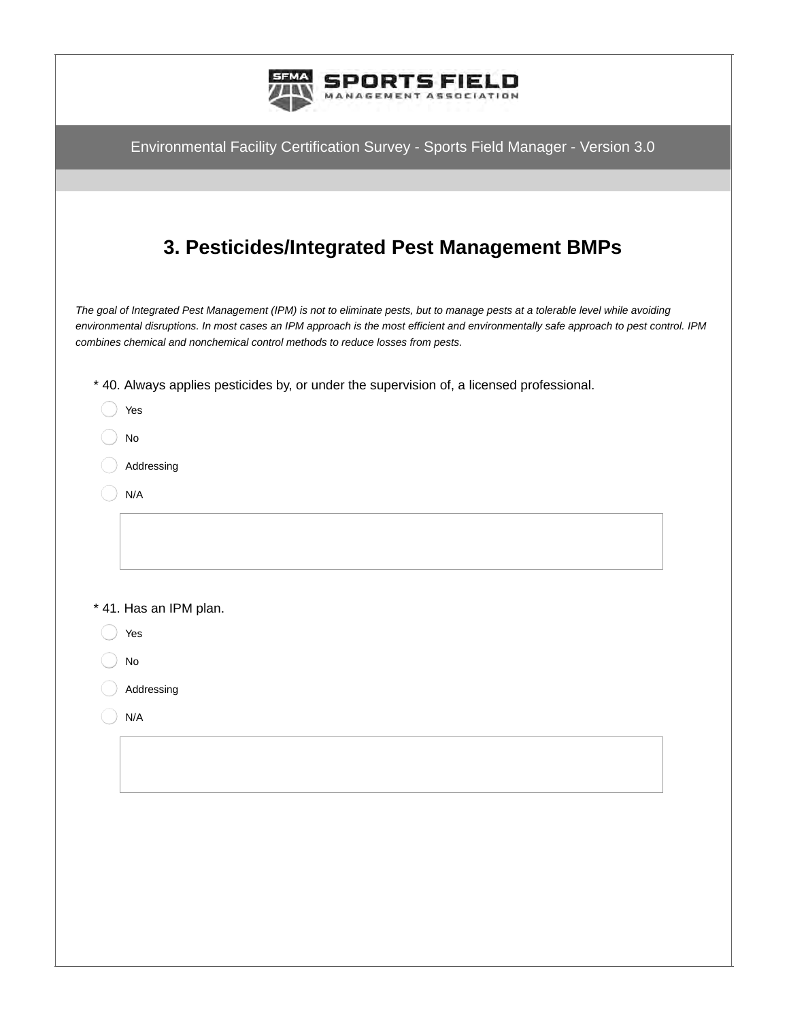|               | <b>S FIELD</b>                                                                                                                                                                                                                                                                                                                                             |  |
|---------------|------------------------------------------------------------------------------------------------------------------------------------------------------------------------------------------------------------------------------------------------------------------------------------------------------------------------------------------------------------|--|
|               | Environmental Facility Certification Survey - Sports Field Manager - Version 3.0                                                                                                                                                                                                                                                                           |  |
|               |                                                                                                                                                                                                                                                                                                                                                            |  |
|               | 3. Pesticides/Integrated Pest Management BMPs                                                                                                                                                                                                                                                                                                              |  |
|               | The goal of Integrated Pest Management (IPM) is not to eliminate pests, but to manage pests at a tolerable level while avoiding<br>environmental disruptions. In most cases an IPM approach is the most efficient and environmentally safe approach to pest control. IPM<br>combines chemical and nonchemical control methods to reduce losses from pests. |  |
|               | * 40. Always applies pesticides by, or under the supervision of, a licensed professional.                                                                                                                                                                                                                                                                  |  |
|               | Yes                                                                                                                                                                                                                                                                                                                                                        |  |
|               | No                                                                                                                                                                                                                                                                                                                                                         |  |
|               | Addressing<br>N/A                                                                                                                                                                                                                                                                                                                                          |  |
|               |                                                                                                                                                                                                                                                                                                                                                            |  |
|               |                                                                                                                                                                                                                                                                                                                                                            |  |
|               | * 41. Has an IPM plan.                                                                                                                                                                                                                                                                                                                                     |  |
| $\bigcup$ Yes |                                                                                                                                                                                                                                                                                                                                                            |  |
|               | No                                                                                                                                                                                                                                                                                                                                                         |  |
|               | Addressing                                                                                                                                                                                                                                                                                                                                                 |  |
|               | N/A                                                                                                                                                                                                                                                                                                                                                        |  |
|               |                                                                                                                                                                                                                                                                                                                                                            |  |
|               |                                                                                                                                                                                                                                                                                                                                                            |  |
|               |                                                                                                                                                                                                                                                                                                                                                            |  |
|               |                                                                                                                                                                                                                                                                                                                                                            |  |
|               |                                                                                                                                                                                                                                                                                                                                                            |  |
|               |                                                                                                                                                                                                                                                                                                                                                            |  |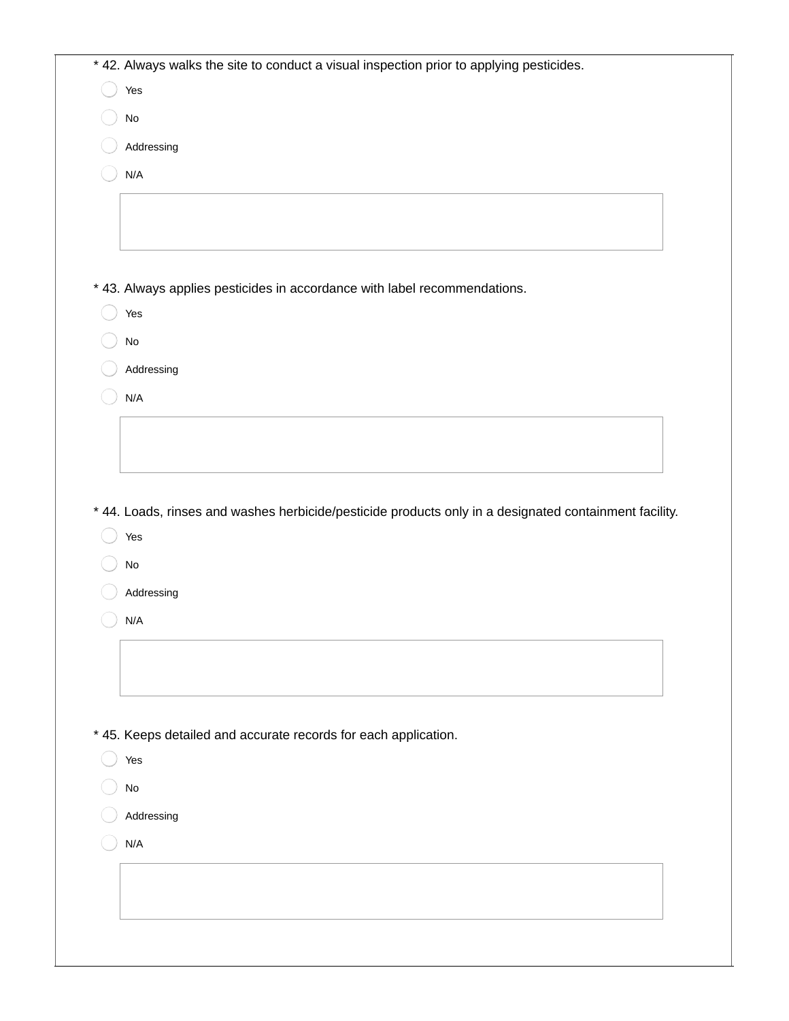| Yes                                                                                                    |
|--------------------------------------------------------------------------------------------------------|
| $\operatorname{\mathsf{No}}$                                                                           |
| Addressing                                                                                             |
| N/A                                                                                                    |
|                                                                                                        |
|                                                                                                        |
|                                                                                                        |
| * 43. Always applies pesticides in accordance with label recommendations.                              |
| Yes                                                                                                    |
| $\operatorname{\mathsf{No}}$                                                                           |
| Addressing                                                                                             |
| N/A                                                                                                    |
|                                                                                                        |
|                                                                                                        |
|                                                                                                        |
| * 44. Loads, rinses and washes herbicide/pesticide products only in a designated containment facility. |
| Yes<br>$\operatorname{\mathsf{No}}$<br>Addressing                                                      |
| N/A                                                                                                    |
|                                                                                                        |
|                                                                                                        |
|                                                                                                        |
| * 45. Keeps detailed and accurate records for each application.                                        |
| Yes                                                                                                    |
| $\mathsf{No}$                                                                                          |
| Addressing                                                                                             |
| N/A                                                                                                    |
|                                                                                                        |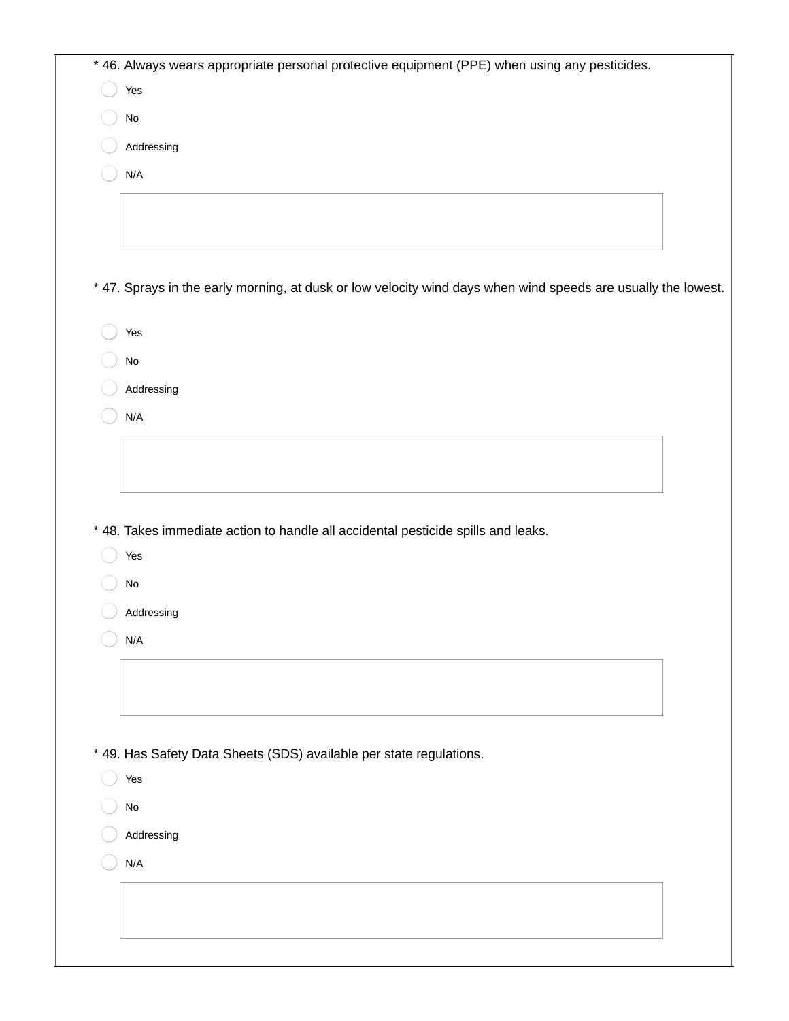| * 46. Always wears appropriate personal protective equipment (PPE) when using any pesticides.                 |  |
|---------------------------------------------------------------------------------------------------------------|--|
| Yes                                                                                                           |  |
| $\operatorname{\mathsf{No}}$                                                                                  |  |
| Addressing                                                                                                    |  |
| N/A                                                                                                           |  |
|                                                                                                               |  |
|                                                                                                               |  |
|                                                                                                               |  |
| * 47. Sprays in the early morning, at dusk or low velocity wind days when wind speeds are usually the lowest. |  |
| Yes                                                                                                           |  |
| $\operatorname{\mathsf{No}}$                                                                                  |  |
| Addressing                                                                                                    |  |
| N/A                                                                                                           |  |
|                                                                                                               |  |
|                                                                                                               |  |
|                                                                                                               |  |
| * 48. Takes immediate action to handle all accidental pesticide spills and leaks.                             |  |
| Yes                                                                                                           |  |
| $\operatorname{\mathsf{No}}$                                                                                  |  |
| Addressing                                                                                                    |  |
| N/A                                                                                                           |  |
|                                                                                                               |  |
|                                                                                                               |  |
|                                                                                                               |  |
|                                                                                                               |  |
| * 49. Has Safety Data Sheets (SDS) available per state regulations.<br>Yes                                    |  |
|                                                                                                               |  |
| $\mathsf{No}$                                                                                                 |  |
| Addressing                                                                                                    |  |
| N/A                                                                                                           |  |
|                                                                                                               |  |
|                                                                                                               |  |
|                                                                                                               |  |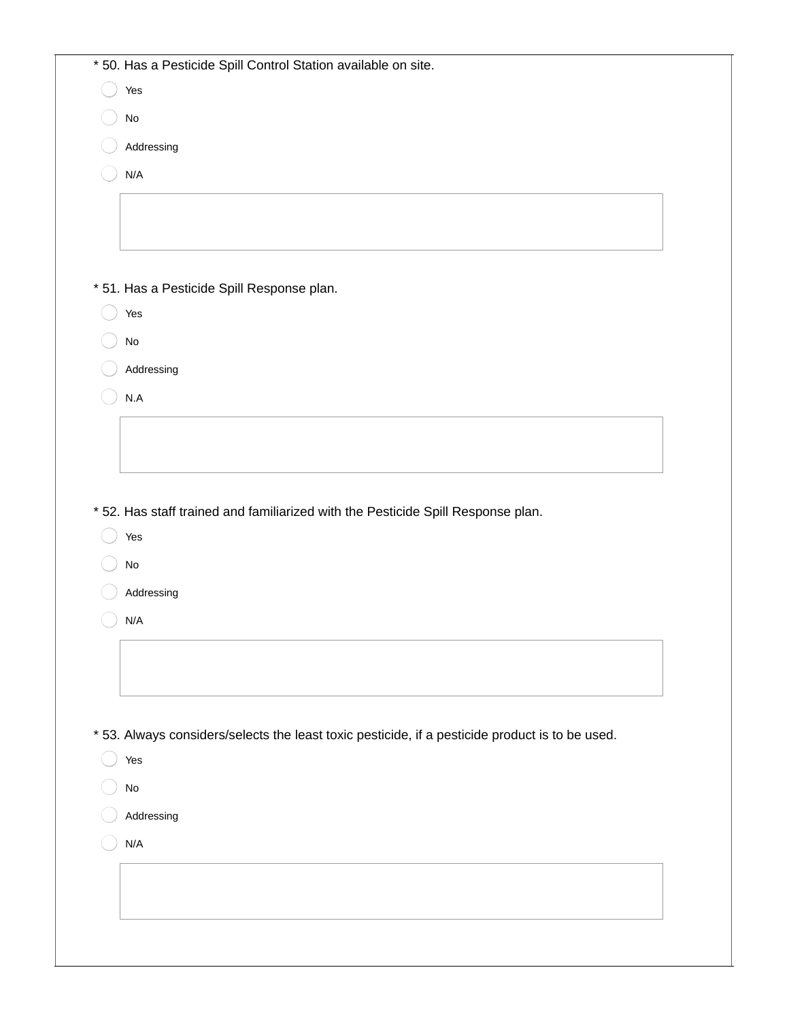| * 50. Has a Pesticide Spill Control Station available on site.                                  |
|-------------------------------------------------------------------------------------------------|
| Yes                                                                                             |
| $\operatorname{\mathsf{No}}$                                                                    |
| Addressing                                                                                      |
| N/A                                                                                             |
|                                                                                                 |
|                                                                                                 |
|                                                                                                 |
| * 51. Has a Pesticide Spill Response plan.                                                      |
| Yes                                                                                             |
| No                                                                                              |
| Addressing                                                                                      |
| N.A                                                                                             |
|                                                                                                 |
|                                                                                                 |
|                                                                                                 |
| * 52. Has staff trained and familiarized with the Pesticide Spill Response plan.                |
| Yes                                                                                             |
| $\rm No$                                                                                        |
| Addressing                                                                                      |
| N/A                                                                                             |
|                                                                                                 |
|                                                                                                 |
|                                                                                                 |
| * 53. Always considers/selects the least toxic pesticide, if a pesticide product is to be used. |
|                                                                                                 |
| Yes                                                                                             |
|                                                                                                 |
| $\mathsf{No}$                                                                                   |
| Addressing                                                                                      |
| N/A                                                                                             |
|                                                                                                 |
|                                                                                                 |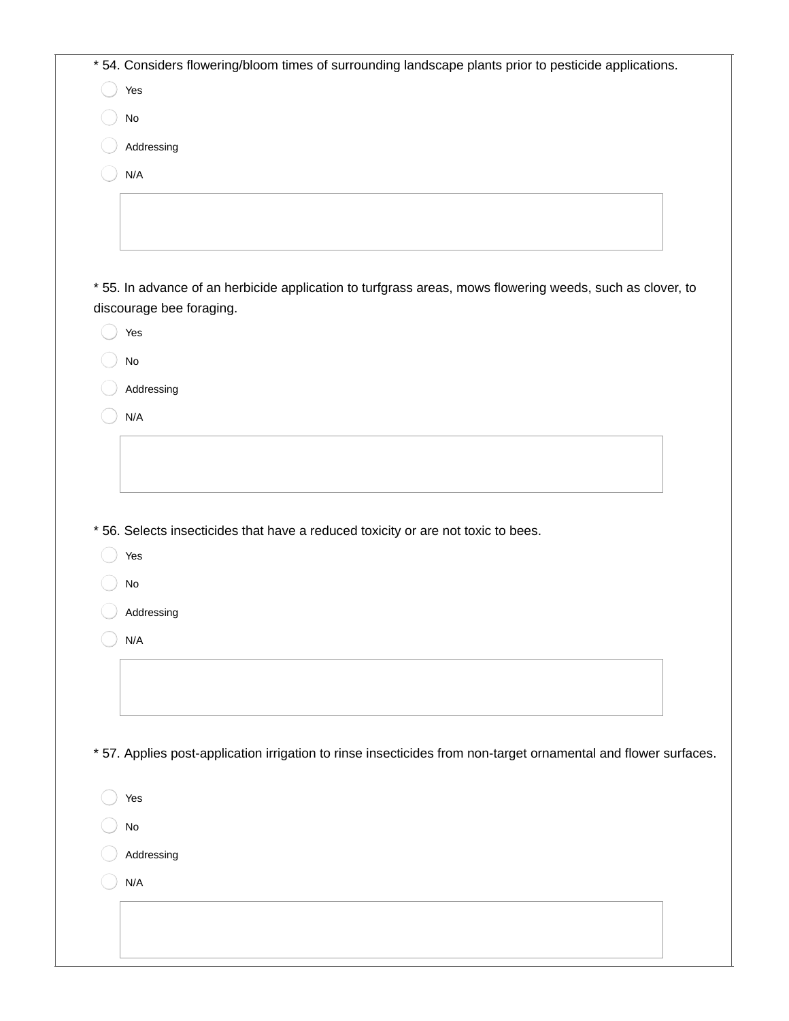| * 54. Considers flowering/bloom times of surrounding landscape plants prior to pesticide applications.                                |
|---------------------------------------------------------------------------------------------------------------------------------------|
| Yes                                                                                                                                   |
| No                                                                                                                                    |
| Addressing                                                                                                                            |
| N/A                                                                                                                                   |
|                                                                                                                                       |
|                                                                                                                                       |
|                                                                                                                                       |
| * 55. In advance of an herbicide application to turfgrass areas, mows flowering weeds, such as clover, to<br>discourage bee foraging. |
| Yes                                                                                                                                   |
| No                                                                                                                                    |
| Addressing                                                                                                                            |
| N/A                                                                                                                                   |
|                                                                                                                                       |
|                                                                                                                                       |
|                                                                                                                                       |
| * 56. Selects insecticides that have a reduced toxicity or are not toxic to bees.                                                     |
| Yes                                                                                                                                   |
| No                                                                                                                                    |
| Addressing                                                                                                                            |
| N/A                                                                                                                                   |
|                                                                                                                                       |
|                                                                                                                                       |
|                                                                                                                                       |
| * 57. Applies post-application irrigation to rinse insecticides from non-target ornamental and flower surfaces.                       |
| Yes                                                                                                                                   |
| No                                                                                                                                    |
| Addressing                                                                                                                            |
| N/A                                                                                                                                   |
|                                                                                                                                       |
|                                                                                                                                       |
|                                                                                                                                       |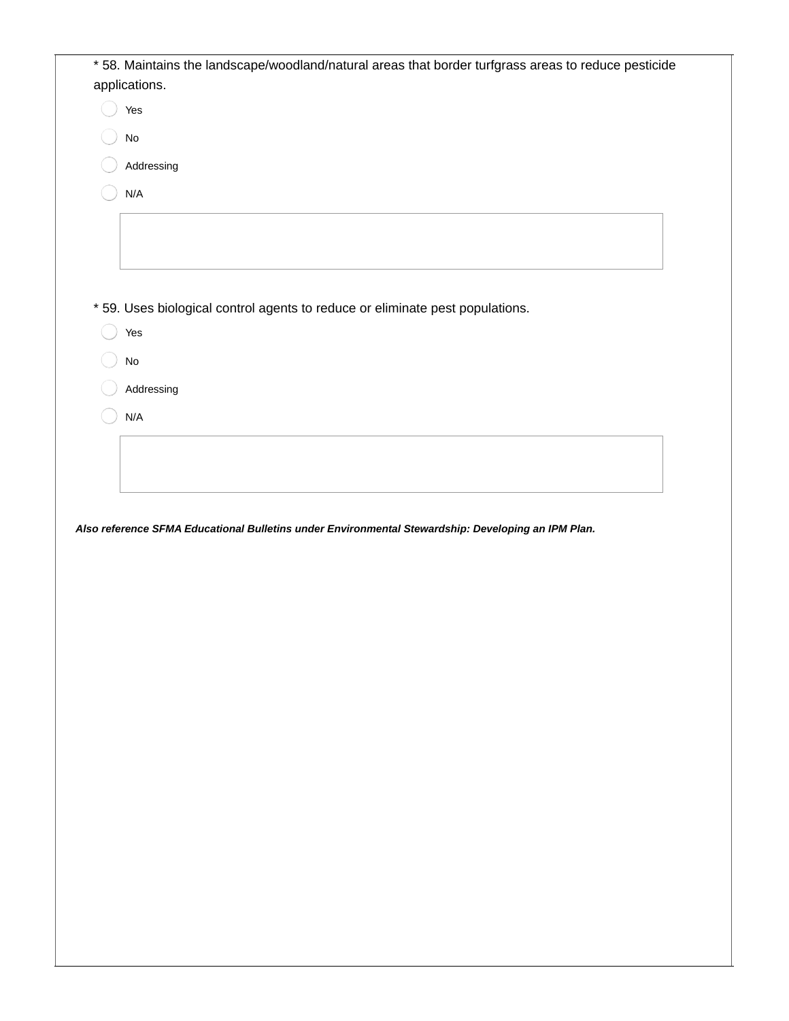| * 58. Maintains the landscape/woodland/natural areas that border turfgrass areas to reduce pesticide |
|------------------------------------------------------------------------------------------------------|
| applications.                                                                                        |
| Yes                                                                                                  |
| $\mathsf{No}$                                                                                        |
| Addressing                                                                                           |
|                                                                                                      |
| N/A                                                                                                  |
|                                                                                                      |
|                                                                                                      |
|                                                                                                      |
| * 59. Uses biological control agents to reduce or eliminate pest populations.                        |
| Yes                                                                                                  |
| $\operatorname{\mathsf{No}}$                                                                         |
|                                                                                                      |
| Addressing                                                                                           |
|                                                                                                      |
| N/A                                                                                                  |
|                                                                                                      |
|                                                                                                      |
|                                                                                                      |
| Also reference SFMA Educational Bulletins under Environmental Stewardship: Developing an IPM Plan.   |
|                                                                                                      |
|                                                                                                      |
|                                                                                                      |
|                                                                                                      |
|                                                                                                      |
|                                                                                                      |
|                                                                                                      |
|                                                                                                      |
|                                                                                                      |
|                                                                                                      |
|                                                                                                      |
|                                                                                                      |
|                                                                                                      |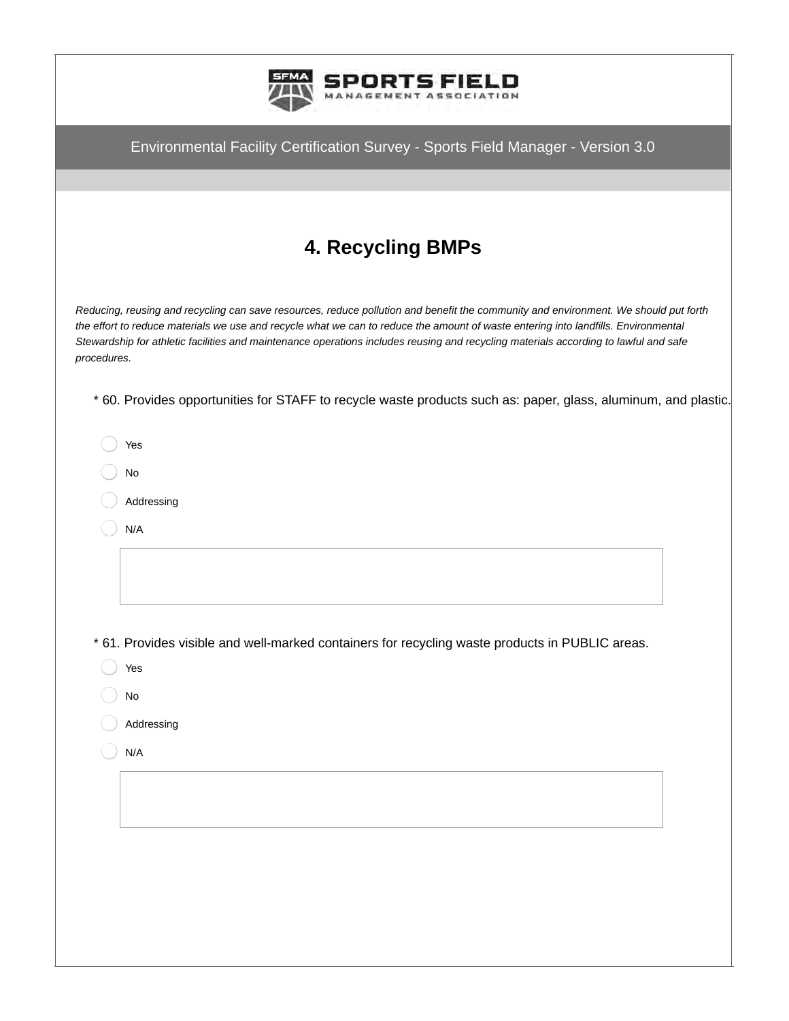

Environmental Facility Certification Survey - Sports Field Manager - Version 3.0 **4. Recycling BMPs** *Reducing, reusing and recycling can save resources, reduce pollution and benefit the community and environment. We should put forth the effort to reduce materials we use and recycle what we can to reduce the amount of waste entering into landfills. Environmental Stewardship for athletic facilities and maintenance operations includes reusing and recycling materials according to lawful and safe procedures.* \* 60. Provides opportunities for STAFF to recycle waste products such as: paper, glass, aluminum, and plastic. Yes No Addressing N/A \* 61. Provides visible and well-marked containers for recycling waste products in PUBLIC areas. Yes No Addressing N/A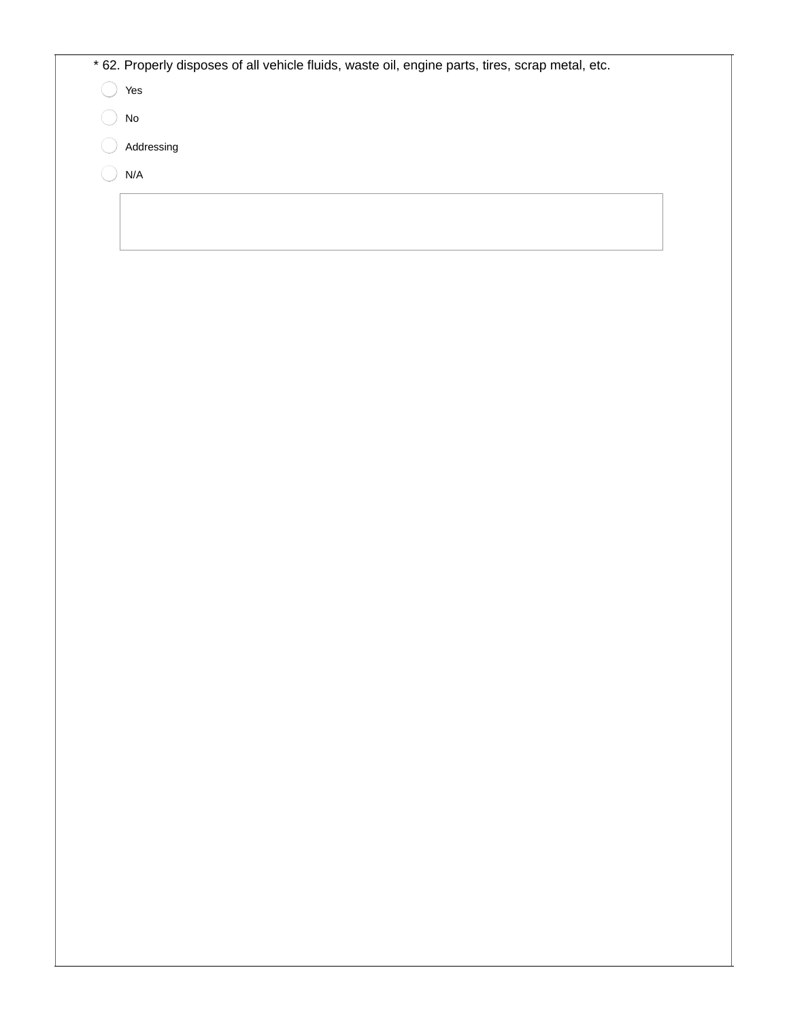| * 62. Properly disposes of all vehicle fluids, waste oil, engine parts, tires, scrap metal, etc. |  |
|--------------------------------------------------------------------------------------------------|--|
| Yes                                                                                              |  |
| No                                                                                               |  |
| Addressing                                                                                       |  |
| N/A                                                                                              |  |
|                                                                                                  |  |
|                                                                                                  |  |
|                                                                                                  |  |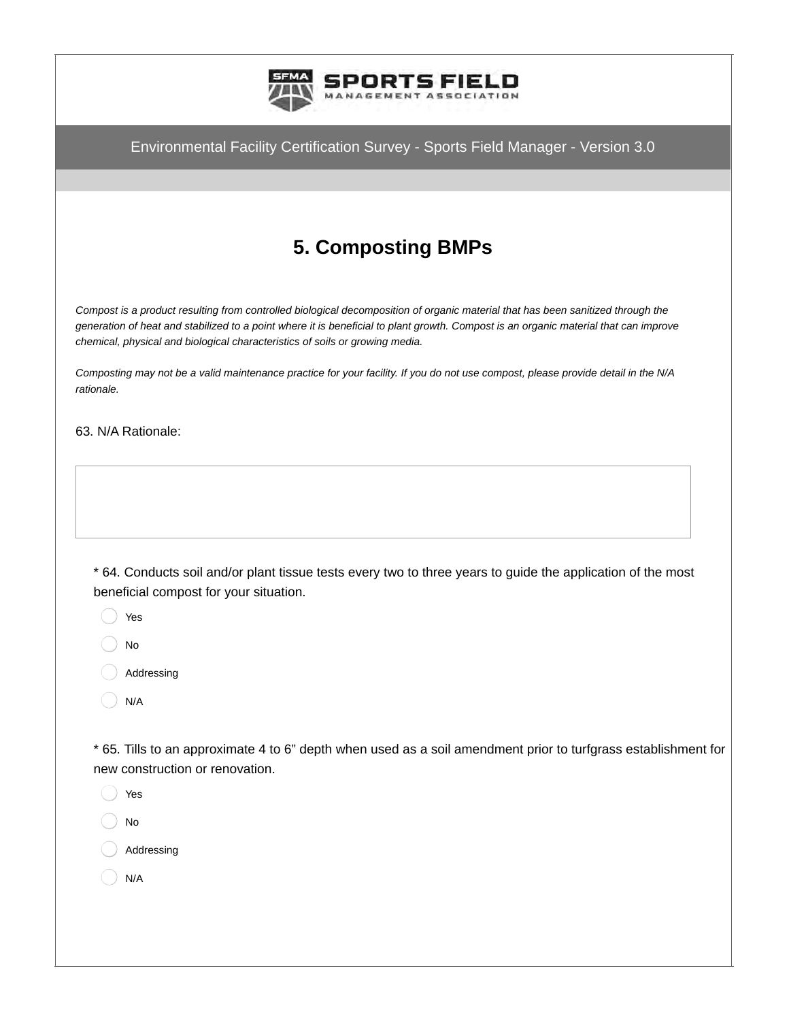

# **5. Composting BMPs**

*Compost is a product resulting from controlled biological decomposition of organic material that has been sanitized through the generation of heat and stabilized to a point where it is beneficial to plant growth. Compost is an organic material that can improve chemical, physical and biological characteristics of soils or growing media.*

*Composting may not be a valid maintenance practice for your facility. If you do not use compost, please provide detail in the N/A rationale.*

63. N/A Rationale:

\* 64. Conducts soil and/or plant tissue tests every two to three years to guide the application of the most beneficial compost for your situation.

- Yes
- No
- Addressing
- N/A

\* 65. Tills to an approximate 4 to 6" depth when used as a soil amendment prior to turfgrass establishment for new construction or renovation.

- Yes
- No
- Addressing
- N/A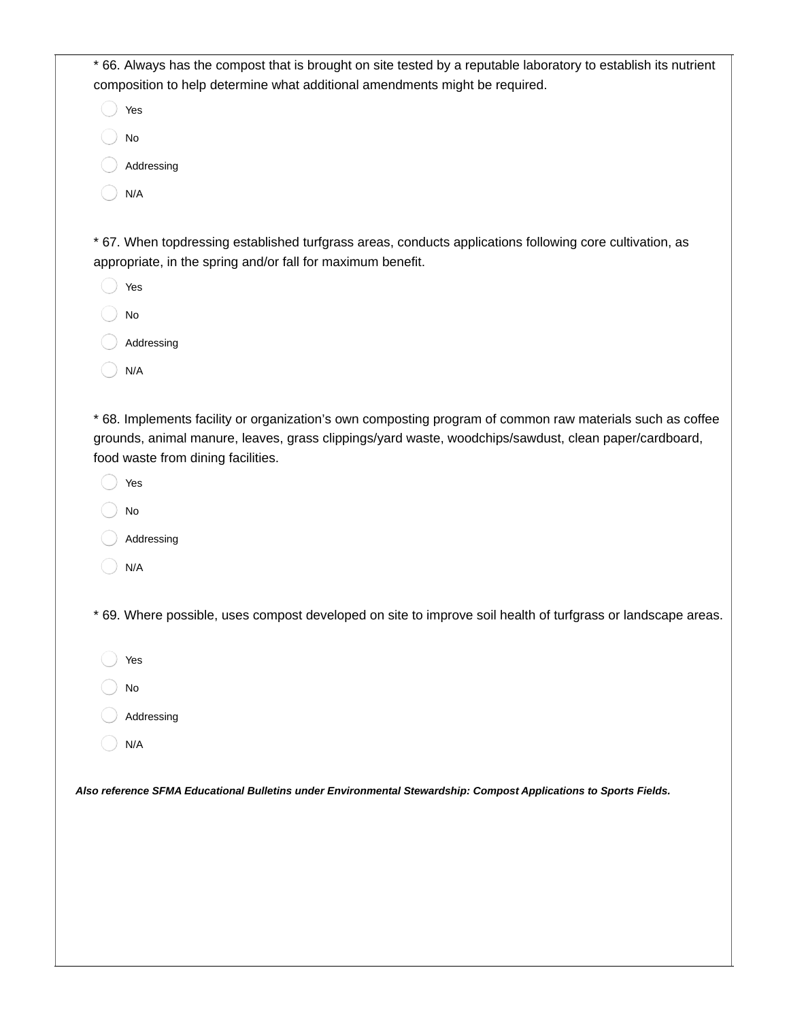\* 66. Always has the compost that is brought on site tested by a reputable laboratory to establish its nutrient composition to help determine what additional amendments might be required.

| Yes        |
|------------|
| No         |
| Addressing |
| N/A        |

\* 67. When topdressing established turfgrass areas, conducts applications following core cultivation, as appropriate, in the spring and/or fall for maximum benefit.

- Yes No Addressing
- N/A

\* 68. Implements facility or organization's own composting program of common raw materials such as coffee grounds, animal manure, leaves, grass clippings/yard waste, woodchips/sawdust, clean paper/cardboard, food waste from dining facilities.

- Yes
- No
- Addressing
- N/A

\* 69. Where possible, uses compost developed on site to improve soil health of turfgrass or landscape areas.

- Yes
- No
- Addressing
- N/A

*Also reference SFMA Educational Bulletins under Environmental Stewardship: Compost Applications to Sports Fields.*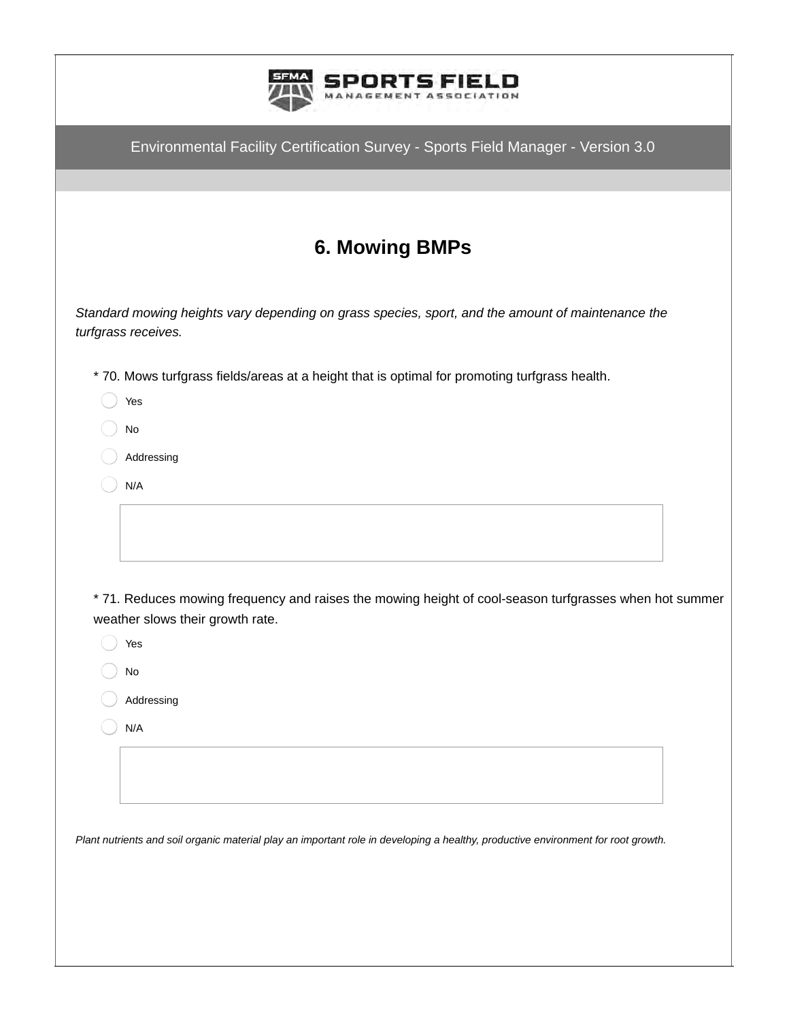| Environmental Facility Certification Survey - Sports Field Manager - Version 3.0<br><b>6. Mowing BMPs</b><br>* 70. Mows turfgrass fields/areas at a height that is optimal for promoting turfgrass health.<br>Yes<br>No<br>Addressing<br>N/A<br>* 71. Reduces mowing frequency and raises the mowing height of cool-season turfgrasses when hot summer<br>weather slows their growth rate.<br>Yes<br>$\mathsf{No}$<br>Addressing<br>N/A<br>Plant nutrients and soil organic material play an important role in developing a healthy, productive environment for root growth. |                                                                                                                          |
|------------------------------------------------------------------------------------------------------------------------------------------------------------------------------------------------------------------------------------------------------------------------------------------------------------------------------------------------------------------------------------------------------------------------------------------------------------------------------------------------------------------------------------------------------------------------------|--------------------------------------------------------------------------------------------------------------------------|
|                                                                                                                                                                                                                                                                                                                                                                                                                                                                                                                                                                              |                                                                                                                          |
|                                                                                                                                                                                                                                                                                                                                                                                                                                                                                                                                                                              |                                                                                                                          |
|                                                                                                                                                                                                                                                                                                                                                                                                                                                                                                                                                                              |                                                                                                                          |
|                                                                                                                                                                                                                                                                                                                                                                                                                                                                                                                                                                              |                                                                                                                          |
|                                                                                                                                                                                                                                                                                                                                                                                                                                                                                                                                                                              | Standard mowing heights vary depending on grass species, sport, and the amount of maintenance the<br>turfgrass receives. |
|                                                                                                                                                                                                                                                                                                                                                                                                                                                                                                                                                                              |                                                                                                                          |
|                                                                                                                                                                                                                                                                                                                                                                                                                                                                                                                                                                              |                                                                                                                          |
|                                                                                                                                                                                                                                                                                                                                                                                                                                                                                                                                                                              |                                                                                                                          |
|                                                                                                                                                                                                                                                                                                                                                                                                                                                                                                                                                                              |                                                                                                                          |
|                                                                                                                                                                                                                                                                                                                                                                                                                                                                                                                                                                              |                                                                                                                          |
|                                                                                                                                                                                                                                                                                                                                                                                                                                                                                                                                                                              |                                                                                                                          |
|                                                                                                                                                                                                                                                                                                                                                                                                                                                                                                                                                                              |                                                                                                                          |
|                                                                                                                                                                                                                                                                                                                                                                                                                                                                                                                                                                              |                                                                                                                          |
|                                                                                                                                                                                                                                                                                                                                                                                                                                                                                                                                                                              |                                                                                                                          |
|                                                                                                                                                                                                                                                                                                                                                                                                                                                                                                                                                                              |                                                                                                                          |
|                                                                                                                                                                                                                                                                                                                                                                                                                                                                                                                                                                              |                                                                                                                          |
|                                                                                                                                                                                                                                                                                                                                                                                                                                                                                                                                                                              |                                                                                                                          |
|                                                                                                                                                                                                                                                                                                                                                                                                                                                                                                                                                                              |                                                                                                                          |
|                                                                                                                                                                                                                                                                                                                                                                                                                                                                                                                                                                              |                                                                                                                          |
|                                                                                                                                                                                                                                                                                                                                                                                                                                                                                                                                                                              |                                                                                                                          |
|                                                                                                                                                                                                                                                                                                                                                                                                                                                                                                                                                                              |                                                                                                                          |
|                                                                                                                                                                                                                                                                                                                                                                                                                                                                                                                                                                              |                                                                                                                          |
|                                                                                                                                                                                                                                                                                                                                                                                                                                                                                                                                                                              |                                                                                                                          |
|                                                                                                                                                                                                                                                                                                                                                                                                                                                                                                                                                                              |                                                                                                                          |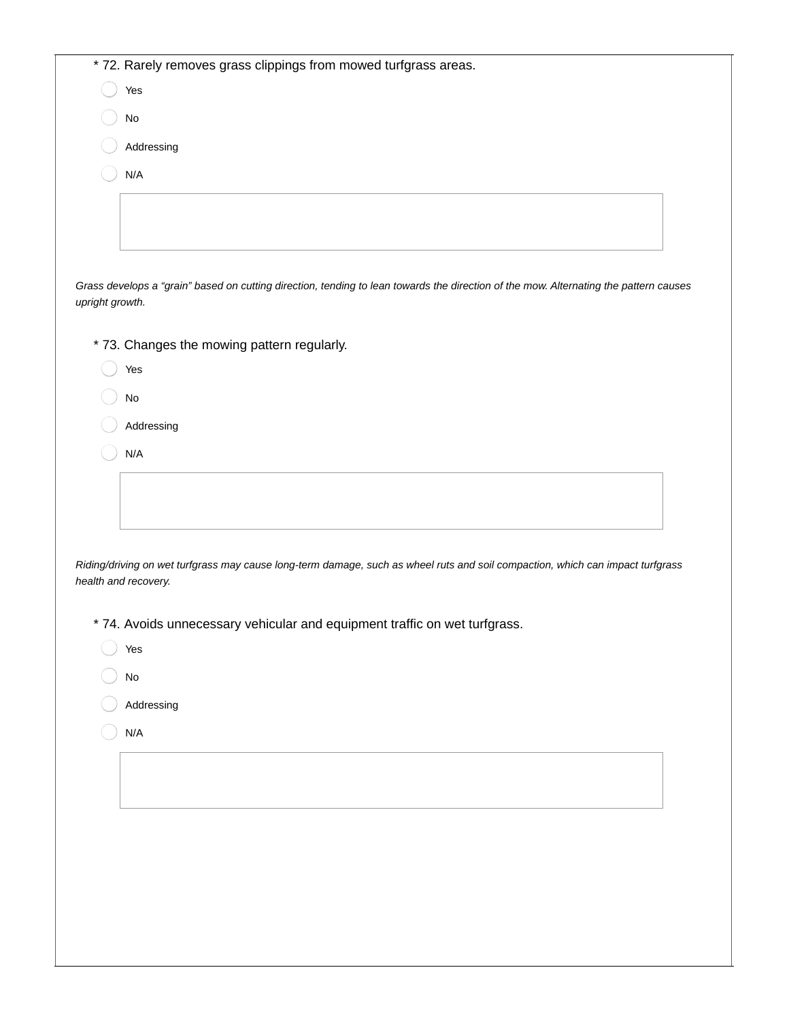|                 | * 72. Rarely removes grass clippings from mowed turfgrass areas.                                                                                       |
|-----------------|--------------------------------------------------------------------------------------------------------------------------------------------------------|
|                 | Yes                                                                                                                                                    |
|                 | $\mathsf{No}$                                                                                                                                          |
|                 | Addressing                                                                                                                                             |
|                 | N/A                                                                                                                                                    |
|                 |                                                                                                                                                        |
|                 |                                                                                                                                                        |
|                 |                                                                                                                                                        |
| upright growth. | Grass develops a "grain" based on cutting direction, tending to lean towards the direction of the mow. Alternating the pattern causes                  |
|                 | * 73. Changes the mowing pattern regularly.                                                                                                            |
|                 | Yes                                                                                                                                                    |
|                 | $\rm No$                                                                                                                                               |
|                 | Addressing                                                                                                                                             |
|                 | N/A                                                                                                                                                    |
|                 |                                                                                                                                                        |
|                 |                                                                                                                                                        |
|                 |                                                                                                                                                        |
|                 | Riding/driving on wet turfgrass may cause long-term damage, such as wheel ruts and soil compaction, which can impact turfgrass<br>health and recovery. |
|                 | * 74. Avoids unnecessary vehicular and equipment traffic on wet turfgrass.                                                                             |
|                 | Yes                                                                                                                                                    |
|                 | No                                                                                                                                                     |
|                 | Addressing                                                                                                                                             |
|                 | N/A                                                                                                                                                    |
|                 |                                                                                                                                                        |
|                 |                                                                                                                                                        |
|                 |                                                                                                                                                        |
|                 |                                                                                                                                                        |
|                 |                                                                                                                                                        |
|                 |                                                                                                                                                        |
|                 |                                                                                                                                                        |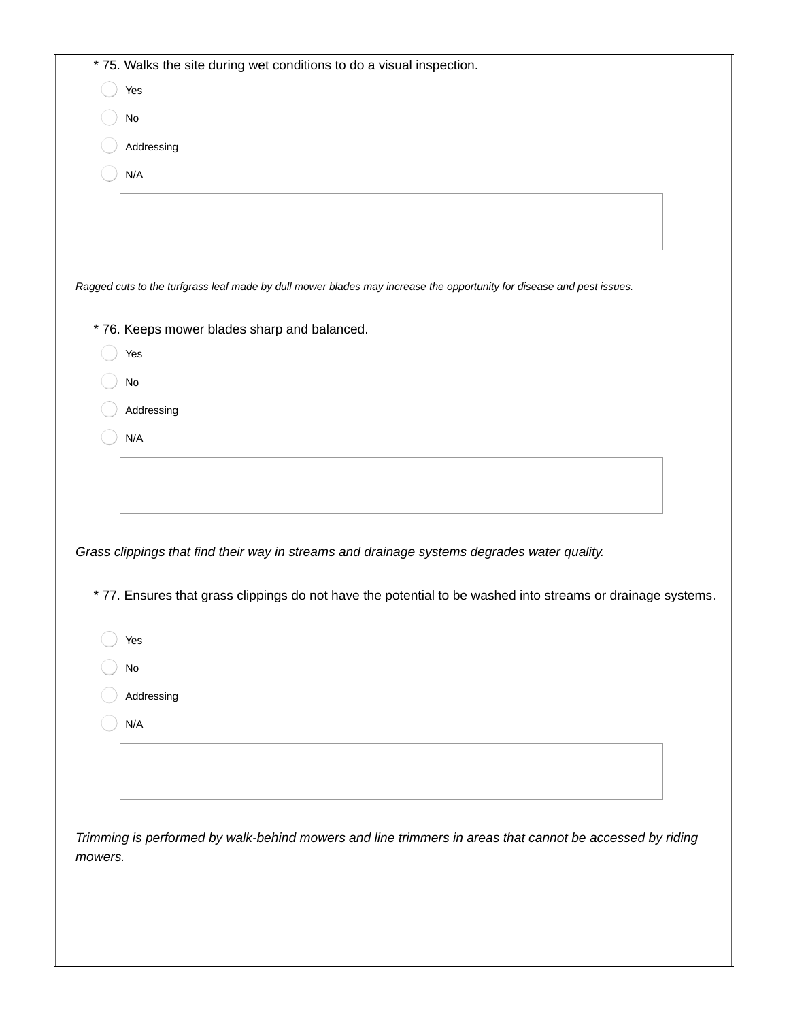|         | * 75. Walks the site during wet conditions to do a visual inspection.                                                 |  |
|---------|-----------------------------------------------------------------------------------------------------------------------|--|
|         | Yes                                                                                                                   |  |
|         | $\mathsf{No}$                                                                                                         |  |
|         | Addressing                                                                                                            |  |
|         | N/A                                                                                                                   |  |
|         |                                                                                                                       |  |
|         |                                                                                                                       |  |
|         |                                                                                                                       |  |
|         |                                                                                                                       |  |
|         | Ragged cuts to the turfgrass leaf made by dull mower blades may increase the opportunity for disease and pest issues. |  |
|         | * 76. Keeps mower blades sharp and balanced.                                                                          |  |
|         | Yes                                                                                                                   |  |
|         | $\mathsf{No}$                                                                                                         |  |
|         | Addressing                                                                                                            |  |
|         | N/A                                                                                                                   |  |
|         |                                                                                                                       |  |
|         |                                                                                                                       |  |
|         |                                                                                                                       |  |
|         |                                                                                                                       |  |
|         | Grass clippings that find their way in streams and drainage systems degrades water quality.                           |  |
|         | * 77. Ensures that grass clippings do not have the potential to be washed into streams or drainage systems.           |  |
|         | Yes                                                                                                                   |  |
|         | $\mathsf{No}$                                                                                                         |  |
|         | Addressing                                                                                                            |  |
|         | N/A                                                                                                                   |  |
|         |                                                                                                                       |  |
|         |                                                                                                                       |  |
|         |                                                                                                                       |  |
|         |                                                                                                                       |  |
|         | Trimming is performed by walk-behind mowers and line trimmers in areas that cannot be accessed by riding              |  |
| mowers. |                                                                                                                       |  |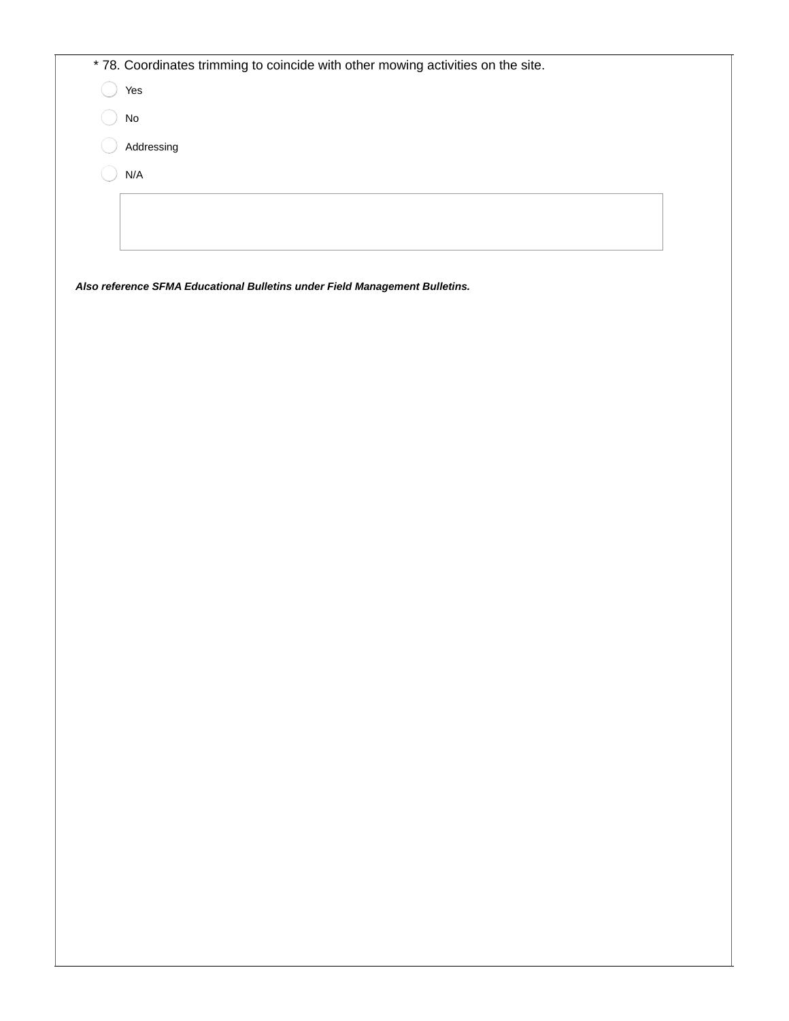| * 78. Coordinates trimming to coincide with other mowing activities on the site. |
|----------------------------------------------------------------------------------|
| Yes                                                                              |
| <b>No</b>                                                                        |
| Addressing                                                                       |
| $\mathsf{N}/\mathsf{A}$                                                          |
|                                                                                  |
|                                                                                  |
|                                                                                  |
| Also reference SFMA Educational Bulletins under Field Management Bulletins.      |
|                                                                                  |
|                                                                                  |
|                                                                                  |
|                                                                                  |
|                                                                                  |
|                                                                                  |
|                                                                                  |
|                                                                                  |
|                                                                                  |
|                                                                                  |
|                                                                                  |
|                                                                                  |
|                                                                                  |
|                                                                                  |
|                                                                                  |
|                                                                                  |
|                                                                                  |
|                                                                                  |
|                                                                                  |
|                                                                                  |
|                                                                                  |
|                                                                                  |
|                                                                                  |
|                                                                                  |
|                                                                                  |
|                                                                                  |
|                                                                                  |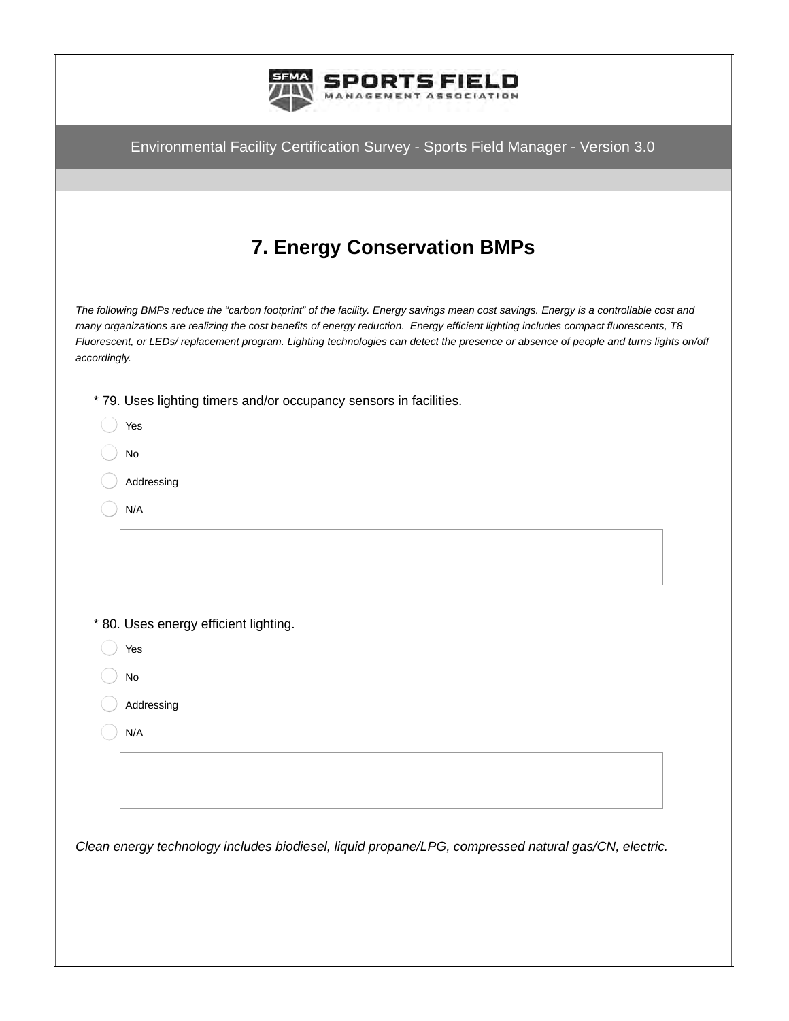|              | Environmental Facility Certification Survey - Sports Field Manager - Version 3.0                                                                                                                                                                                                                                                                                                                                     |
|--------------|----------------------------------------------------------------------------------------------------------------------------------------------------------------------------------------------------------------------------------------------------------------------------------------------------------------------------------------------------------------------------------------------------------------------|
|              |                                                                                                                                                                                                                                                                                                                                                                                                                      |
|              |                                                                                                                                                                                                                                                                                                                                                                                                                      |
|              | <b>7. Energy Conservation BMPs</b>                                                                                                                                                                                                                                                                                                                                                                                   |
| accordingly. | The following BMPs reduce the "carbon footprint" of the facility. Energy savings mean cost savings. Energy is a controllable cost and<br>many organizations are realizing the cost benefits of energy reduction. Energy efficient lighting includes compact fluorescents, T8<br>Fluorescent, or LEDs/replacement program. Lighting technologies can detect the presence or absence of people and turns lights on/off |
|              | * 79. Uses lighting timers and/or occupancy sensors in facilities.                                                                                                                                                                                                                                                                                                                                                   |
|              | Yes                                                                                                                                                                                                                                                                                                                                                                                                                  |
|              | No                                                                                                                                                                                                                                                                                                                                                                                                                   |
|              | Addressing                                                                                                                                                                                                                                                                                                                                                                                                           |
|              | N/A                                                                                                                                                                                                                                                                                                                                                                                                                  |
|              |                                                                                                                                                                                                                                                                                                                                                                                                                      |
|              |                                                                                                                                                                                                                                                                                                                                                                                                                      |
|              |                                                                                                                                                                                                                                                                                                                                                                                                                      |
|              | * 80. Uses energy efficient lighting.                                                                                                                                                                                                                                                                                                                                                                                |
|              | Yes                                                                                                                                                                                                                                                                                                                                                                                                                  |
|              | $\mathsf{No}$                                                                                                                                                                                                                                                                                                                                                                                                        |
|              | Addressing                                                                                                                                                                                                                                                                                                                                                                                                           |
|              | N/A                                                                                                                                                                                                                                                                                                                                                                                                                  |
|              |                                                                                                                                                                                                                                                                                                                                                                                                                      |
|              |                                                                                                                                                                                                                                                                                                                                                                                                                      |
|              |                                                                                                                                                                                                                                                                                                                                                                                                                      |
|              | Clean energy technology includes biodiesel, liquid propane/LPG, compressed natural gas/CN, electric.                                                                                                                                                                                                                                                                                                                 |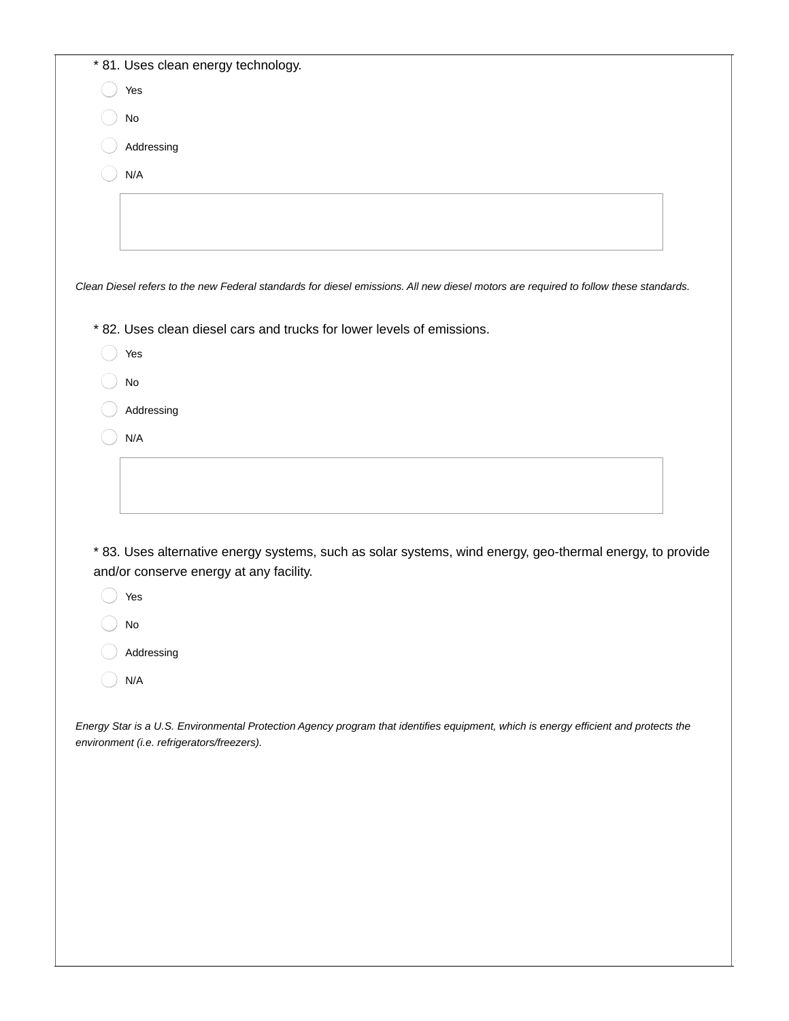| * 81. Uses clean energy technology.                                                                                                  |
|--------------------------------------------------------------------------------------------------------------------------------------|
| Yes                                                                                                                                  |
| <b>No</b>                                                                                                                            |
| Addressing                                                                                                                           |
| N/A                                                                                                                                  |
|                                                                                                                                      |
|                                                                                                                                      |
|                                                                                                                                      |
| Clean Diesel refers to the new Federal standards for diesel emissions. All new diesel motors are required to follow these standards. |
| * 82. Uses clean diesel cars and trucks for lower levels of emissions.                                                               |
| Yes                                                                                                                                  |
| No                                                                                                                                   |
| Addressing                                                                                                                           |
| N/A                                                                                                                                  |
|                                                                                                                                      |
|                                                                                                                                      |
|                                                                                                                                      |
| * 83. Uses alternative energy systems, such as solar systems, wind energy, geo-thermal energy, to provide                            |
| and/or conserve energy at any facility.                                                                                              |
| Yes                                                                                                                                  |
| No                                                                                                                                   |
| Addressing                                                                                                                           |
| N/A                                                                                                                                  |
|                                                                                                                                      |

*Energy Star is a U.S. Environmental Protection Agency program that identifies equipment, which is energy efficient and protects the environment (i.e. refrigerators/freezers).*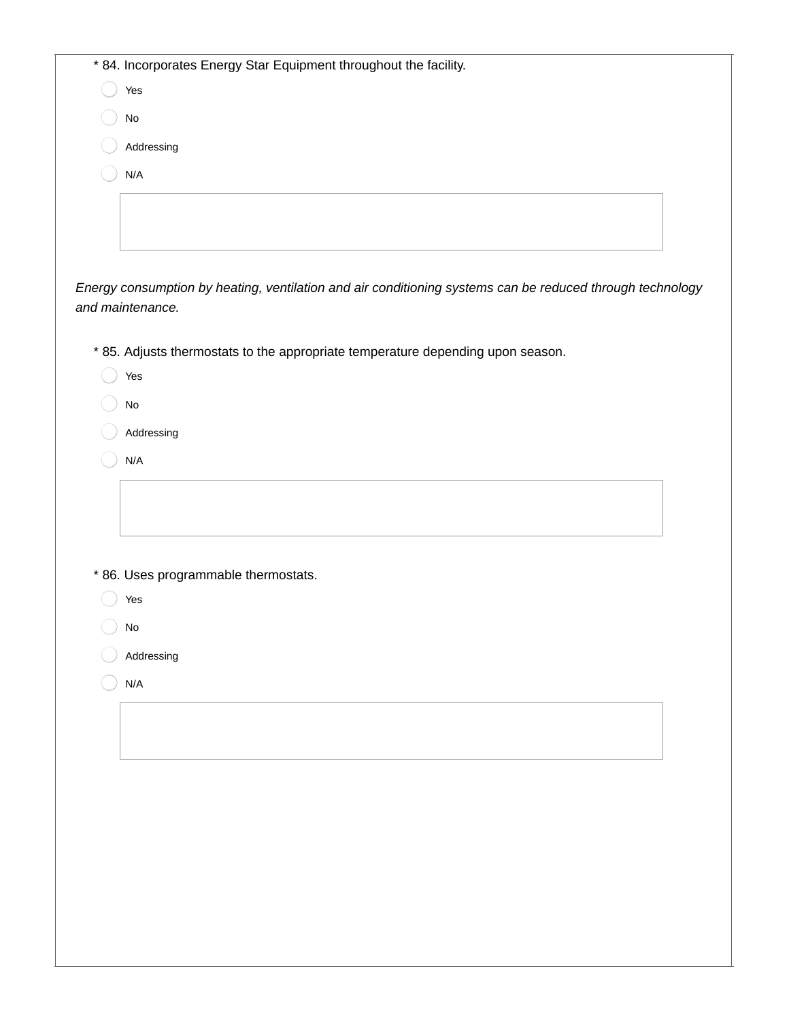| * 84. Incorporates Energy Star Equipment throughout the facility.                                                             |  |
|-------------------------------------------------------------------------------------------------------------------------------|--|
| Yes                                                                                                                           |  |
| No                                                                                                                            |  |
| Addressing                                                                                                                    |  |
| N/A                                                                                                                           |  |
|                                                                                                                               |  |
|                                                                                                                               |  |
|                                                                                                                               |  |
|                                                                                                                               |  |
| Energy consumption by heating, ventilation and air conditioning systems can be reduced through technology<br>and maintenance. |  |
|                                                                                                                               |  |
| * 85. Adjusts thermostats to the appropriate temperature depending upon season.                                               |  |
| Yes                                                                                                                           |  |
| No                                                                                                                            |  |
| Addressing                                                                                                                    |  |
| N/A                                                                                                                           |  |
|                                                                                                                               |  |
|                                                                                                                               |  |
|                                                                                                                               |  |
|                                                                                                                               |  |
| * 86. Uses programmable thermostats.                                                                                          |  |
| Yes                                                                                                                           |  |
| No                                                                                                                            |  |
| Addressing                                                                                                                    |  |
| N/A                                                                                                                           |  |
|                                                                                                                               |  |
|                                                                                                                               |  |
|                                                                                                                               |  |
|                                                                                                                               |  |
|                                                                                                                               |  |
|                                                                                                                               |  |
|                                                                                                                               |  |
|                                                                                                                               |  |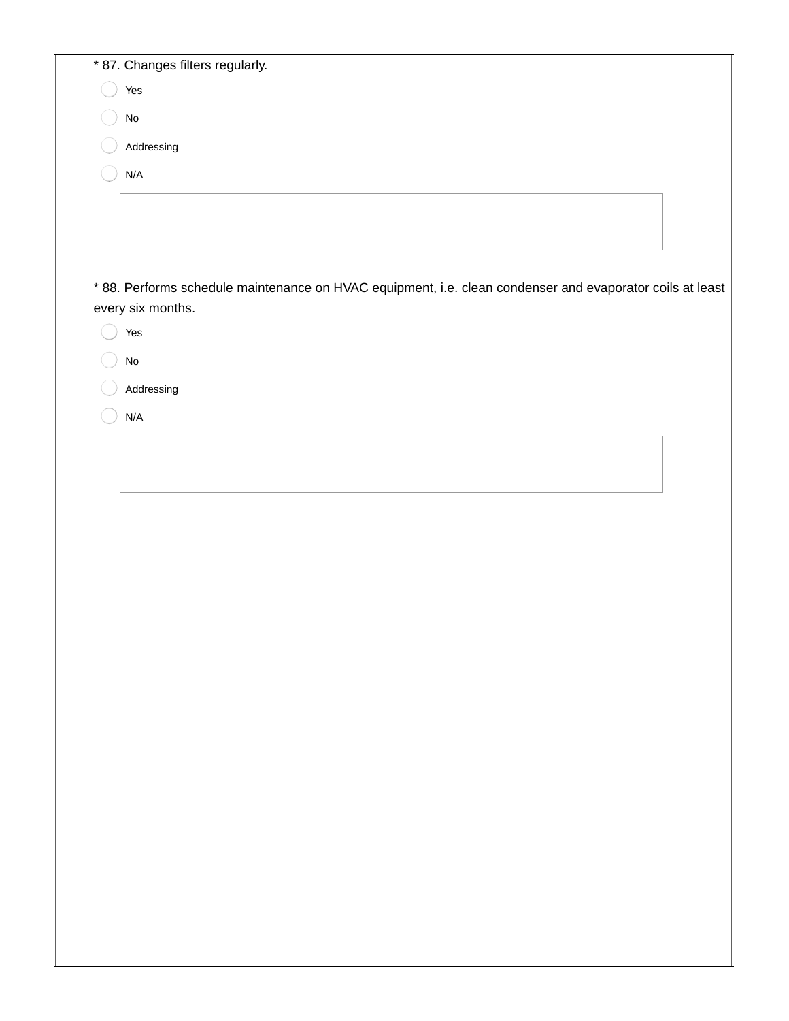| * 87. Changes filters regularly. |
|----------------------------------|
| Yes                              |
| No                               |
| Addressing                       |
| N/A                              |
|                                  |
|                                  |
|                                  |

\* 88. Performs schedule maintenance on HVAC equipment, i.e. clean condenser and evaporator coils at least every six months.

Yes

No

Addressing

N/A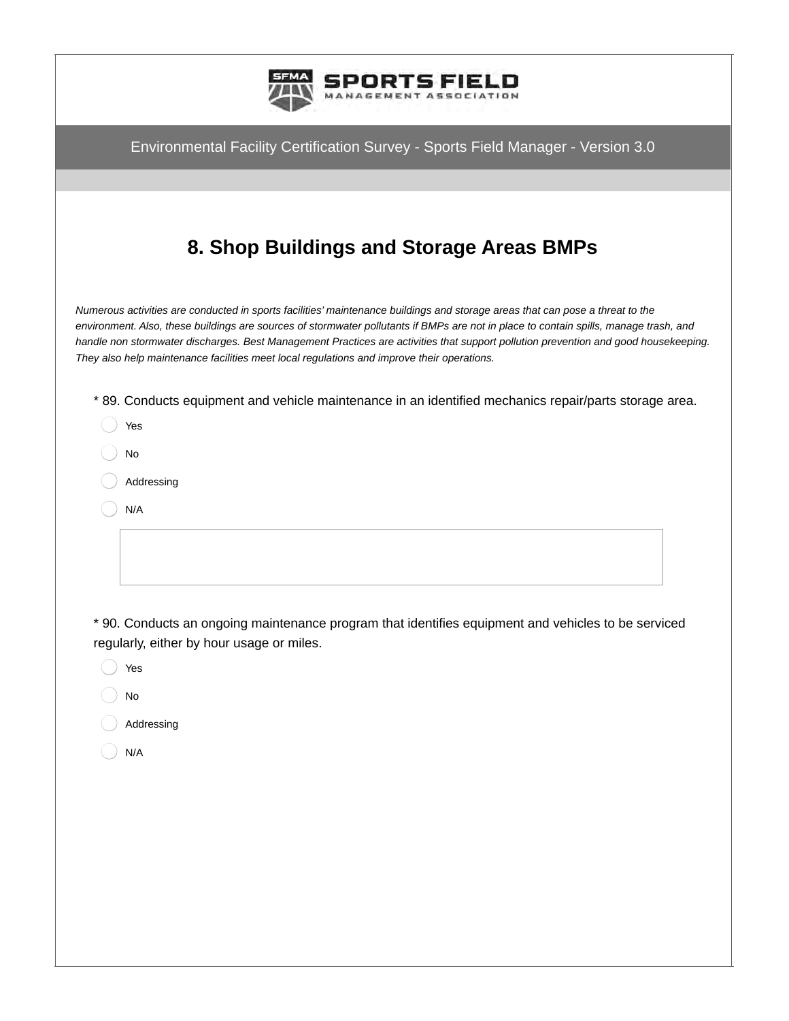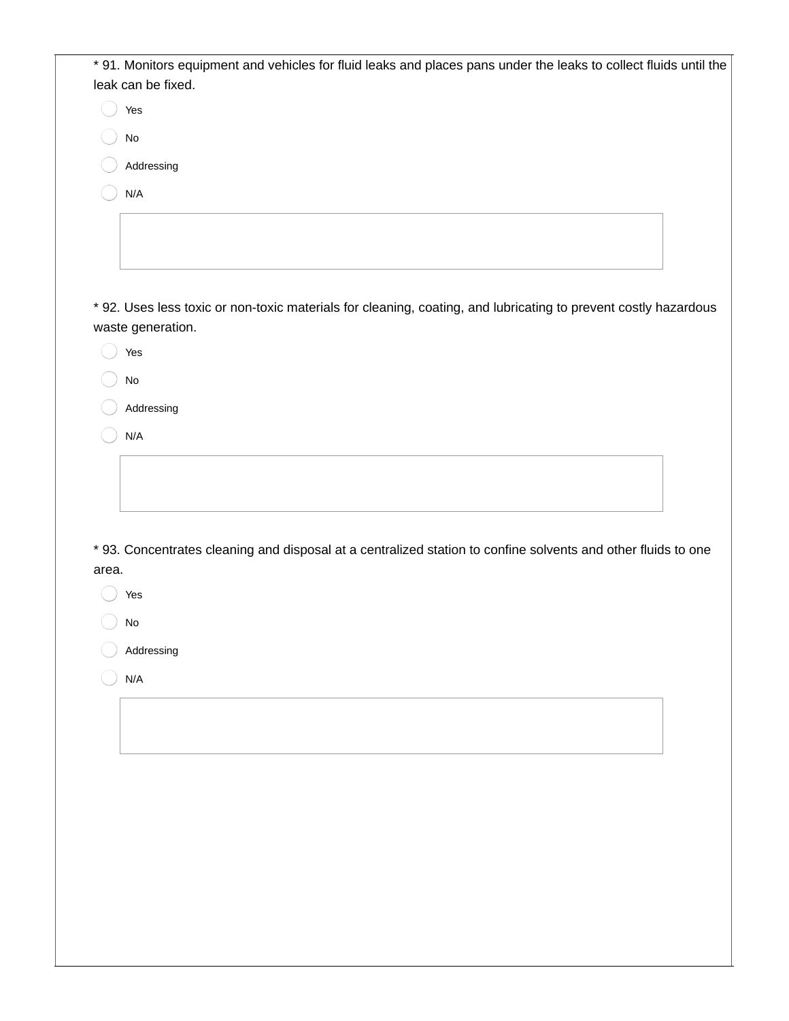| * 91. Monitors equipment and vehicles for fluid leaks and places pans under the leaks to collect fluids until the<br>leak can be fixed.<br>Yes |
|------------------------------------------------------------------------------------------------------------------------------------------------|
|                                                                                                                                                |
|                                                                                                                                                |
|                                                                                                                                                |
| No                                                                                                                                             |
| Addressing                                                                                                                                     |
| N/A                                                                                                                                            |
|                                                                                                                                                |
|                                                                                                                                                |
|                                                                                                                                                |
|                                                                                                                                                |
| * 92. Uses less toxic or non-toxic materials for cleaning, coating, and lubricating to prevent costly hazardous                                |
| waste generation.                                                                                                                              |
| Yes                                                                                                                                            |
| $\mathsf{No}$                                                                                                                                  |
| Addressing                                                                                                                                     |
|                                                                                                                                                |
| N/A                                                                                                                                            |
|                                                                                                                                                |
|                                                                                                                                                |
|                                                                                                                                                |
|                                                                                                                                                |
| * 93. Concentrates cleaning and disposal at a centralized station to confine solvents and other fluids to one                                  |
| area.                                                                                                                                          |
| Yes                                                                                                                                            |
|                                                                                                                                                |
|                                                                                                                                                |
| No                                                                                                                                             |
| Addressing                                                                                                                                     |
|                                                                                                                                                |
| N/A                                                                                                                                            |
|                                                                                                                                                |
|                                                                                                                                                |
|                                                                                                                                                |
|                                                                                                                                                |
|                                                                                                                                                |
|                                                                                                                                                |
|                                                                                                                                                |
|                                                                                                                                                |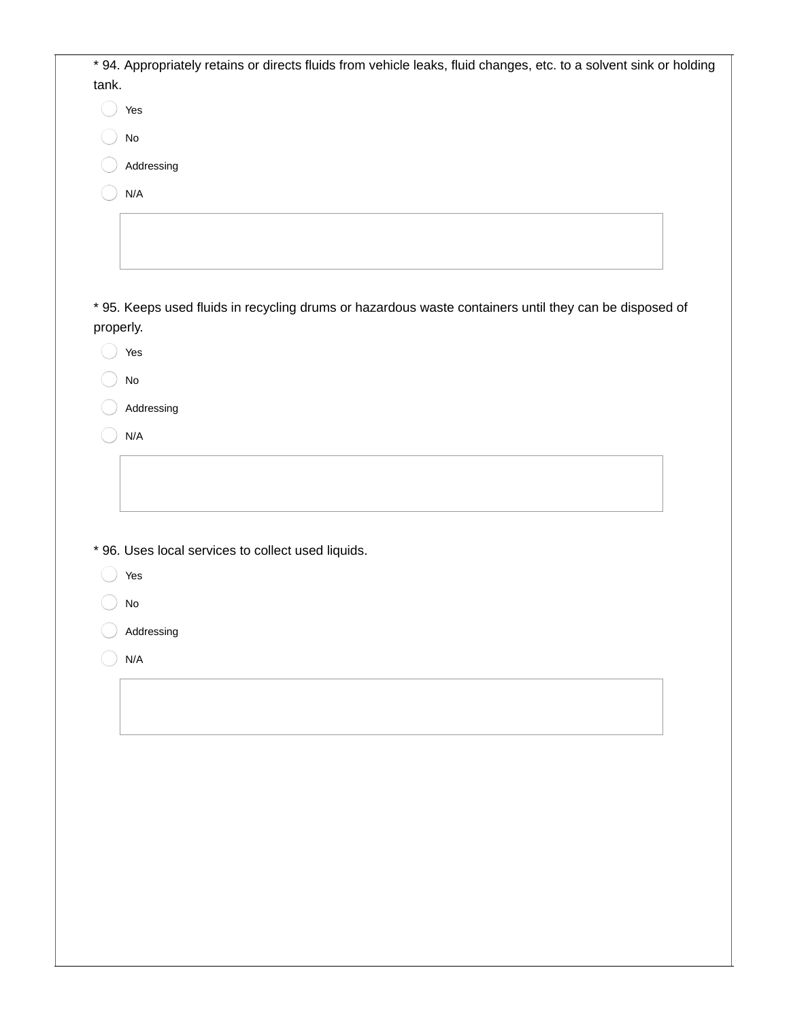|           | * 94. Appropriately retains or directs fluids from vehicle leaks, fluid changes, etc. to a solvent sink or holding |  |
|-----------|--------------------------------------------------------------------------------------------------------------------|--|
| tank.     |                                                                                                                    |  |
|           | Yes                                                                                                                |  |
|           | $\operatorname{\mathsf{No}}$                                                                                       |  |
|           |                                                                                                                    |  |
|           | Addressing                                                                                                         |  |
|           | N/A                                                                                                                |  |
|           |                                                                                                                    |  |
|           |                                                                                                                    |  |
|           |                                                                                                                    |  |
|           | * 95. Keeps used fluids in recycling drums or hazardous waste containers until they can be disposed of             |  |
| properly. |                                                                                                                    |  |
|           | Yes                                                                                                                |  |
|           | $\rm No$                                                                                                           |  |
|           | Addressing                                                                                                         |  |
|           | N/A                                                                                                                |  |
|           |                                                                                                                    |  |
|           |                                                                                                                    |  |
|           |                                                                                                                    |  |
|           |                                                                                                                    |  |
|           | * 96. Uses local services to collect used liquids.                                                                 |  |
|           | Yes                                                                                                                |  |
|           | No                                                                                                                 |  |
|           | Addressing                                                                                                         |  |
|           | $\mathsf{N}/\mathsf{A}$                                                                                            |  |
|           |                                                                                                                    |  |
|           |                                                                                                                    |  |
|           |                                                                                                                    |  |
|           |                                                                                                                    |  |
|           |                                                                                                                    |  |
|           |                                                                                                                    |  |
|           |                                                                                                                    |  |
|           |                                                                                                                    |  |
|           |                                                                                                                    |  |
|           |                                                                                                                    |  |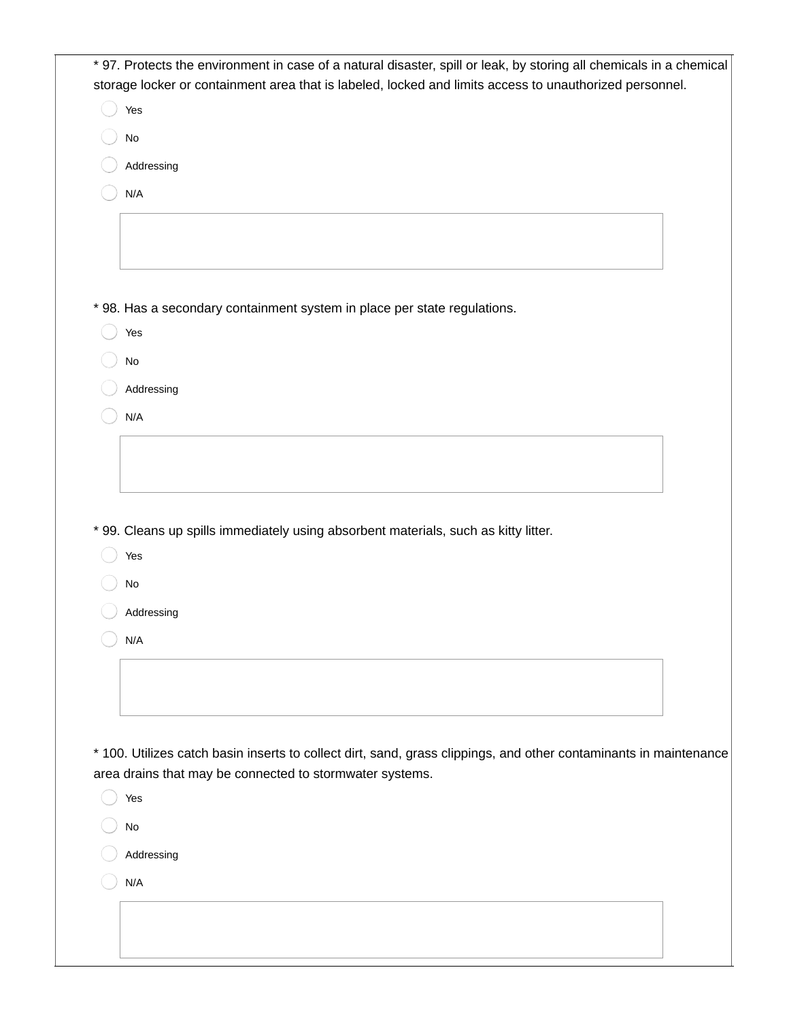| Yes                     |                                                                                                                                                                               |  |
|-------------------------|-------------------------------------------------------------------------------------------------------------------------------------------------------------------------------|--|
| $\mathsf{No}$           |                                                                                                                                                                               |  |
|                         | Addressing                                                                                                                                                                    |  |
| $\mathsf{N}/\mathsf{A}$ |                                                                                                                                                                               |  |
|                         |                                                                                                                                                                               |  |
|                         |                                                                                                                                                                               |  |
|                         |                                                                                                                                                                               |  |
|                         |                                                                                                                                                                               |  |
| Yes                     | * 98. Has a secondary containment system in place per state regulations.                                                                                                      |  |
|                         |                                                                                                                                                                               |  |
| $\mathsf{No}$           |                                                                                                                                                                               |  |
|                         | Addressing                                                                                                                                                                    |  |
| $\mathsf{N}/\mathsf{A}$ |                                                                                                                                                                               |  |
|                         |                                                                                                                                                                               |  |
|                         |                                                                                                                                                                               |  |
| Yes                     | * 99. Cleans up spills immediately using absorbent materials, such as kitty litter.                                                                                           |  |
| $\mathsf{No}$           |                                                                                                                                                                               |  |
|                         | Addressing                                                                                                                                                                    |  |
| N/A                     |                                                                                                                                                                               |  |
|                         |                                                                                                                                                                               |  |
|                         |                                                                                                                                                                               |  |
|                         |                                                                                                                                                                               |  |
|                         |                                                                                                                                                                               |  |
|                         | * 100. Utilizes catch basin inserts to collect dirt, sand, grass clippings, and other contaminants in maintenance<br>area drains that may be connected to stormwater systems. |  |
| Yes                     |                                                                                                                                                                               |  |
| No                      |                                                                                                                                                                               |  |
|                         | Addressing                                                                                                                                                                    |  |
| N/A                     |                                                                                                                                                                               |  |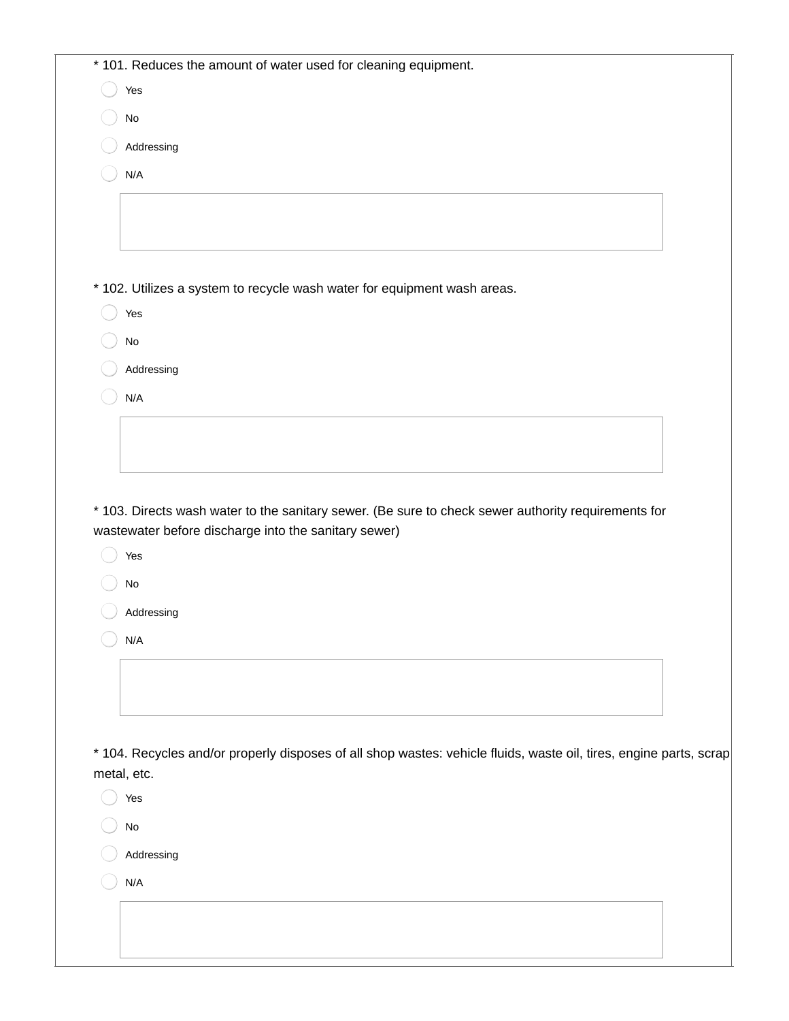| * 101. Reduces the amount of water used for cleaning equipment.                                                    |
|--------------------------------------------------------------------------------------------------------------------|
| Yes                                                                                                                |
| $\mathsf{No}$                                                                                                      |
| Addressing                                                                                                         |
| N/A                                                                                                                |
|                                                                                                                    |
|                                                                                                                    |
|                                                                                                                    |
| * 102. Utilizes a system to recycle wash water for equipment wash areas.                                           |
| Yes                                                                                                                |
| $\operatorname{\mathsf{No}}$                                                                                       |
| Addressing                                                                                                         |
| N/A                                                                                                                |
|                                                                                                                    |
|                                                                                                                    |
|                                                                                                                    |
| wastewater before discharge into the sanitary sewer)<br>Yes                                                        |
|                                                                                                                    |
| $\mathsf{No}$                                                                                                      |
| Addressing                                                                                                         |
| N/A                                                                                                                |
|                                                                                                                    |
|                                                                                                                    |
|                                                                                                                    |
|                                                                                                                    |
| metal, etc.                                                                                                        |
| Yes                                                                                                                |
| $\operatorname{\mathsf{No}}$                                                                                       |
| Addressing                                                                                                         |
| N/A                                                                                                                |
| * 104. Recycles and/or properly disposes of all shop wastes: vehicle fluids, waste oil, tires, engine parts, scrap |
|                                                                                                                    |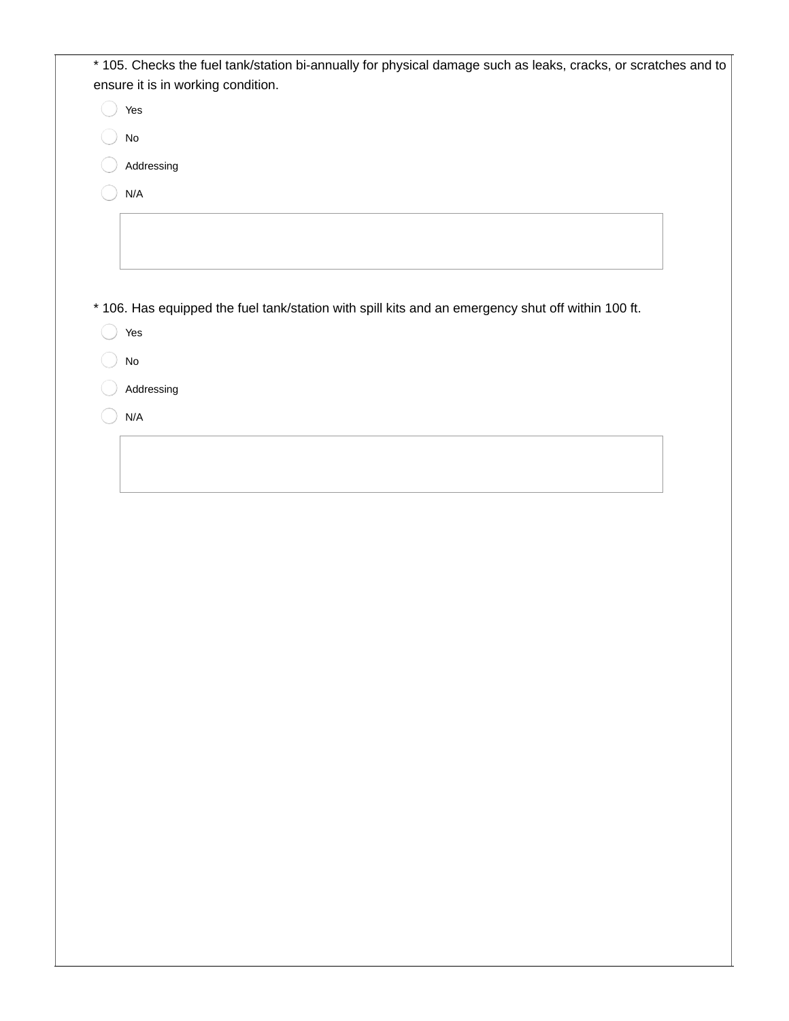| * 105. Checks the fuel tank/station bi-annually for physical damage such as leaks, cracks, or scratches and to<br>ensure it is in working condition.<br>Yes<br>No<br>Addressing<br>$\mathsf{N}/\mathsf{A}$<br>* 106. Has equipped the fuel tank/station with spill kits and an emergency shut off within 100 ft.<br>Yes |  |
|-------------------------------------------------------------------------------------------------------------------------------------------------------------------------------------------------------------------------------------------------------------------------------------------------------------------------|--|
|                                                                                                                                                                                                                                                                                                                         |  |
|                                                                                                                                                                                                                                                                                                                         |  |
|                                                                                                                                                                                                                                                                                                                         |  |
|                                                                                                                                                                                                                                                                                                                         |  |
|                                                                                                                                                                                                                                                                                                                         |  |
|                                                                                                                                                                                                                                                                                                                         |  |
|                                                                                                                                                                                                                                                                                                                         |  |
|                                                                                                                                                                                                                                                                                                                         |  |
|                                                                                                                                                                                                                                                                                                                         |  |
|                                                                                                                                                                                                                                                                                                                         |  |
|                                                                                                                                                                                                                                                                                                                         |  |
|                                                                                                                                                                                                                                                                                                                         |  |
|                                                                                                                                                                                                                                                                                                                         |  |
| $\operatorname{\mathsf{No}}$                                                                                                                                                                                                                                                                                            |  |
| Addressing                                                                                                                                                                                                                                                                                                              |  |
| N/A                                                                                                                                                                                                                                                                                                                     |  |
|                                                                                                                                                                                                                                                                                                                         |  |
|                                                                                                                                                                                                                                                                                                                         |  |
|                                                                                                                                                                                                                                                                                                                         |  |
|                                                                                                                                                                                                                                                                                                                         |  |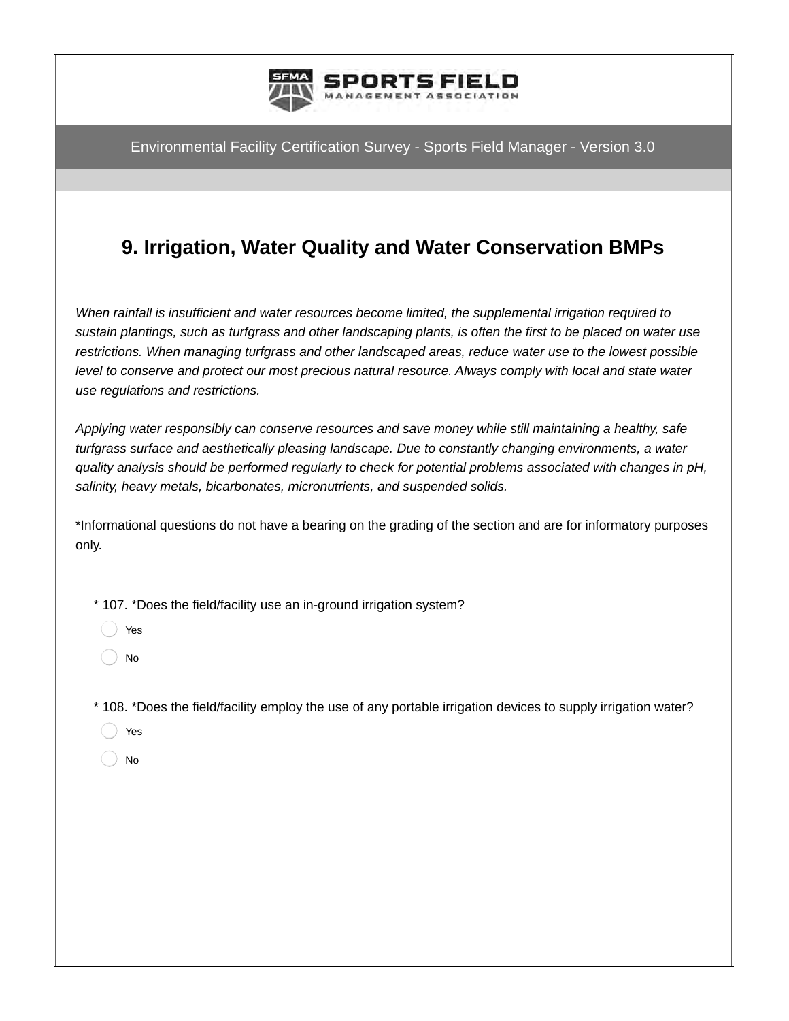

# **9. Irrigation, Water Quality and Water Conservation BMPs**

*When rainfall is insufficient and water resources become limited, the supplemental irrigation required to sustain plantings, such as turfgrass and other landscaping plants, is often the first to be placed on water use restrictions. When managing turfgrass and other landscaped areas, reduce water use to the lowest possible level to conserve and protect our most precious natural resource. Always comply with local and state water use regulations and restrictions.* 

*Applying water responsibly can conserve resources and save money while still maintaining a healthy, safe turfgrass surface and aesthetically pleasing landscape. Due to constantly changing environments, a water quality analysis should be performed regularly to check for potential problems associated with changes in pH, salinity, heavy metals, bicarbonates, micronutrients, and suspended solids.*

\*Informational questions do not have a bearing on the grading of the section and are for informatory purposes only.

\* 107. \*Does the field/facility use an in-ground irrigation system?

Yes

No

- \* 108. \*Does the field/facility employ the use of any portable irrigation devices to supply irrigation water?
	- Yes
	- No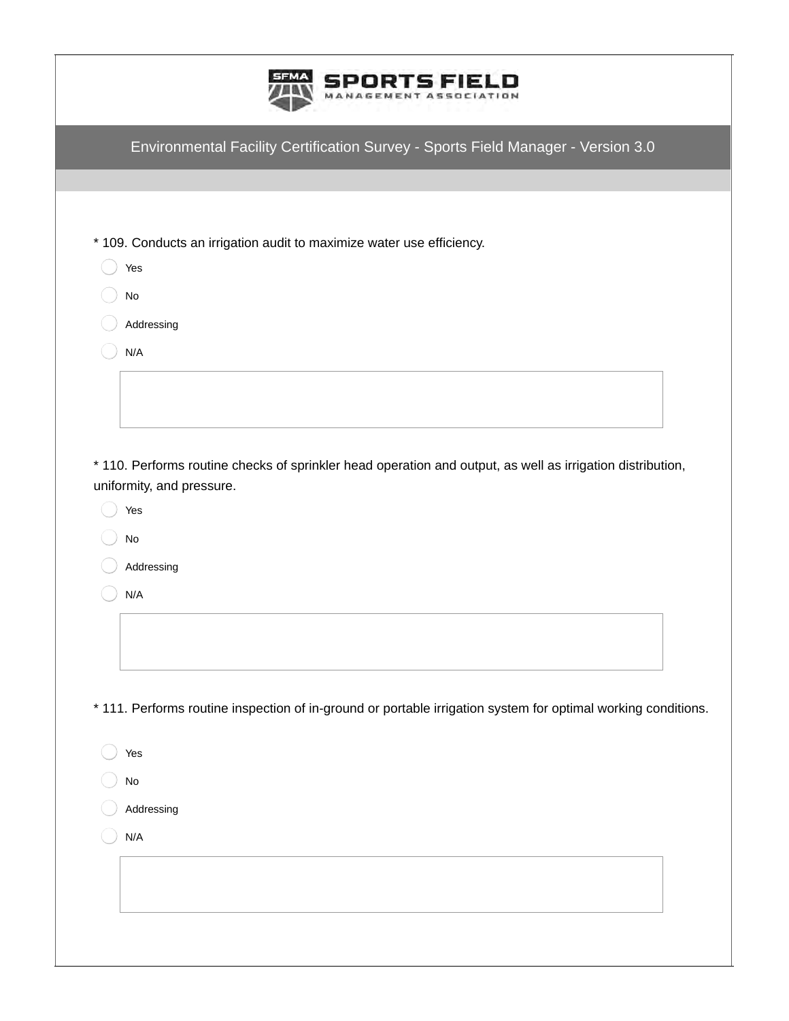|                                  | Environmental Facility Certification Survey - Sports Field Manager - Version 3.0                              |
|----------------------------------|---------------------------------------------------------------------------------------------------------------|
|                                  |                                                                                                               |
|                                  | * 109. Conducts an irrigation audit to maximize water use efficiency.                                         |
| Yes                              |                                                                                                               |
| $\operatorname{\mathsf{No}}$     |                                                                                                               |
| Addressing                       |                                                                                                               |
| N/A                              |                                                                                                               |
|                                  |                                                                                                               |
|                                  |                                                                                                               |
| uniformity, and pressure.<br>Yes | * 110. Performs routine checks of sprinkler head operation and output, as well as irrigation distribution,    |
| No<br>Addressing                 |                                                                                                               |
| N/A                              |                                                                                                               |
|                                  |                                                                                                               |
|                                  |                                                                                                               |
|                                  | * 111. Performs routine inspection of in-ground or portable irrigation system for optimal working conditions. |
| Yes                              |                                                                                                               |
| No                               |                                                                                                               |
| Addressing                       |                                                                                                               |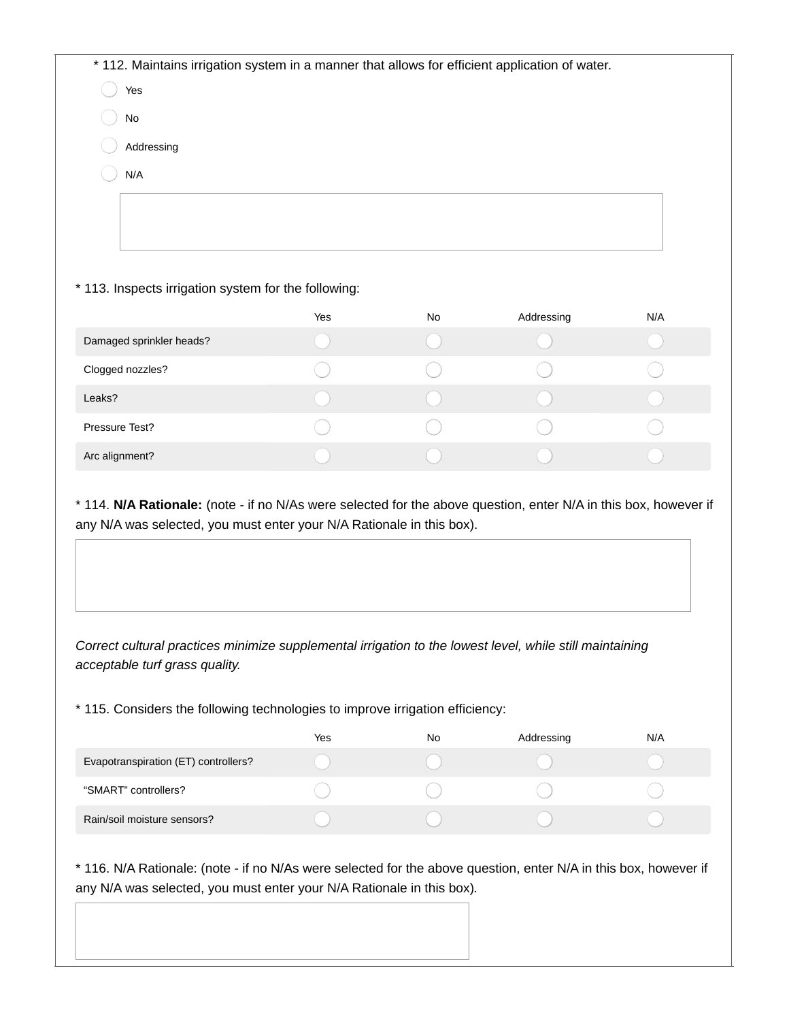Yes

- No
- Addressing
- N/A

## \* 113. Inspects irrigation system for the following:

|                          | Yes | No | Addressing | N/A |
|--------------------------|-----|----|------------|-----|
| Damaged sprinkler heads? |     |    |            |     |
| Clogged nozzles?         |     |    |            |     |
| Leaks?                   |     |    |            |     |
| Pressure Test?           |     |    |            |     |
| Arc alignment?           |     |    |            |     |

\* 114. **N/A Rationale:** (note - if no N/As were selected for the above question, enter N/A in this box, however if any N/A was selected, you must enter your N/A Rationale in this box).

*Correct cultural practices minimize supplemental irrigation to the lowest level, while still maintaining acceptable turf grass quality.*

\* 115. Considers the following technologies to improve irrigation efficiency:

|                                      | Yes | <b>No</b> | Addressing | N/A |
|--------------------------------------|-----|-----------|------------|-----|
| Evapotranspiration (ET) controllers? |     |           |            |     |
| "SMART" controllers?                 |     |           |            |     |
| Rain/soil moisture sensors?          |     |           |            |     |

\* 116. N/A Rationale: (note - if no N/As were selected for the above question, enter N/A in this box, however if any N/A was selected, you must enter your N/A Rationale in this box)*.*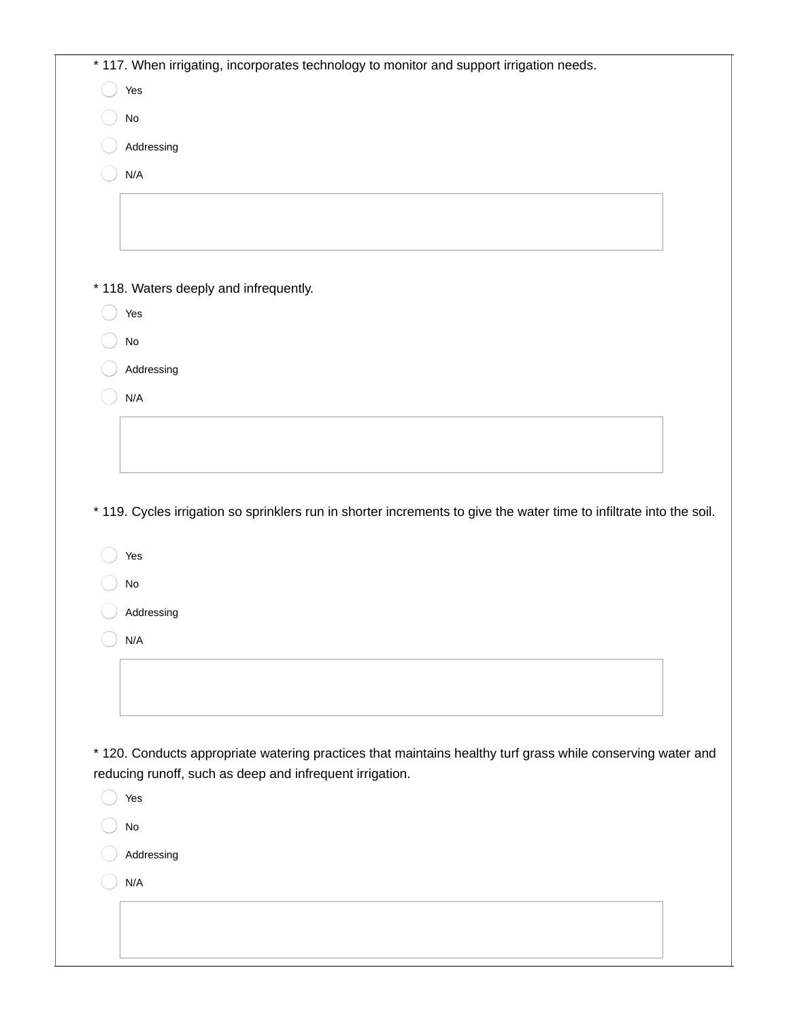| * 117. When irrigating, incorporates technology to monitor and support irrigation needs.<br>Yes                      |
|----------------------------------------------------------------------------------------------------------------------|
| No                                                                                                                   |
| Addressing                                                                                                           |
| N/A                                                                                                                  |
|                                                                                                                      |
|                                                                                                                      |
|                                                                                                                      |
| * 118. Waters deeply and infrequently.                                                                               |
| Yes                                                                                                                  |
| No                                                                                                                   |
| Addressing                                                                                                           |
| N/A                                                                                                                  |
|                                                                                                                      |
|                                                                                                                      |
|                                                                                                                      |
| * 119. Cycles irrigation so sprinklers run in shorter increments to give the water time to infiltrate into the soil. |
| Yes                                                                                                                  |
| $\rm No$                                                                                                             |
| Addressing                                                                                                           |
| N/A                                                                                                                  |
|                                                                                                                      |
|                                                                                                                      |
|                                                                                                                      |
| * 120. Conducts appropriate watering practices that maintains healthy turf grass while conserving water and          |
| reducing runoff, such as deep and infrequent irrigation.                                                             |
| Yes                                                                                                                  |
| $\mathsf{No}$                                                                                                        |
| Addressing                                                                                                           |
| N/A                                                                                                                  |
|                                                                                                                      |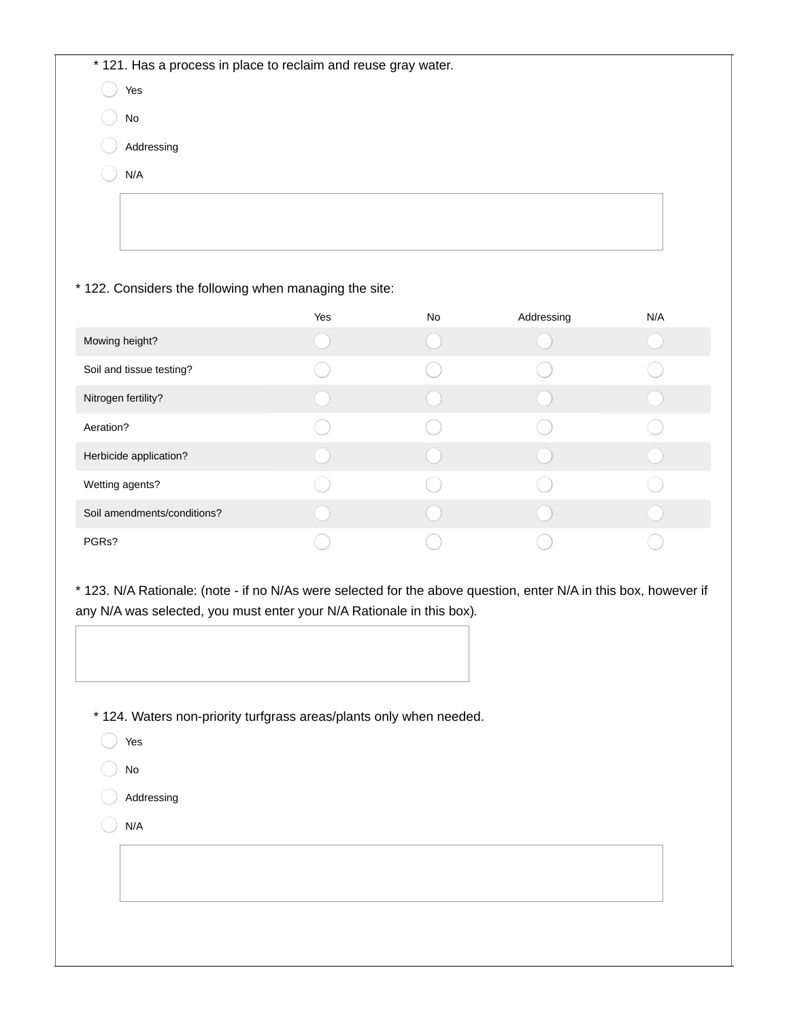\* 121. Has a process in place to reclaim and reuse gray water.

Yes

No

Addressing

N/A

### \* 122. Considers the following when managing the site:

|                             | Yes | No | Addressing | N/A |
|-----------------------------|-----|----|------------|-----|
| Mowing height?              |     |    |            |     |
| Soil and tissue testing?    |     |    |            |     |
| Nitrogen fertility?         |     |    |            |     |
| Aeration?                   |     |    |            |     |
| Herbicide application?      |     |    |            |     |
| Wetting agents?             |     |    |            |     |
| Soil amendments/conditions? |     |    |            |     |
| PGRs?                       |     |    |            |     |

\* 123. N/A Rationale: (note - if no N/As were selected for the above question, enter N/A in this box, however if any N/A was selected, you must enter your N/A Rationale in this box)*.*

- \* 124. Waters non-priority turfgrass areas/plants only when needed.
	- Yes
	- No
	- Addressing
	- N/A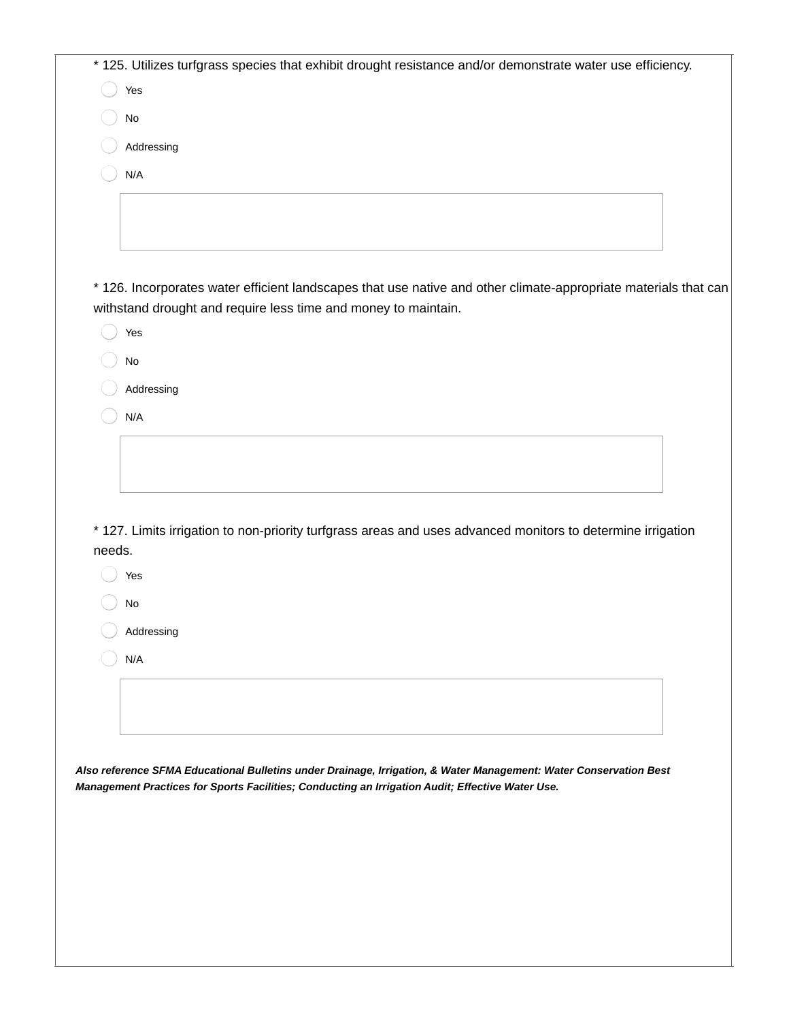|        | * 125. Utilizes turfgrass species that exhibit drought resistance and/or demonstrate water use efficiency.        |
|--------|-------------------------------------------------------------------------------------------------------------------|
|        | Yes                                                                                                               |
|        | $\mathsf{No}$                                                                                                     |
|        | Addressing                                                                                                        |
|        | N/A                                                                                                               |
|        |                                                                                                                   |
|        |                                                                                                                   |
|        |                                                                                                                   |
|        | * 126. Incorporates water efficient landscapes that use native and other climate-appropriate materials that can   |
|        | withstand drought and require less time and money to maintain.                                                    |
|        | Yes                                                                                                               |
|        | $\mathsf{No}$                                                                                                     |
|        | Addressing                                                                                                        |
|        | N/A                                                                                                               |
|        |                                                                                                                   |
|        |                                                                                                                   |
|        |                                                                                                                   |
|        | * 127. Limits irrigation to non-priority turfgrass areas and uses advanced monitors to determine irrigation       |
| needs. |                                                                                                                   |
|        | Yes                                                                                                               |
|        | <b>No</b>                                                                                                         |
|        | Addressing                                                                                                        |
|        | N/A                                                                                                               |
|        |                                                                                                                   |
|        |                                                                                                                   |
|        |                                                                                                                   |
|        | Also reference SFMA Educational Bulletins under Drainage, Irrigation, & Water Management: Water Conservation Best |
|        | Management Practices for Sports Facilities; Conducting an Irrigation Audit; Effective Water Use.                  |
|        |                                                                                                                   |
|        |                                                                                                                   |
|        |                                                                                                                   |
|        |                                                                                                                   |
|        |                                                                                                                   |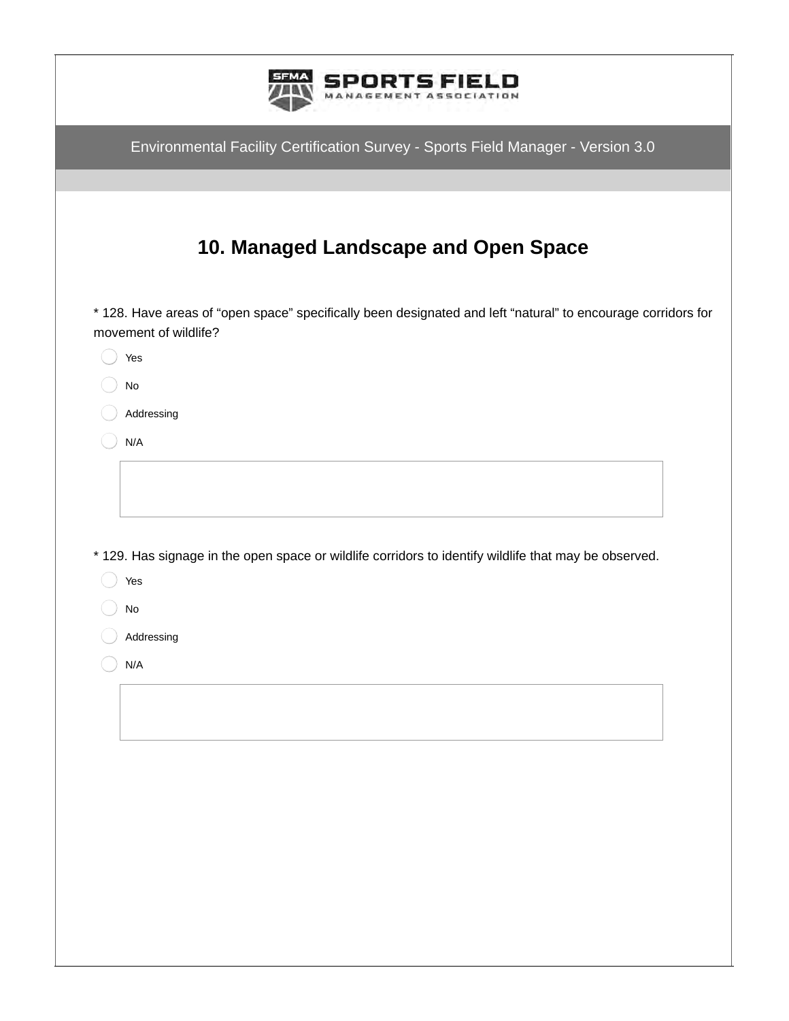| Environmental Facility Certification Survey - Sports Field Manager - Version 3.0                                                      |
|---------------------------------------------------------------------------------------------------------------------------------------|
|                                                                                                                                       |
| 10. Managed Landscape and Open Space                                                                                                  |
| * 128. Have areas of "open space" specifically been designated and left "natural" to encourage corridors for<br>movement of wildlife? |
| Yes                                                                                                                                   |
| No                                                                                                                                    |
| Addressing                                                                                                                            |
| N/A                                                                                                                                   |
| * 129. Has signage in the open space or wildlife corridors to identify wildlife that may be observed.<br>Yes<br>No                    |
| Addressing                                                                                                                            |
| N/A                                                                                                                                   |
|                                                                                                                                       |
|                                                                                                                                       |
|                                                                                                                                       |
|                                                                                                                                       |
|                                                                                                                                       |
|                                                                                                                                       |
|                                                                                                                                       |
|                                                                                                                                       |
|                                                                                                                                       |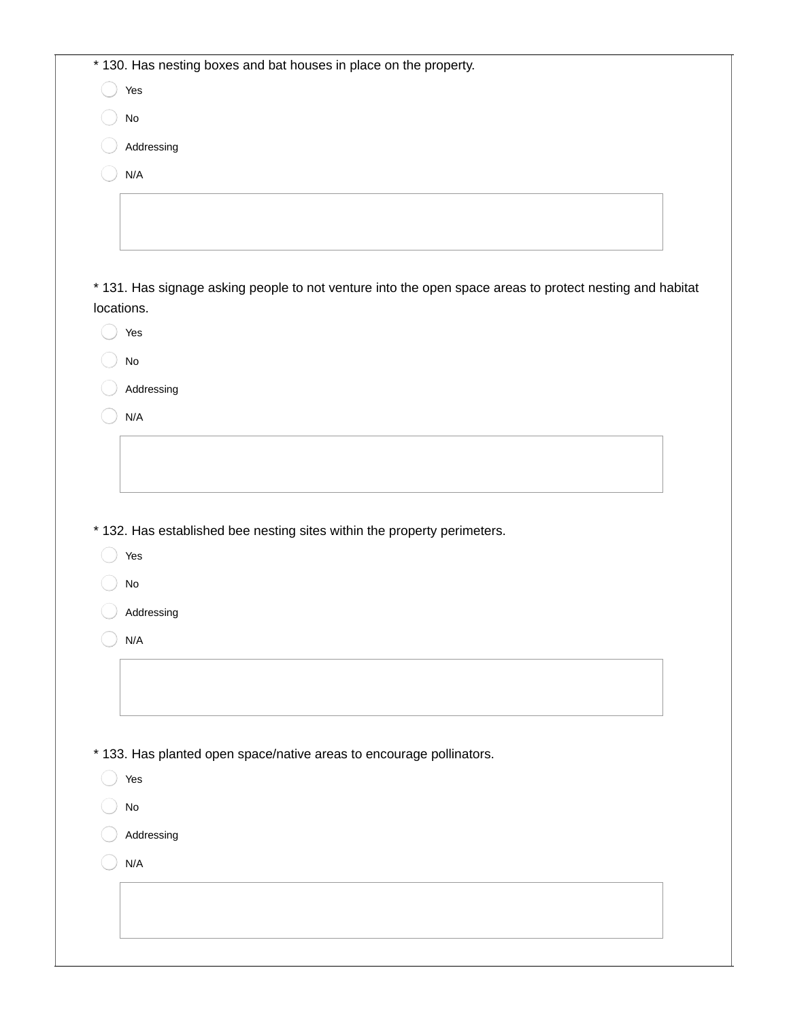|                              | * 130. Has nesting boxes and bat houses in place on the property.                                        |  |
|------------------------------|----------------------------------------------------------------------------------------------------------|--|
| Yes                          |                                                                                                          |  |
| $\operatorname{\mathsf{No}}$ |                                                                                                          |  |
|                              | Addressing                                                                                               |  |
| N/A                          |                                                                                                          |  |
|                              |                                                                                                          |  |
|                              |                                                                                                          |  |
|                              |                                                                                                          |  |
|                              | * 131. Has signage asking people to not venture into the open space areas to protect nesting and habitat |  |
| locations.                   |                                                                                                          |  |
| Yes                          |                                                                                                          |  |
| No                           |                                                                                                          |  |
|                              | Addressing                                                                                               |  |
| N/A                          |                                                                                                          |  |
|                              |                                                                                                          |  |
|                              |                                                                                                          |  |
|                              | * 132. Has established bee nesting sites within the property perimeters.                                 |  |
| Yes                          |                                                                                                          |  |
| $\operatorname{\mathsf{No}}$ |                                                                                                          |  |
|                              | Addressing                                                                                               |  |
| N/A                          |                                                                                                          |  |
|                              |                                                                                                          |  |
|                              |                                                                                                          |  |
|                              |                                                                                                          |  |
|                              | * 133. Has planted open space/native areas to encourage pollinators.                                     |  |
| Yes                          |                                                                                                          |  |
| $\operatorname{\mathsf{No}}$ |                                                                                                          |  |
|                              | Addressing                                                                                               |  |
| N/A                          |                                                                                                          |  |
|                              |                                                                                                          |  |
|                              |                                                                                                          |  |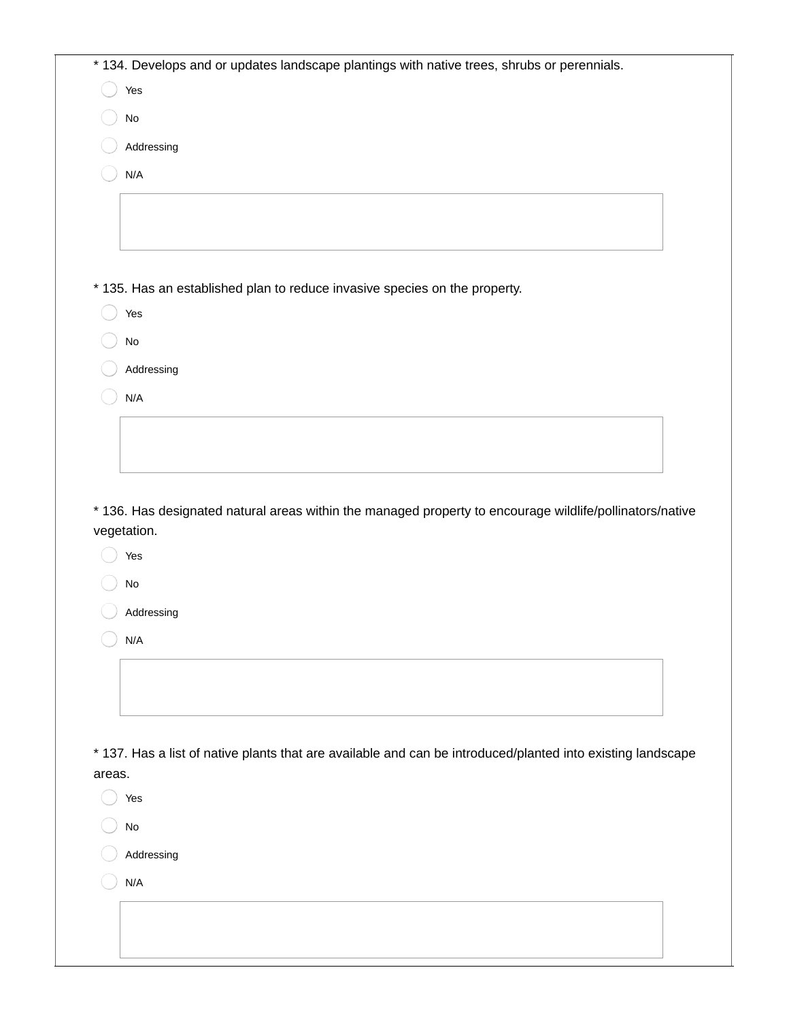|        | * 134. Develops and or updates landscape plantings with native trees, shrubs or perennials.                 |
|--------|-------------------------------------------------------------------------------------------------------------|
|        | Yes                                                                                                         |
|        | $\operatorname{\mathsf{No}}$                                                                                |
|        | Addressing                                                                                                  |
|        | N/A                                                                                                         |
|        |                                                                                                             |
|        |                                                                                                             |
|        |                                                                                                             |
|        | * 135. Has an established plan to reduce invasive species on the property.                                  |
|        | Yes                                                                                                         |
|        | $\operatorname{\mathsf{No}}$                                                                                |
|        | Addressing                                                                                                  |
|        | N/A                                                                                                         |
|        |                                                                                                             |
|        |                                                                                                             |
|        |                                                                                                             |
|        | * 136. Has designated natural areas within the managed property to encourage wildlife/pollinators/native    |
|        | vegetation.<br>Yes                                                                                          |
|        | $\operatorname{\mathsf{No}}$                                                                                |
|        | Addressing                                                                                                  |
|        | N/A                                                                                                         |
|        |                                                                                                             |
|        |                                                                                                             |
|        |                                                                                                             |
|        | * 137. Has a list of native plants that are available and can be introduced/planted into existing landscape |
|        |                                                                                                             |
|        | Yes                                                                                                         |
|        | $\operatorname{\mathsf{No}}$                                                                                |
|        | Addressing                                                                                                  |
| areas. | N/A                                                                                                         |
|        |                                                                                                             |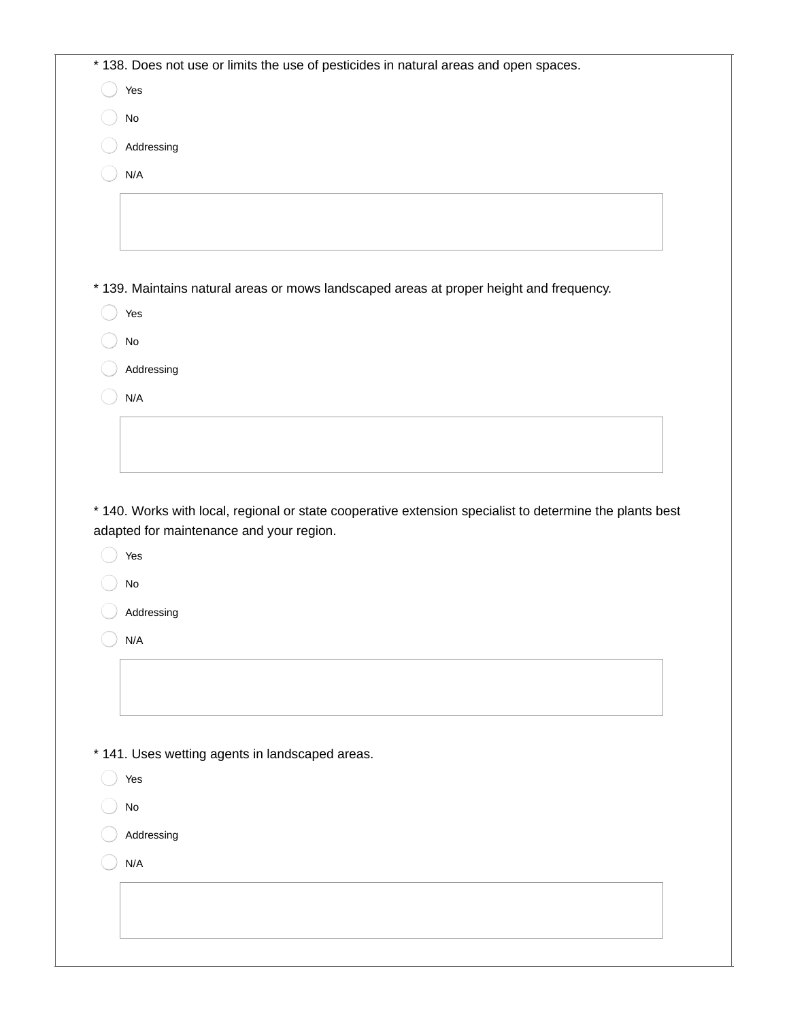| Yes                                                                                                      |
|----------------------------------------------------------------------------------------------------------|
| $\mathsf{No}$                                                                                            |
| Addressing                                                                                               |
| N/A                                                                                                      |
|                                                                                                          |
|                                                                                                          |
|                                                                                                          |
| * 139. Maintains natural areas or mows landscaped areas at proper height and frequency.                  |
| Yes                                                                                                      |
| $\operatorname{\mathsf{No}}$                                                                             |
| Addressing                                                                                               |
| N/A                                                                                                      |
|                                                                                                          |
|                                                                                                          |
|                                                                                                          |
| * 140. Works with local, regional or state cooperative extension specialist to determine the plants best |
| adapted for maintenance and your region.<br>Yes                                                          |
| No                                                                                                       |
| Addressing                                                                                               |
| N/A                                                                                                      |
|                                                                                                          |
|                                                                                                          |
|                                                                                                          |
|                                                                                                          |
| * 141. Uses wetting agents in landscaped areas.                                                          |
| Yes                                                                                                      |
| $\mathsf{No}$                                                                                            |
| Addressing                                                                                               |
| N/A                                                                                                      |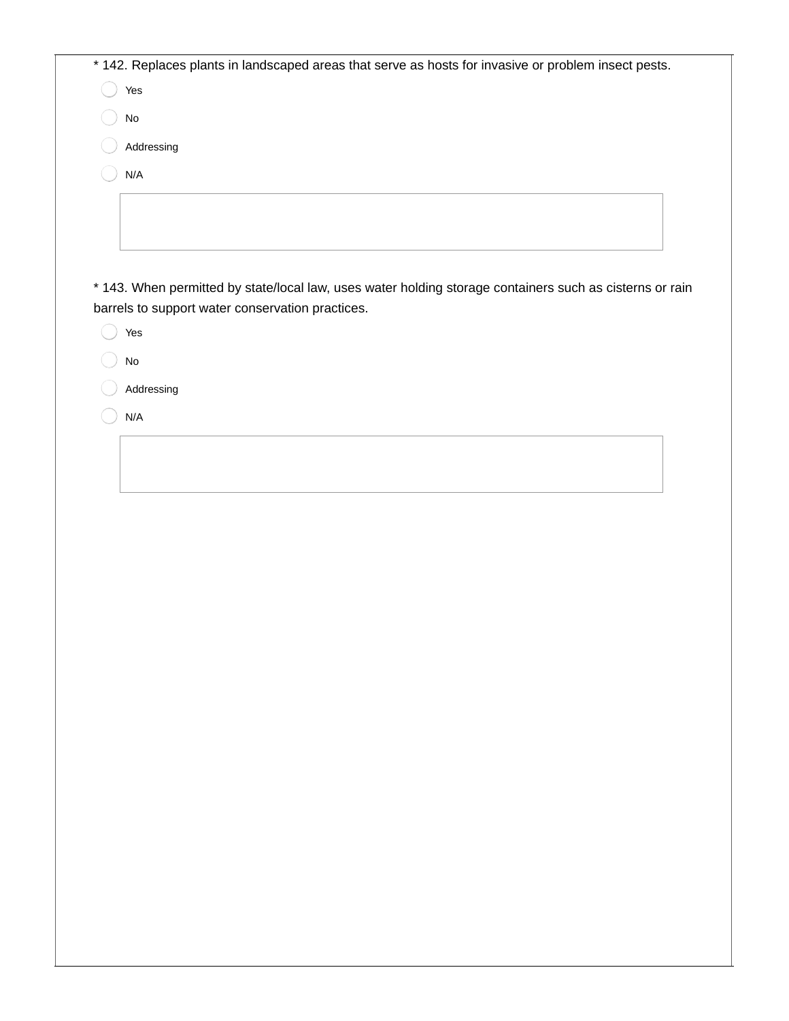| * 142. Replaces plants in landscaped areas that serve as hosts for invasive or problem insect pests. |  |
|------------------------------------------------------------------------------------------------------|--|
| Yes                                                                                                  |  |
| No                                                                                                   |  |
| Addressing                                                                                           |  |
| N/A                                                                                                  |  |
|                                                                                                      |  |
|                                                                                                      |  |

\* 143. When permitted by state/local law, uses water holding storage containers such as cisterns or rain barrels to support water conservation practices.

Yes

No

Addressing

N/A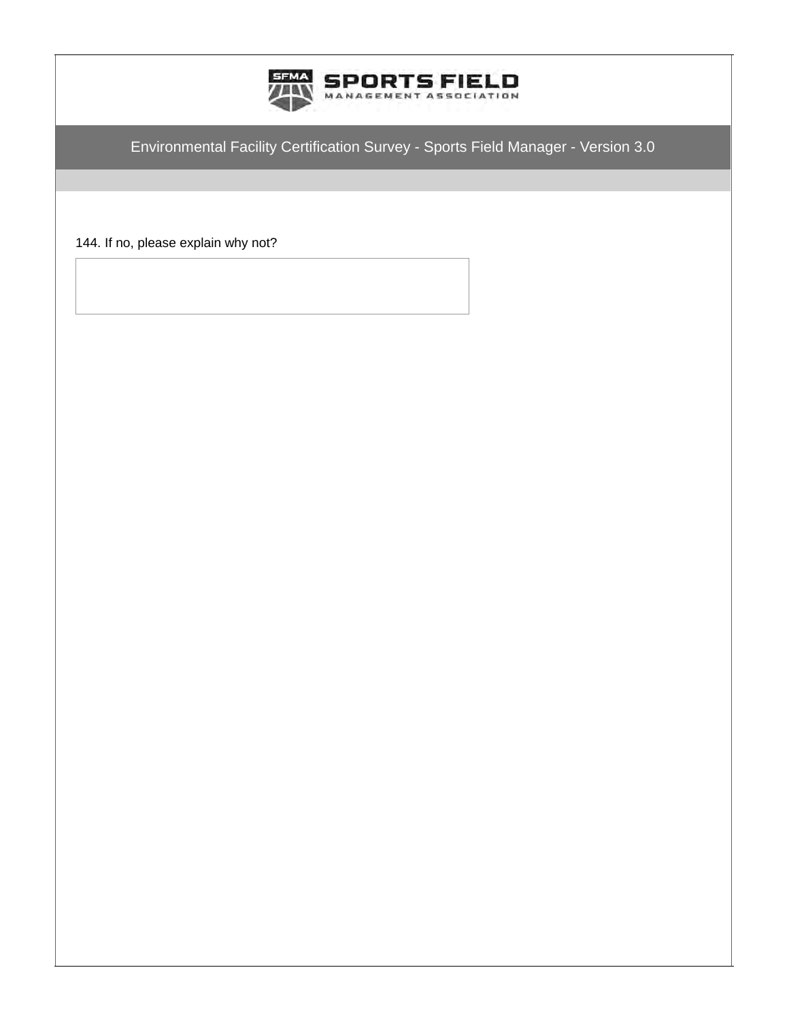

144. If no, please explain why not?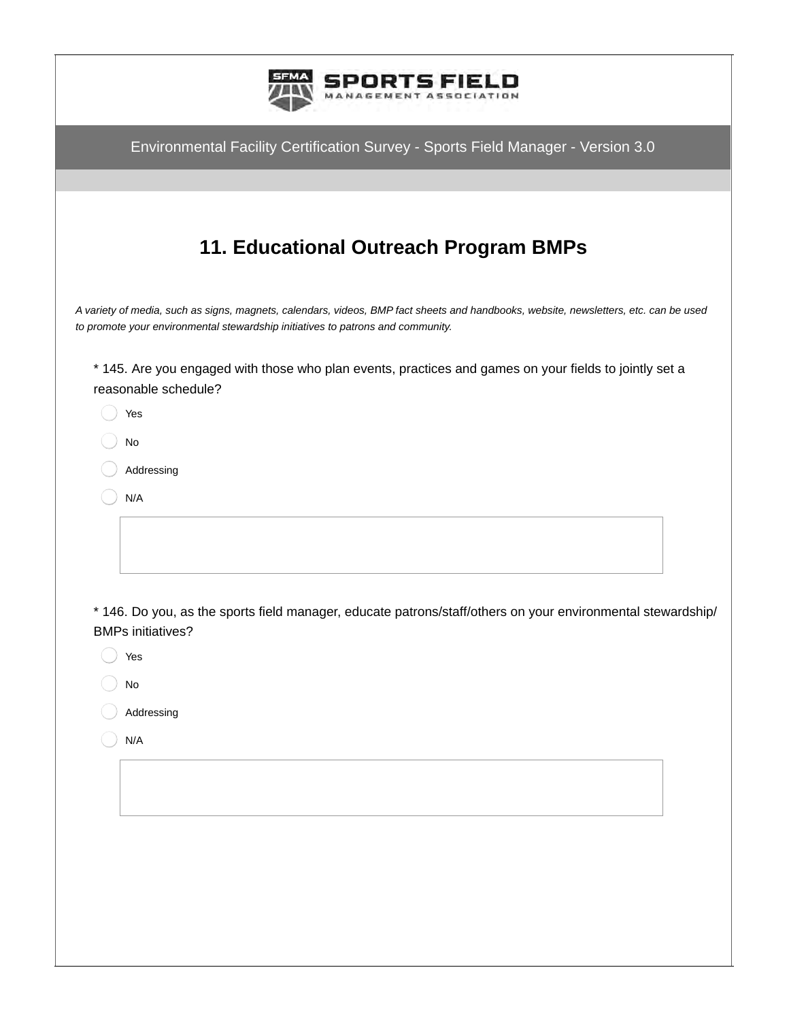| RTSFI                                                                                                                                                                                                                   |
|-------------------------------------------------------------------------------------------------------------------------------------------------------------------------------------------------------------------------|
| Environmental Facility Certification Survey - Sports Field Manager - Version 3.0                                                                                                                                        |
|                                                                                                                                                                                                                         |
| 11. Educational Outreach Program BMPs                                                                                                                                                                                   |
| A variety of media, such as signs, magnets, calendars, videos, BMP fact sheets and handbooks, website, newsletters, etc. can be used<br>to promote your environmental stewardship initiatives to patrons and community. |
| * 145. Are you engaged with those who plan events, practices and games on your fields to jointly set a<br>reasonable schedule?                                                                                          |
| Yes                                                                                                                                                                                                                     |
| $\mathsf{No}$                                                                                                                                                                                                           |
| Addressing                                                                                                                                                                                                              |
| N/A                                                                                                                                                                                                                     |
|                                                                                                                                                                                                                         |
| * 146. Do you, as the sports field manager, educate patrons/staff/others on your environmental stewardship/<br><b>BMPs initiatives?</b>                                                                                 |
| Yes                                                                                                                                                                                                                     |
| $\mathsf{No}$                                                                                                                                                                                                           |
| Addressing                                                                                                                                                                                                              |
| N/A                                                                                                                                                                                                                     |
|                                                                                                                                                                                                                         |
|                                                                                                                                                                                                                         |
|                                                                                                                                                                                                                         |
|                                                                                                                                                                                                                         |
|                                                                                                                                                                                                                         |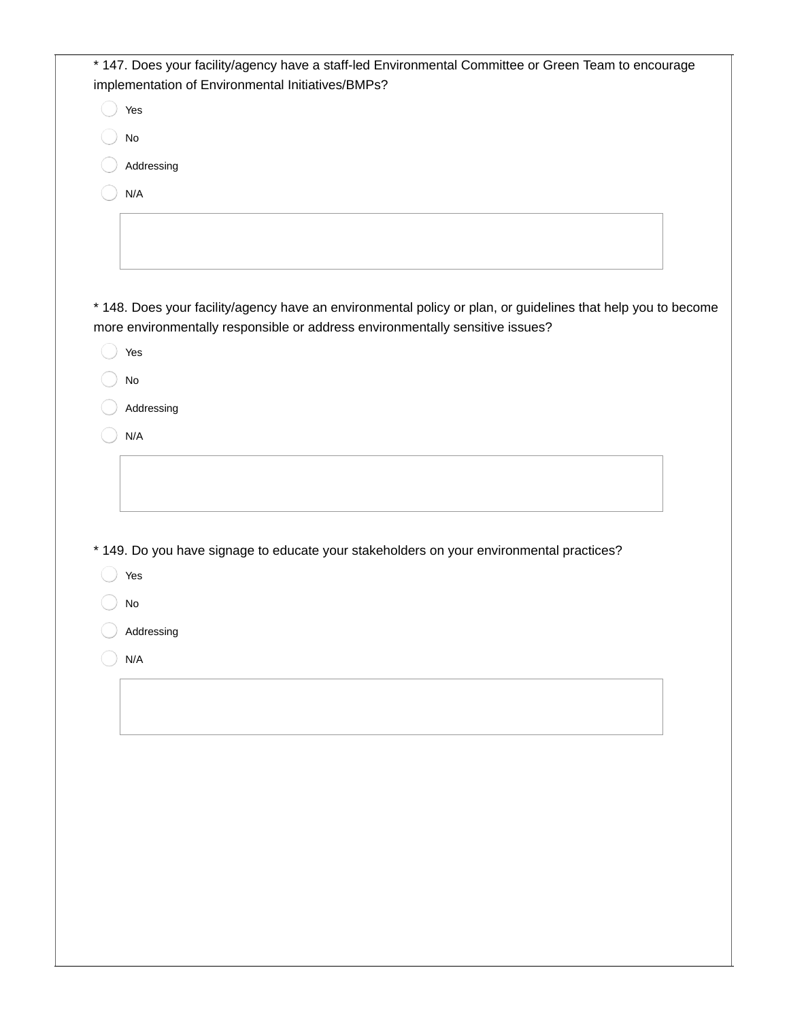| Yes                                                                                                          |
|--------------------------------------------------------------------------------------------------------------|
| No                                                                                                           |
|                                                                                                              |
| Addressing                                                                                                   |
| N/A                                                                                                          |
|                                                                                                              |
|                                                                                                              |
|                                                                                                              |
| * 148. Does your facility/agency have an environmental policy or plan, or guidelines that help you to become |
| more environmentally responsible or address environmentally sensitive issues?                                |
| Yes                                                                                                          |
| No                                                                                                           |
| Addressing                                                                                                   |
| N/A                                                                                                          |
|                                                                                                              |
|                                                                                                              |
|                                                                                                              |
|                                                                                                              |
|                                                                                                              |
|                                                                                                              |
| * 149. Do you have signage to educate your stakeholders on your environmental practices?                     |
| Yes                                                                                                          |
| $\mathsf{No}$                                                                                                |
| Addressing                                                                                                   |
| N/A                                                                                                          |
|                                                                                                              |
|                                                                                                              |
|                                                                                                              |
|                                                                                                              |
|                                                                                                              |
|                                                                                                              |
|                                                                                                              |
|                                                                                                              |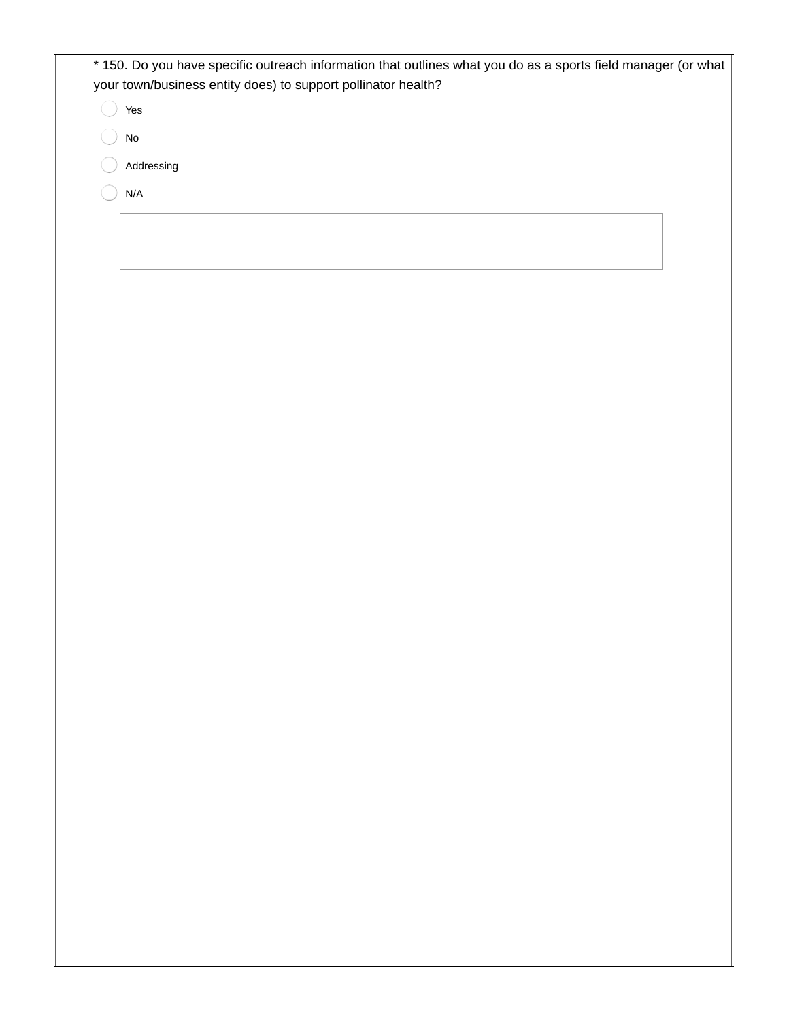| * 150. Do you have specific outreach information that outlines what you do as a sports field manager (or what<br>your town/business entity does) to support pollinator health? |  |
|--------------------------------------------------------------------------------------------------------------------------------------------------------------------------------|--|
| Yes                                                                                                                                                                            |  |
| No                                                                                                                                                                             |  |
| Addressing                                                                                                                                                                     |  |
| N/A                                                                                                                                                                            |  |
|                                                                                                                                                                                |  |
|                                                                                                                                                                                |  |
|                                                                                                                                                                                |  |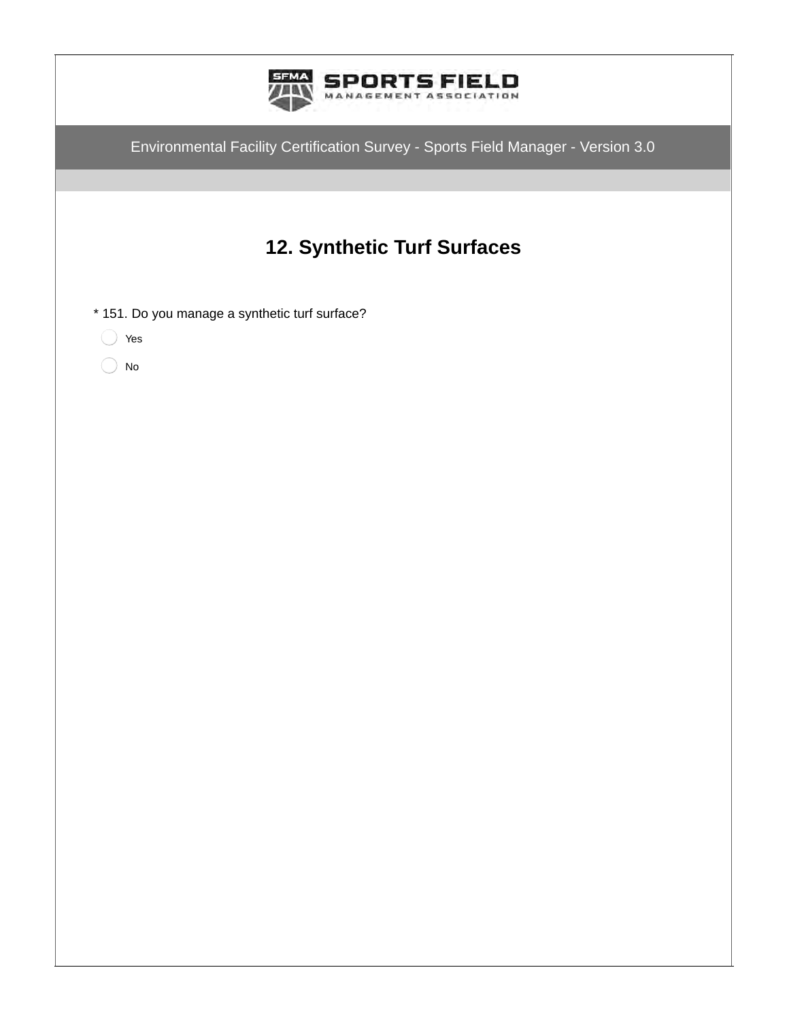| SPORTS FIELD<br>MANAGEMENT ASSOCIATION                                           |
|----------------------------------------------------------------------------------|
| Environmental Facility Certification Survey - Sports Field Manager - Version 3.0 |
|                                                                                  |
| 12. Synthetic Turf Surfaces                                                      |
| * 151. Do you manage a synthetic turf surface?                                   |
| Yes<br><b>No</b>                                                                 |
|                                                                                  |
|                                                                                  |
|                                                                                  |
|                                                                                  |
|                                                                                  |
|                                                                                  |
|                                                                                  |
|                                                                                  |
|                                                                                  |
|                                                                                  |
|                                                                                  |
|                                                                                  |
|                                                                                  |
|                                                                                  |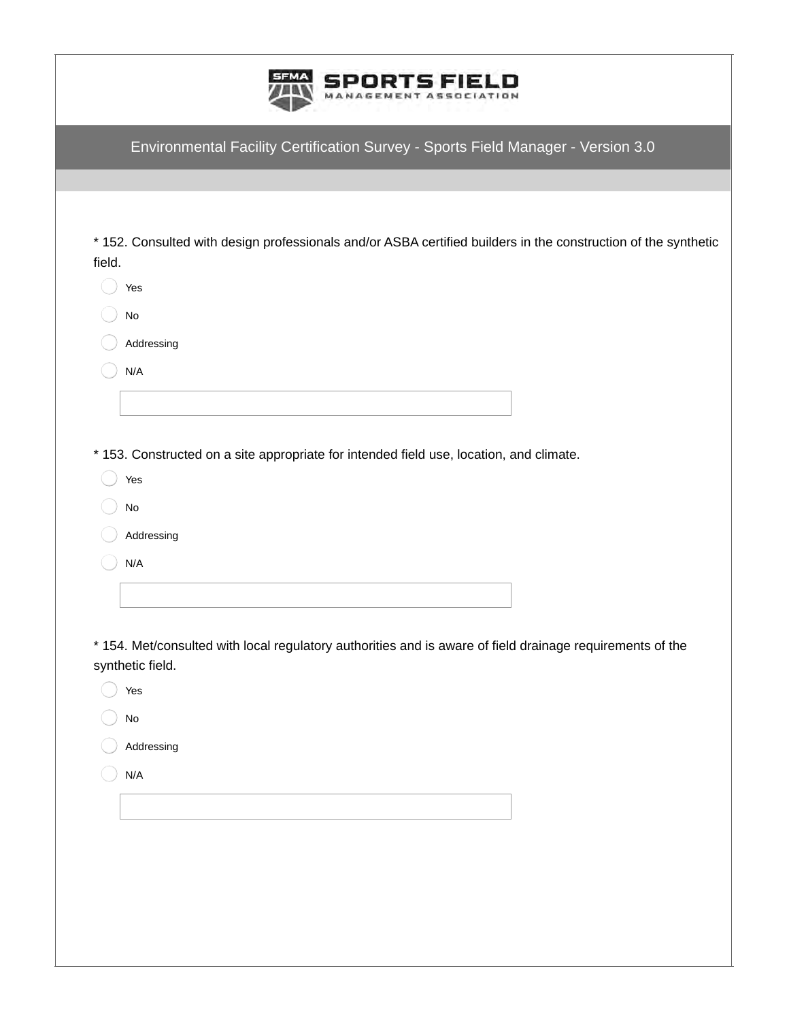| <b>SPORTS FIELD</b>    |
|------------------------|
| MANAGEMENT ASSOCIATION |

\* 152. Consulted with design professionals and/or ASBA certified builders in the construction of the synthetic field.

| Yes        |
|------------|
| No         |
| Addressing |
| N/A        |
|            |
|            |

\* 153. Constructed on a site appropriate for intended field use, location, and climate.

| Υρ<br>١c<br>٧ |
|---------------|
|               |

No

Addressing

N/A

 $\widehat{\phantom{m}}$ 

\* 154. Met/consulted with local regulatory authorities and is aware of field drainage requirements of the synthetic field.

| Yes           |
|---------------|
| $\mathsf{No}$ |
| Addressing    |
| N/A           |
|               |
|               |
|               |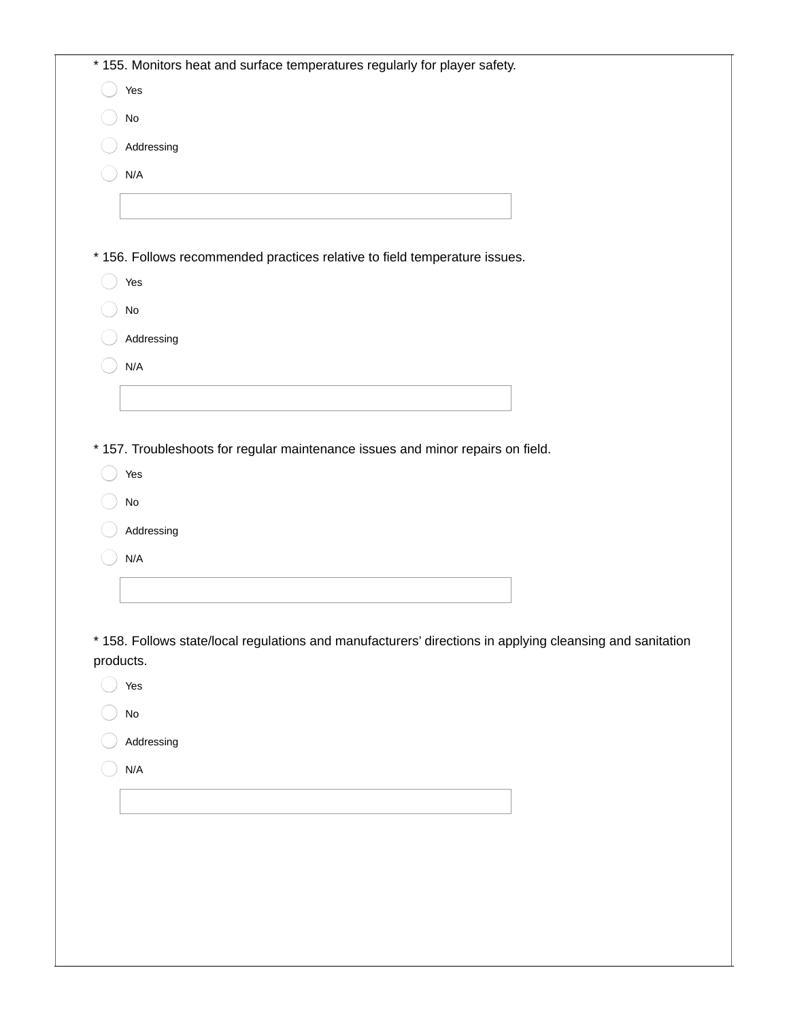| Yes                                                                                                       |
|-----------------------------------------------------------------------------------------------------------|
| $\operatorname{\mathsf{No}}$                                                                              |
| Addressing                                                                                                |
| N/A                                                                                                       |
|                                                                                                           |
|                                                                                                           |
| * 156. Follows recommended practices relative to field temperature issues.                                |
| Yes                                                                                                       |
| $\operatorname{\mathsf{No}}$                                                                              |
| Addressing                                                                                                |
| N/A                                                                                                       |
|                                                                                                           |
|                                                                                                           |
| * 157. Troubleshoots for regular maintenance issues and minor repairs on field.                           |
|                                                                                                           |
|                                                                                                           |
| Yes                                                                                                       |
| $\operatorname{\mathsf{No}}$                                                                              |
| Addressing                                                                                                |
| N/A                                                                                                       |
|                                                                                                           |
|                                                                                                           |
| * 158. Follows state/local regulations and manufacturers' directions in applying cleansing and sanitation |
| products.<br>Yes                                                                                          |
|                                                                                                           |
| No                                                                                                        |
| Addressing                                                                                                |
| $\mathsf{N}/\mathsf{A}$                                                                                   |
|                                                                                                           |
|                                                                                                           |
|                                                                                                           |
|                                                                                                           |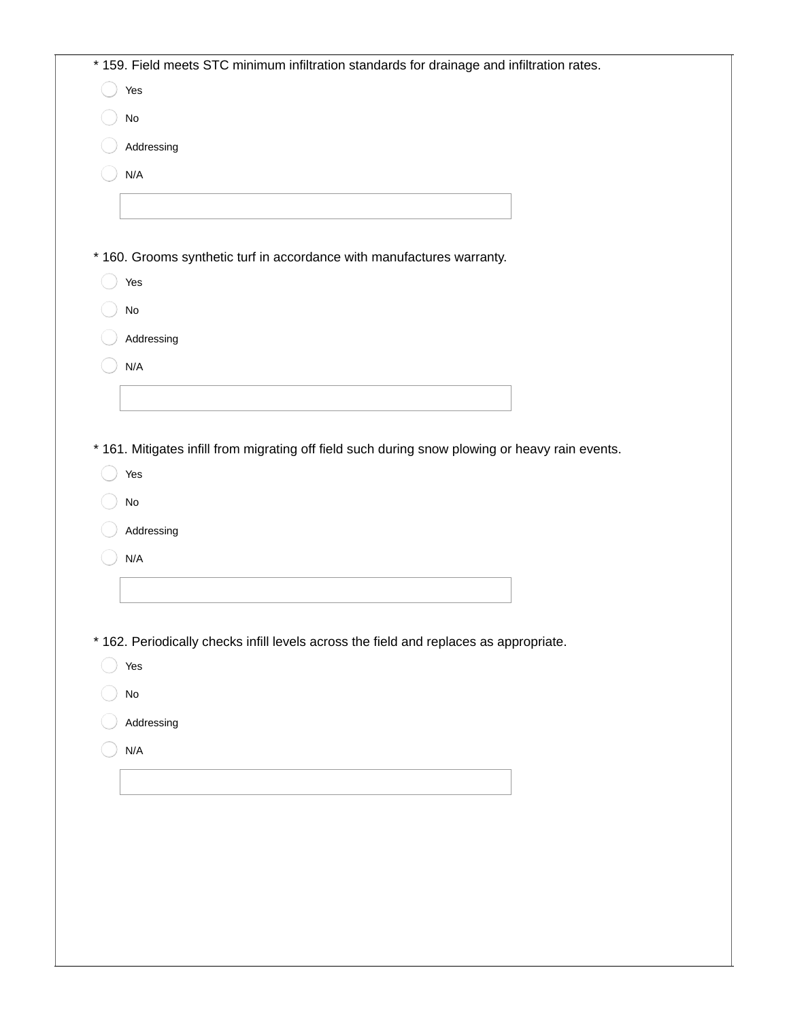| Yes                                                                                             |
|-------------------------------------------------------------------------------------------------|
| $\mathsf{No}$                                                                                   |
| Addressing                                                                                      |
| N/A                                                                                             |
|                                                                                                 |
|                                                                                                 |
| * 160. Grooms synthetic turf in accordance with manufactures warranty.                          |
| Yes                                                                                             |
| $\operatorname{\mathsf{No}}$                                                                    |
| Addressing                                                                                      |
| N/A                                                                                             |
|                                                                                                 |
|                                                                                                 |
| * 161. Mitigates infill from migrating off field such during snow plowing or heavy rain events. |
| Yes                                                                                             |
| $\mathsf{No}$                                                                                   |
|                                                                                                 |
| Addressing                                                                                      |
| N/A                                                                                             |
|                                                                                                 |
|                                                                                                 |
|                                                                                                 |
| * 162. Periodically checks infill levels across the field and replaces as appropriate.<br>Yes   |
| No                                                                                              |
| Addressing                                                                                      |
|                                                                                                 |
| N/A                                                                                             |
|                                                                                                 |
|                                                                                                 |
|                                                                                                 |